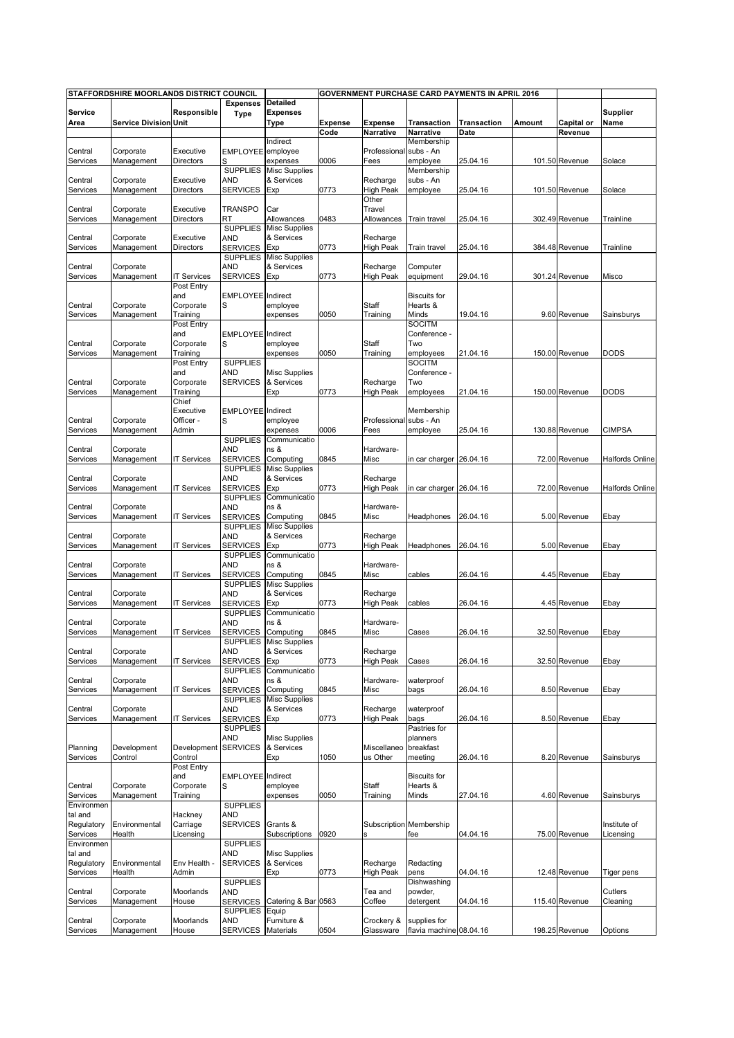|                       | STAFFORDSHIRE MOORLANDS DISTRICT COUNCIL |                        |                               |                                    |                |                              |                                 | <b>GOVERNMENT PURCHASE CARD PAYMENTS IN APRIL 2016</b> |        |                |                  |
|-----------------------|------------------------------------------|------------------------|-------------------------------|------------------------------------|----------------|------------------------------|---------------------------------|--------------------------------------------------------|--------|----------------|------------------|
|                       |                                          |                        | <b>Expenses</b>               | <b>Detailed</b>                    |                |                              |                                 |                                                        |        |                |                  |
| Service<br>Area       | <b>Service Division Unit</b>             | Responsible            | <b>Type</b>                   | <b>Expenses</b><br>Type            | <b>Expense</b> | <b>Expense</b>               | <b>Transaction</b>              | <b>Transaction</b>                                     | Amount | Capital or     | Supplier<br>Name |
|                       |                                          |                        |                               |                                    | Code           | <b>Narrative</b>             | Narrative                       | Date                                                   |        | Revenue        |                  |
|                       |                                          |                        |                               | Indirect                           |                |                              | Membership                      |                                                        |        |                |                  |
| Central               | Corporate                                | Executive              | <b>EMPLOYEE</b>               | employee                           |                | Professional                 | subs - An                       |                                                        |        |                |                  |
| Services              | Management                               | Directors              |                               | expenses                           | 0006           | Fees                         | employee                        | 25.04.16                                               |        | 101.50 Revenue | Solace           |
|                       |                                          |                        | <b>SUPPLIES</b>               | <b>Misc Supplies</b>               |                |                              | Membership                      |                                                        |        |                |                  |
| Central               | Corporate                                | Executive              | <b>AND</b>                    | & Services                         |                | Recharge                     | subs - An                       |                                                        |        |                |                  |
| Services              | Management                               | Directors              | <b>SERVICES</b>               | Exp                                | 0773           | High Peak                    | employee                        | 25.04.16                                               |        | 101.50 Revenue | Solace           |
| Central               | Corporate                                | Executive              | <b>TRANSPO</b>                | Car                                |                | Other<br>Travel              |                                 |                                                        |        |                |                  |
| Services              | Management                               | Directors              | <b>RT</b>                     | Allowances                         | 0483           | Allowances                   | Train travel                    | 25.04.16                                               |        | 302.49 Revenue | Trainline        |
|                       |                                          |                        | <b>SUPPLIES</b>               | <b>Misc Supplies</b>               |                |                              |                                 |                                                        |        |                |                  |
| Central               | Corporate                                | Executive              | <b>AND</b>                    | & Services                         |                | Recharge                     |                                 |                                                        |        |                |                  |
| Services              | Management                               | Directors              | <b>SERVICES</b>               | Exp                                | 0773           | High Peak                    | Train travel                    | 25.04.16                                               |        | 384.48 Revenue | Trainline        |
|                       |                                          |                        | <b>SUPPLIES</b>               | <b>Misc Supplies</b>               |                |                              |                                 |                                                        |        |                |                  |
| Central               | Corporate                                |                        | <b>AND</b>                    | & Services                         |                | Recharge                     | Computer                        |                                                        |        |                |                  |
| Services              | Management                               | IT Services            | <b>SERVICES</b>               | Exp                                | 0773           | High Peak                    | equipment                       | 29.04.16                                               |        | 301.24 Revenue | Misco            |
|                       |                                          | Post Entry             |                               |                                    |                |                              |                                 |                                                        |        |                |                  |
| Central               | Corporate                                | and<br>Corporate       | <b>EMPLOYEE</b> Indirect<br>S | employee                           |                | Staff                        | <b>Biscuits for</b><br>Hearts & |                                                        |        |                |                  |
| Services              | Management                               | Training               |                               | expenses                           | 0050           | Training                     | Minds                           | 19.04.16                                               |        | 9.60 Revenue   | Sainsburys       |
|                       |                                          | Post Entry             |                               |                                    |                |                              | <b>SOCITM</b>                   |                                                        |        |                |                  |
|                       |                                          | and                    | EMPLOYEE Indirect             |                                    |                |                              | Conference -                    |                                                        |        |                |                  |
| Central               | Corporate                                | Corporate              | S                             | employee                           |                | Staff                        | Two                             |                                                        |        |                |                  |
| Services              | Management                               | Training               |                               | expenses                           | 0050           | Training                     | employees                       | 21.04.16                                               |        | 150.00 Revenue | DODS             |
|                       |                                          | Post Entry             | <b>SUPPLIES</b>               |                                    |                |                              | <b>SOCITM</b>                   |                                                        |        |                |                  |
|                       |                                          | and                    | <b>AND</b>                    | <b>Misc Supplies</b>               |                |                              | Conference -                    |                                                        |        |                |                  |
| Central               | Corporate                                | Corporate              | <b>SERVICES</b>               | & Services                         |                | Recharge                     | Two                             |                                                        |        |                |                  |
| Services              | Management                               | Training               |                               | Exp                                | 0773           | High Peak                    | employees                       | 21.04.16                                               |        | 150.00 Revenue | DODS             |
|                       |                                          | Chief                  |                               |                                    |                |                              |                                 |                                                        |        |                |                  |
| Central               | Corporate                                | Executive<br>Officer - | <b>EMPLOYEE</b> Indirect<br>S | employee                           |                | Professional subs - An       | Membership                      |                                                        |        |                |                  |
| Services              | Management                               | Admin                  |                               | expenses                           | 0006           | Fees                         | employee                        | 25.04.16                                               |        | 130.88 Revenue | <b>CIMPSA</b>    |
|                       |                                          |                        | <b>SUPPLIES</b>               | Communicatio                       |                |                              |                                 |                                                        |        |                |                  |
| Central               | Corporate                                |                        | AND                           | ns &                               |                | Hardware-                    |                                 |                                                        |        |                |                  |
| Services              | Management                               | <b>T Services</b>      | <b>SERVICES</b>               | Computing                          | 0845           | Misc                         | in car charger                  | 26.04.16                                               |        | 72.00 Revenue  | Halfords Online  |
|                       |                                          |                        | <b>SUPPLIES</b>               | <b>Misc Supplies</b>               |                |                              |                                 |                                                        |        |                |                  |
| Central               | Corporate                                |                        | <b>AND</b>                    | & Services                         |                | Recharge                     |                                 |                                                        |        |                |                  |
| Services              | Management                               | <b>T Services</b>      | <b>SERVICES</b>               | Exp                                | 0773           | High Peak                    | in car charger                  | 26.04.16                                               |        | 72.00 Revenue  | Halfords Online  |
|                       |                                          |                        | <b>SUPPLIES</b>               | Communicatio                       |                |                              |                                 |                                                        |        |                |                  |
| Central               | Corporate                                |                        | <b>AND</b>                    | ns &                               |                | Hardware-                    |                                 |                                                        |        |                |                  |
| Services              | Management                               | <b>T Services</b>      | <b>SERVICES</b>               | Computing                          | 0845           | Misc                         | Headphones                      | 26.04.16                                               |        | 5.00 Revenue   | Ebay             |
|                       | Corporate                                |                        | <b>SUPPLIES</b><br><b>AND</b> | <b>Misc Supplies</b><br>& Services |                |                              |                                 |                                                        |        |                |                  |
| Central<br>Services   | Management                               | <b>IT Services</b>     | <b>SERVICES</b>               | Exp                                | 0773           | Recharge<br><b>High Peak</b> | Headphones                      | 26.04.16                                               |        | 5.00 Revenue   | Ebay             |
|                       |                                          |                        | <b>SUPPLIES</b>               | Communicatio                       |                |                              |                                 |                                                        |        |                |                  |
| Central               | Corporate                                |                        | <b>AND</b>                    | ns &                               |                | Hardware-                    |                                 |                                                        |        |                |                  |
| Services              | Management                               | <b>IT Services</b>     | <b>SERVICES</b>               | Computing                          | 0845           | Misc                         | cables                          | 26.04.16                                               |        | 4.45 Revenue   | Ebay             |
|                       |                                          |                        | <b>SUPPLIES</b>               | <b>Misc Supplies</b>               |                |                              |                                 |                                                        |        |                |                  |
| Central               | Corporate                                |                        | <b>AND</b>                    | & Services                         |                | Recharge                     |                                 |                                                        |        |                |                  |
| Services              | Management                               | <b>IT Services</b>     | <b>SERVICES</b>               | Exp                                | 0773           | High Peak                    | cables                          | 26.04.16                                               |        | 4.45 Revenue   | Ebay             |
|                       |                                          |                        | <b>SUPPLIES</b>               | Communicatio                       |                |                              |                                 |                                                        |        |                |                  |
| Central<br>Services   | Corporate                                |                        | <b>AND</b>                    | ns &                               |                | Hardware-                    |                                 |                                                        |        |                |                  |
|                       | Management                               | <b>T Services</b>      | <b>SERVICES</b><br>SUPPLIES   | Computing                          | 0845           | Misc                         | Cases                           | 26.04.16                                               |        | 32.50 Revenue  | Ebay             |
| Central               | Corporate                                |                        | <b>AND</b>                    | <b>MISC Supplies</b><br>& Services |                | Recharge                     |                                 |                                                        |        |                |                  |
| Services              | Management                               | <b>T Services</b>      | <b>SERVICES</b>               | Exp                                | 0773           | <b>High Peak</b>             | Cases                           | 26.04.16                                               |        | 32.50 Revenue  | Ebay             |
|                       |                                          |                        | <b>SUPPLIES</b>               | Communicatio                       |                |                              |                                 |                                                        |        |                |                  |
| Central               | Corporate                                |                        | AND                           | ns &                               |                | Hardware-                    | waterproof                      |                                                        |        |                |                  |
| Services              | Management                               | <b>IT Services</b>     | <b>SERVICES</b>               | Computing                          | 0845           | Misc                         | bags                            | 26.04.16                                               |        | 8.50 Revenue   | Ebay             |
|                       |                                          |                        | <b>SUPPLIES</b>               | <b>Misc Supplies</b>               |                |                              |                                 |                                                        |        |                |                  |
| Central               | Corporate                                |                        | <b>AND</b>                    | & Services                         |                | Recharge                     | waterproof                      |                                                        |        |                |                  |
| Services              | Management                               | <b>IT Services</b>     | <b>SERVICES</b>               | Exp                                | 0773           | High Peak                    | bags                            | 26.04.16                                               |        | 8.50 Revenue   | Ebay             |
|                       |                                          |                        | <b>SUPPLIES</b>               |                                    |                |                              | Pastries for<br>planners        |                                                        |        |                |                  |
| Planning              | Development                              | Development            | AND<br><b>SERVICES</b>        | <b>Misc Supplies</b><br>& Services |                | Miscellaneo                  | breakfast                       |                                                        |        |                |                  |
| Services              | Control                                  | Control                |                               | Exp                                | 1050           | us Other                     | meeting                         | 26.04.16                                               |        | 8.20 Revenue   | Sainsburys       |
|                       |                                          | Post Entry             |                               |                                    |                |                              |                                 |                                                        |        |                |                  |
|                       |                                          | and                    | <b>EMPLOYEE</b> Indirect      |                                    |                |                              | <b>Biscuits for</b>             |                                                        |        |                |                  |
| Central               | Corporate                                | Corporate              | S                             | employee                           |                | Staff                        | Hearts &                        |                                                        |        |                |                  |
| Services              | Management                               | Training               |                               | expenses                           | 0050           | Training                     | Minds                           | 27.04.16                                               |        | 4.60 Revenue   | Sainsburys       |
| Environmen            |                                          |                        | <b>SUPPLIES</b>               |                                    |                |                              |                                 |                                                        |        |                |                  |
| tal and               |                                          | Hackney                | <b>AND</b>                    |                                    |                |                              |                                 |                                                        |        |                |                  |
| Regulatory            | Environmental                            | Carriage               | <b>SERVICES</b>               | Grants &                           |                |                              | Subscription Membership         |                                                        |        |                | Institute of     |
| Services              | Health                                   | Licensing              |                               | Subscriptions                      | 0920           | s                            | fee                             | 04.04.16                                               |        | 75.00 Revenue  | Licensing        |
| Environmen            |                                          |                        | <b>SUPPLIES</b>               |                                    |                |                              |                                 |                                                        |        |                |                  |
| tal and<br>Regulatory | Environmental                            | Env Health -           | AND<br><b>SERVICES</b>        | <b>Misc Supplies</b><br>& Services |                | Recharge                     | Redacting                       |                                                        |        |                |                  |
| Services              | Health                                   | Admin                  |                               | Exp                                | 0773           | <b>High Peak</b>             | pens                            | 04.04.16                                               |        | 12.48 Revenue  | Tiger pens       |
|                       |                                          |                        | <b>SUPPLIES</b>               |                                    |                |                              | Dishwashing                     |                                                        |        |                |                  |
| Central               | Corporate                                | Moorlands              | <b>AND</b>                    |                                    |                | Tea and                      | powder,                         |                                                        |        |                | Cutlers          |
| Services              | Management                               | House                  | <b>SERVICES</b>               | Catering & Bar 0563                |                | Coffee                       | detergent                       | 04.04.16                                               |        | 115.40 Revenue | Cleaning         |
|                       |                                          |                        | <b>SUPPLIES</b>               | Equip                              |                |                              |                                 |                                                        |        |                |                  |
| Central               | Corporate                                | Moorlands              | <b>AND</b>                    | Furniture &                        |                | Crockery &                   | supplies for                    |                                                        |        |                |                  |
| Services              | Management                               | House                  | <b>SERVICES</b>               | Materials                          | 0504           | Glassware                    | flavia machine 08.04.16         |                                                        |        | 198.25 Revenue | Options          |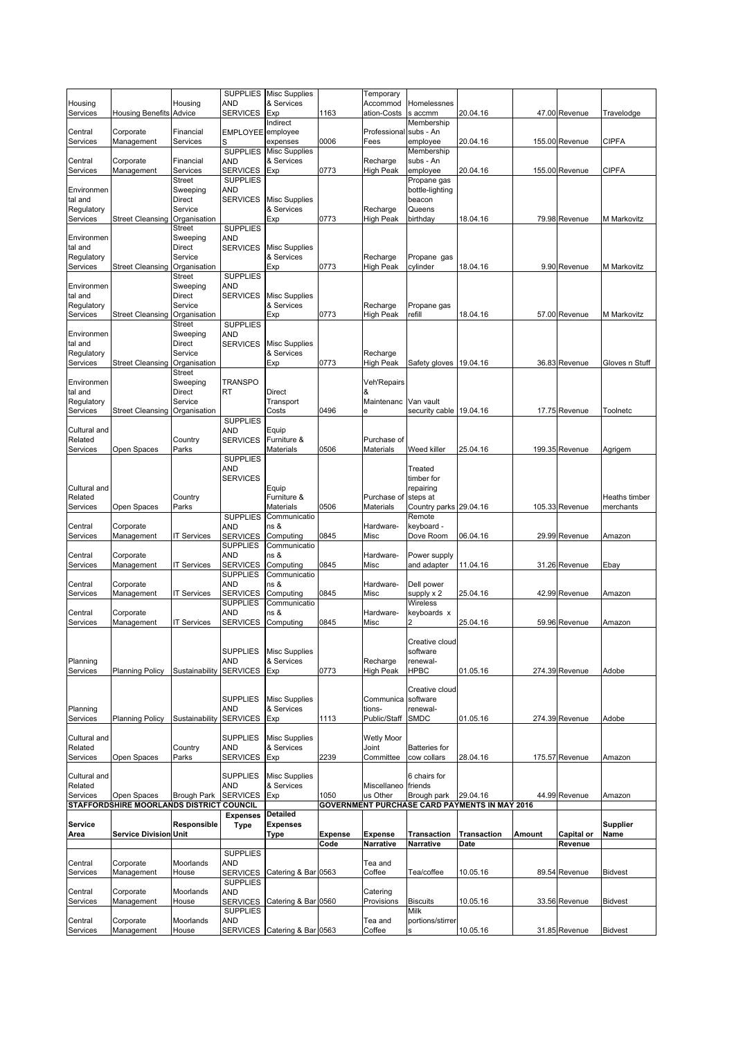|                        |                                                         |                           |                                    | SUPPLIES Misc Supplies             |                        | Temporary                   |                                      |                                                           |        |                       |                    |
|------------------------|---------------------------------------------------------|---------------------------|------------------------------------|------------------------------------|------------------------|-----------------------------|--------------------------------------|-----------------------------------------------------------|--------|-----------------------|--------------------|
| Housing<br>Services    | <b>Housing Benefits Advice</b>                          | Housing                   | AND<br><b>SERVICES</b>             | & Services<br>Exp                  | 1163                   | Accommod<br>ation-Costs     | Homelessnes<br>s accmm               | 20.04.16                                                  |        | 47.00 Revenue         | Travelodge         |
|                        |                                                         |                           |                                    | Indirect                           |                        |                             | Membership                           |                                                           |        |                       |                    |
| Central<br>Services    | Corporate<br>Management                                 | Financial<br>Services     | EMPLOYEE employee<br>S             | expenses                           | 0006                   | Professional<br>Fees        | subs - An<br>employee                | 20.04.16                                                  |        | 155.00 Revenue        | <b>CIPFA</b>       |
|                        |                                                         |                           | <b>SUPPLIES</b>                    | <b>Misc Supplies</b>               |                        |                             | Membership                           |                                                           |        |                       |                    |
| Central                | Corporate                                               | Financial                 | AND                                | & Services                         |                        | Recharge                    | subs - An                            |                                                           |        |                       |                    |
| Services               | Management                                              | Services<br><b>Street</b> | <b>SERVICES</b><br><b>SUPPLIES</b> | Exp                                | 0773                   | High Peak                   | employee<br>Propane gas              | 20.04.16                                                  |        | 155.00 Revenue        | <b>CIPFA</b>       |
| Environmen             |                                                         | Sweeping                  | <b>AND</b>                         |                                    |                        |                             | bottle-lighting                      |                                                           |        |                       |                    |
| tal and                |                                                         | Direct<br>Service         | <b>SERVICES</b>                    | <b>Misc Supplies</b><br>& Services |                        |                             | beacon                               |                                                           |        |                       |                    |
| Regulatory<br>Services | Street Cleansing Organisation                           |                           |                                    | Exp                                | 0773                   | Recharge<br>High Peak       | Queens<br>birthday                   | 18.04.16                                                  |        | 79.98 Revenue         | <b>M</b> Markovitz |
|                        |                                                         | Street                    | <b>SUPPLIES</b>                    |                                    |                        |                             |                                      |                                                           |        |                       |                    |
| Environmen<br>tal and  |                                                         | Sweeping<br>Direct        | <b>AND</b><br><b>SERVICES</b>      |                                    |                        |                             |                                      |                                                           |        |                       |                    |
| Regulatory             |                                                         | Service                   |                                    | <b>Misc Supplies</b><br>& Services |                        | Recharge                    | Propane gas                          |                                                           |        |                       |                    |
| Services               | <b>Street Cleansing</b>                                 | Organisation              |                                    | Exp                                | 0773                   | High Peak                   | cylinder                             | 18.04.16                                                  |        | 9.90 Revenue          | M Markovitz        |
| Environmen             |                                                         | Street<br>Sweeping        | <b>SUPPLIES</b><br><b>AND</b>      |                                    |                        |                             |                                      |                                                           |        |                       |                    |
| tal and                |                                                         | Direct                    | <b>SERVICES</b>                    | <b>Misc Supplies</b>               |                        |                             |                                      |                                                           |        |                       |                    |
| Regulatory             |                                                         | Service                   |                                    | & Services                         |                        | Recharge                    | Propane gas                          |                                                           |        |                       |                    |
| Services               | Street Cleansing Organisation                           | <b>Street</b>             | <b>SUPPLIES</b>                    | Exp                                | 0773                   | High Peak                   | refill                               | 18.04.16                                                  |        | 57.00 Revenue         | M Markovitz        |
| Environmen             |                                                         | Sweeping                  | AND                                |                                    |                        |                             |                                      |                                                           |        |                       |                    |
| tal and                |                                                         | <b>Direct</b>             | <b>SERVICES</b>                    | <b>Misc Supplies</b>               |                        |                             |                                      |                                                           |        |                       |                    |
| Regulatory             |                                                         | Service                   |                                    | & Services                         |                        | Recharge                    |                                      |                                                           |        |                       |                    |
| Services               | <b>Street Cleansing</b>                                 | Organisation<br>Street    |                                    | Exp                                | 0773                   | High Peak                   | Safety gloves                        | 19.04.16                                                  |        | 36.83 Revenue         | Gloves n Stuff     |
| Environmen             |                                                         | Sweeping                  | <b>TRANSPO</b>                     |                                    |                        | Veh'Repairs                 |                                      |                                                           |        |                       |                    |
| tal and                |                                                         | Direct                    | RT                                 | Direct                             |                        | &                           |                                      |                                                           |        |                       |                    |
| Regulatory<br>Services | Street Cleansing Organisation                           | Service                   |                                    | Transport<br>Costs                 | 0496                   | Maintenanc<br>е             | Van vault<br>security cable 19.04.16 |                                                           |        | 17.75 Revenue         | Toolnetc           |
|                        |                                                         |                           | <b>SUPPLIES</b>                    |                                    |                        |                             |                                      |                                                           |        |                       |                    |
| Cultural and           |                                                         |                           | <b>AND</b>                         | Equip                              |                        |                             |                                      |                                                           |        |                       |                    |
| Related<br>Services    | Open Spaces                                             | Country<br>Parks          | <b>SERVICES</b>                    | Furniture &<br><b>Materials</b>    | 0506                   | Purchase of<br>Materials    | Weed killer                          | 25.04.16                                                  |        | 199.35 Revenue        | Agrigem            |
|                        |                                                         |                           | <b>SUPPLIES</b>                    |                                    |                        |                             |                                      |                                                           |        |                       |                    |
|                        |                                                         |                           | <b>AND</b>                         |                                    |                        |                             | Treated                              |                                                           |        |                       |                    |
| Cultural and           |                                                         |                           | <b>SERVICES</b>                    | Equip                              |                        |                             | timber for<br>repairing              |                                                           |        |                       |                    |
| Related                |                                                         | Country                   |                                    | Furniture &                        |                        | Purchase of                 | steps at                             |                                                           |        |                       | Heaths timber      |
| Services               | Open Spaces                                             | Parks                     |                                    | Materials                          | 0506                   | Materials                   | Country parks 29.04.16               |                                                           |        | 105.33 Revenue        | merchants          |
| Central                | Corporate                                               |                           | <b>SUPPLIES</b><br><b>AND</b>      | Communicatio<br>ns &               |                        | Hardware-                   | Remote<br>keyboard -                 |                                                           |        |                       |                    |
| Services               | Management                                              | <b>IT Services</b>        | <b>SERVICES</b>                    | Computing                          | 0845                   | Misc                        | Dove Room                            | 06.04.16                                                  |        | 29.99 Revenue         | Amazon             |
|                        |                                                         |                           | <b>SUPPLIES</b>                    | Communicatio                       |                        |                             |                                      |                                                           |        |                       |                    |
|                        |                                                         |                           | AND                                | ns &                               |                        | Hardware-                   | Power supply                         |                                                           |        |                       |                    |
| Central                | Corporate                                               |                           |                                    |                                    |                        |                             |                                      |                                                           |        |                       |                    |
| Services               | Management                                              | <b>IT Services</b>        | <b>SERVICES</b><br><b>SUPPLIES</b> | Computing<br>Communicatio          | 0845                   | Misc                        | and adapter                          | 11.04.16                                                  |        | 31.26 Revenue         | Ebay               |
| Central                | Corporate                                               |                           | <b>AND</b>                         | ns &                               |                        | Hardware-                   | Dell power                           |                                                           |        |                       |                    |
| Services               | Management                                              | <b>IT Services</b>        | <b>SERVICES</b>                    | Computing                          | 0845                   | Misc                        | supply x 2                           | 25.04.16                                                  |        | 42.99 Revenue         | Amazon             |
| Central                | Corporate                                               |                           | <b>SUPPLIES</b><br><b>AND</b>      | Communicatio<br>ns &               |                        | Hardware-                   | <b>Wireless</b><br>keyboards x       |                                                           |        |                       |                    |
| Services               | Management                                              | <b>IT Services</b>        | <b>SERVICES</b>                    | Computing                          | 0845                   | Misc                        | 2                                    | 25.04.16                                                  |        | 59.96 Revenue         | Amazon             |
|                        |                                                         |                           |                                    |                                    |                        |                             |                                      |                                                           |        |                       |                    |
|                        |                                                         |                           | <b>SUPPLIES</b>                    | <b>Misc Supplies</b>               |                        |                             | Creative cloud<br>software           |                                                           |        |                       |                    |
| Planning               |                                                         |                           | <b>AND</b>                         | & Services                         |                        | Recharge                    | renewal-                             |                                                           |        |                       |                    |
| Services               | <b>Planning Policy</b>                                  | Sustainability            | <b>SERVICES</b>                    | Exp                                | 0773                   | High Peak                   | <b>HPBC</b>                          | 01.05.16                                                  |        | 274.39 Revenue        | Adobe              |
|                        |                                                         |                           |                                    |                                    |                        |                             | Creative cloud                       |                                                           |        |                       |                    |
|                        |                                                         |                           | <b>SUPPLIES</b>                    | <b>Misc Supplies</b>               |                        | Communica                   | software                             |                                                           |        |                       |                    |
| Planning               |                                                         |                           | <b>AND</b>                         | & Services                         |                        | tions-                      | renewal-                             |                                                           |        |                       |                    |
| Services               | <b>Planning Policy</b>                                  | Sustainability            | <b>SERVICES</b>                    | Exp                                | 1113                   | Public/Staff                | <b>SMDC</b>                          | 01.05.16                                                  |        | 274.39 Revenue        | Adobe              |
| Cultural and           |                                                         |                           | <b>SUPPLIES</b>                    | <b>Misc Supplies</b>               |                        | <b>Wetly Moor</b>           |                                      |                                                           |        |                       |                    |
| Related                |                                                         | Country                   | AND                                | & Services                         |                        | Joint                       | <b>Batteries</b> for                 |                                                           |        |                       |                    |
| Services               | Open Spaces                                             | Parks                     | <b>SERVICES</b>                    | Exp                                | 2239                   | Committee                   | cow collars                          | 28.04.16                                                  |        | 175.57 Revenue        | Amazon             |
| Cultural and           |                                                         |                           | <b>SUPPLIES</b>                    | <b>Misc Supplies</b>               |                        |                             | 6 chairs for                         |                                                           |        |                       |                    |
| Related                |                                                         |                           | <b>AND</b>                         | & Services                         |                        | Miscellaneo friends         |                                      |                                                           |        |                       |                    |
| Services               | Open Spaces<br>STAFFORDSHIRE MOORLANDS DISTRICT COUNCIL | <b>Brough Park</b>        | <b>SERVICES</b>                    | Exp                                | 1050                   | us Other                    | Brough park                          | 29.04.16<br>GOVERNMENT PURCHASE CARD PAYMENTS IN MAY 2016 |        | 44.99 Revenue         | Amazon             |
|                        |                                                         |                           | <b>Expenses</b>                    | Detailed                           |                        |                             |                                      |                                                           |        |                       |                    |
| Service                |                                                         | Responsible               | <b>Type</b>                        | <b>Expenses</b>                    |                        |                             |                                      |                                                           |        |                       | <b>Supplier</b>    |
| Area                   | <b>Service Division Unit</b>                            |                           |                                    | <b>Type</b>                        | <b>Expense</b><br>Code | <b>Expense</b><br>Narrative | <b>Transaction</b><br>Narrative      | <b>Transaction</b><br>Date                                | Amount | Capital or<br>Revenue | Name               |
|                        |                                                         |                           | <b>SUPPLIES</b>                    |                                    |                        |                             |                                      |                                                           |        |                       |                    |
| Central                | Corporate                                               | Moorlands                 | AND                                |                                    |                        | Tea and                     |                                      |                                                           |        |                       |                    |
| Services               | Management                                              | House                     | <b>SERVICES</b><br><b>SUPPLIES</b> | Catering & Bar 0563                |                        | Coffee                      | Tea/coffee                           | 10.05.16                                                  |        | 89.54 Revenue         | <b>Bidvest</b>     |
| Central                | Corporate                                               | Moorlands                 | AND                                |                                    |                        | Catering                    |                                      |                                                           |        |                       |                    |
| Services               | Management                                              | House                     | <b>SERVICES</b>                    | Catering & Bar 0560                |                        | Provisions                  | <b>Biscuits</b>                      | 10.05.16                                                  |        | 33.56 Revenue         | <b>Bidvest</b>     |
| Central                | Corporate                                               | Moorlands                 | <b>SUPPLIES</b><br><b>AND</b>      |                                    |                        | Tea and                     | Milk<br>portions/stirrer             |                                                           |        |                       |                    |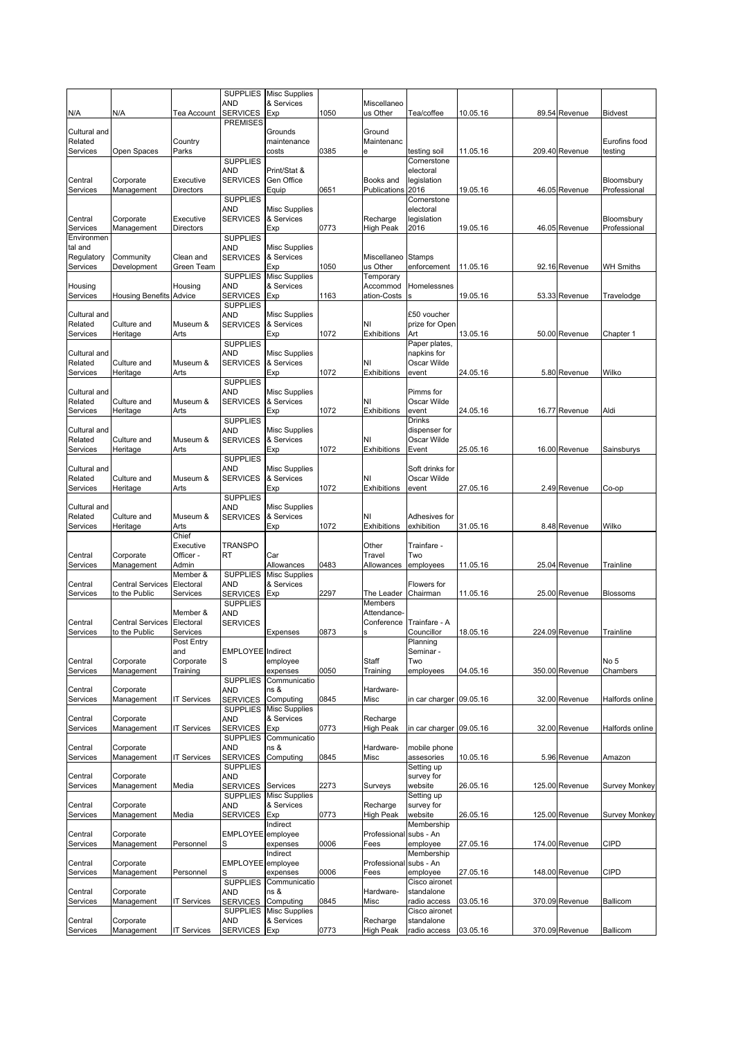|                         |                                |                        | AND                                | SUPPLIES Misc Supplies<br>& Services |      | Miscellaneo                  |                               |          |                |                             |
|-------------------------|--------------------------------|------------------------|------------------------------------|--------------------------------------|------|------------------------------|-------------------------------|----------|----------------|-----------------------------|
| N/A                     | N/A                            | Tea Account            | <b>SERVICES</b>                    | Exp                                  | 1050 | us Other                     | Tea/coffee                    | 10.05.16 | 89.54 Revenue  | <b>Bidvest</b>              |
| Cultural and            |                                |                        | <b>PREMISES</b>                    | Grounds                              |      | Ground                       |                               |          |                |                             |
| Related                 |                                | Country                |                                    | maintenance                          |      | Maintenanc                   |                               |          |                | Eurofins food               |
| Services                | Open Spaces                    | Parks                  | <b>SUPPLIES</b>                    | costs                                | 0385 | е                            | testing soil<br>Cornerstone   | 11.05.16 | 209.40 Revenue | testing                     |
|                         |                                |                        | AND                                | Print/Stat &                         |      |                              | electoral                     |          |                |                             |
| Central                 | Corporate                      | Executive              | <b>SERVICES</b>                    | Gen Office                           |      | Books and                    | legislation                   |          |                | Bloomsbury                  |
| Services                | Management                     | <b>Directors</b>       | <b>SUPPLIES</b>                    | Equip                                | 0651 | Publications                 | 2016<br>Cornerstone           | 19.05.16 | 46.05 Revenue  | Professional                |
|                         |                                |                        | <b>AND</b>                         | Misc Supplies                        |      |                              | electoral                     |          |                |                             |
| Central<br>Services     | Corporate<br>Management        | Executive<br>Directors | <b>SERVICES</b>                    | & Services<br>Exp                    | 0773 | Recharge<br>High Peak        | legislation<br>2016           | 19.05.16 | 46.05 Revenue  | Bloomsbury<br>Professional  |
| Environmen              |                                |                        | <b>SUPPLIES</b>                    |                                      |      |                              |                               |          |                |                             |
| tal and<br>Regulatory   | Community                      | Clean and              | <b>AND</b><br><b>SERVICES</b>      | <b>Misc Supplies</b><br>& Services   |      | Miscellaneo                  | Stamps                        |          |                |                             |
| Services                | Development                    | Green Team             |                                    | Exp                                  | 1050 | us Other                     | enforcement                   | 11.05.16 | 92.16 Revenue  | <b>WH Smiths</b>            |
|                         |                                |                        | <b>SUPPLIES</b><br><b>AND</b>      | <b>Misc Supplies</b><br>& Services   |      | Temporary<br>Accommod        | Homelessnes                   |          |                |                             |
| Housing<br>Services     | <b>Housing Benefits Advice</b> | Housing                | SERVICES                           | Exp                                  | 1163 | ation-Costs                  |                               | 19.05.16 | 53.33 Revenue  | Travelodge                  |
|                         |                                |                        | <b>SUPPLIES</b>                    |                                      |      |                              |                               |          |                |                             |
| Cultural and<br>Related | Culture and                    | Museum &               | <b>AND</b><br><b>SERVICES</b>      | <b>Misc Supplies</b><br>& Services   |      | NI                           | £50 voucher<br>prize for Open |          |                |                             |
| Services                | Heritage                       | Arts                   |                                    | Exp                                  | 1072 | Exhibitions                  | Art                           | 13.05.16 | 50.00 Revenue  | Chapter 1                   |
| Cultural and            |                                |                        | <b>SUPPLIES</b><br><b>AND</b>      | Misc Supplies                        |      |                              | Paper plates,<br>napkins for  |          |                |                             |
| Related                 | Culture and                    | Museum &               | <b>SERVICES</b>                    | & Services                           |      | NI                           | Oscar Wilde                   |          |                |                             |
| Services                | Heritage                       | Arts                   |                                    | Exp                                  | 1072 | Exhibitions                  | event                         | 24.05.16 | 5.80 Revenue   | Wilko                       |
| Cultural and            |                                |                        | <b>SUPPLIES</b><br>AND             | <b>Misc Supplies</b>                 |      |                              | Pimms for                     |          |                |                             |
| Related                 | Culture and                    | Museum &               | <b>SERVICES</b>                    | & Services                           |      | NI                           | Oscar Wilde                   |          |                |                             |
| Services                | Heritage                       | Arts                   | <b>SUPPLIES</b>                    | Exp                                  | 1072 | Exhibitions                  | event<br><b>Drinks</b>        | 24.05.16 | 16.77 Revenue  | Aldi                        |
| Cultural and            |                                |                        | <b>AND</b>                         | Misc Supplies                        |      |                              | dispenser for                 |          |                |                             |
| Related<br>Services     | Culture and<br>Heritage        | Museum &<br>Arts       | <b>SERVICES</b>                    | & Services<br>Exp                    | 1072 | NI<br>Exhibitions            | Oscar Wilde<br>Event          | 25.05.16 | 16.00 Revenue  | Sainsburys                  |
|                         |                                |                        | <b>SUPPLIES</b>                    |                                      |      |                              |                               |          |                |                             |
| Cultural and            |                                |                        | AND                                | <b>Misc Supplies</b>                 |      |                              | Soft drinks for               |          |                |                             |
| Related<br>Services     | Culture and<br>Heritage        | Museum &<br>Arts       | <b>SERVICES</b>                    | & Services<br>Exp                    | 1072 | NI<br>Exhibitions            | Oscar Wilde<br>event          | 27.05.16 | 2.49 Revenue   | Co-op                       |
|                         |                                |                        | <b>SUPPLIES</b>                    |                                      |      |                              |                               |          |                |                             |
| Cultural and<br>Related | Culture and                    | Museum &               | <b>AND</b><br><b>SERVICES</b>      | <b>Misc Supplies</b><br>& Services   |      | NI                           | Adhesives for                 |          |                |                             |
| Services                | Heritage                       | Arts                   |                                    | Exp                                  | 1072 | Exhibitions                  | exhibition                    | 31.05.16 | 8.48 Revenue   | Wilko                       |
|                         |                                | Chief<br>Executive     | <b>TRANSPO</b>                     |                                      |      | Other                        | Trainfare -                   |          |                |                             |
| Central                 | Corporate                      | Officer -              | RT                                 | Car                                  |      | Travel                       | Two                           |          |                |                             |
| Services                | Management                     | Admin<br>Member &      | <b>SUPPLIES</b>                    | Allowances                           | 0483 | Allowances                   | employees                     | 11.05.16 | 25.04 Revenue  | Trainline                   |
| Central                 | <b>Central Services</b>        | Electoral              | AND                                | <b>Misc Supplies</b><br>& Services   |      |                              | Flowers for                   |          |                |                             |
| Services                | to the Public                  | Services               | <b>SERVICES</b>                    | Exp                                  | 2297 | The Leader                   | Chairman                      | 11.05.16 | 25.00 Revenue  | <b>Blossoms</b>             |
|                         |                                | Member &               | <b>SUPPLIES</b><br><b>AND</b>      |                                      |      | Members<br>Attendance-       |                               |          |                |                             |
| Central                 | <b>Central Services</b>        | Electoral              | <b>SERVICES</b>                    |                                      |      | Conference                   | Trainfare - A                 |          |                |                             |
| Services                | to the Public                  | Services<br>Post Entry |                                    | Expenses                             | 0873 | s                            | Councillor<br>Planning        | 18.05.16 | 224.09 Revenue | Trainline                   |
|                         |                                | and                    | EMPLOYEE Indirect                  |                                      |      |                              | Seminar -                     |          |                |                             |
| Central                 | Corporate<br>Management        | Corporate<br>Training  | S                                  | employee                             | 0050 | Staff                        | Two                           |          |                | No <sub>5</sub><br>Chambers |
| Services                |                                |                        | <b>SUPPLIES</b>                    | expenses<br>Communicatio             |      | Training                     | employees                     | 04.05.16 | 350.00 Revenue |                             |
| Central                 | Corporate                      |                        | <b>AND</b>                         | ns &                                 |      | Hardware-                    |                               |          |                |                             |
| Services                | Management                     | <b>IT Services</b>     | <b>SERVICES</b><br><b>SUPPLIES</b> | Computing<br><b>Misc Supplies</b>    | 0845 | Misc                         | in car charger 09.05.16       |          | 32.00 Revenue  | Halfords online             |
| Central                 | Corporate                      |                        | <b>AND</b>                         | & Services                           |      | Recharge                     |                               |          |                |                             |
| Services                | Management                     | IT Services            | <b>SERVICES</b><br><b>SUPPLIES</b> | Exp<br>Communicatio                  | 0773 | <b>High Peak</b>             | in car charger 09.05.16       |          | 32.00 Revenue  | Halfords online             |
| Central                 | Corporate                      |                        | AND                                | ns &                                 |      | Hardware-                    | mobile phone                  |          |                |                             |
| Services                | Management                     | <b>IT Services</b>     | <b>SERVICES</b><br><b>SUPPLIES</b> | Computing                            | 0845 | Misc                         | assesories<br>Setting up      | 10.05.16 | 5.96 Revenue   | Amazon                      |
| Central                 | Corporate                      |                        | <b>AND</b>                         |                                      |      |                              | survey for                    |          |                |                             |
| Services                | Management                     | Media                  | <b>SERVICES</b><br><b>SUPPLIES</b> | Services                             | 2273 | Surveys                      | website                       | 26.05.16 | 125.00 Revenue | <b>Survey Monkey</b>        |
| Central                 | Corporate                      |                        | <b>AND</b>                         | <b>Misc Supplies</b><br>& Services   |      | Recharge                     | Setting up<br>survey for      |          |                |                             |
| Services                | Management                     | Media                  | <b>SERVICES</b>                    | Exp                                  | 0773 | <b>High Peak</b>             | website                       | 26.05.16 | 125.00 Revenue | <b>Survey Monkey</b>        |
| Central                 | Corporate                      |                        | EMPLOYEE employee                  | Indirect                             |      | Professional                 | Membership<br>subs - An       |          |                |                             |
| Services                | Management                     | Personnel              | S                                  | expenses                             | 0006 | Fees                         | employee                      | 27.05.16 | 174.00 Revenue | <b>CIPD</b>                 |
| Central                 | Corporate                      |                        | EMPLOYEE employee                  | Indirect                             |      | Professional                 | Membership<br>subs - An       |          |                |                             |
| Services                | Management                     | Personnel              |                                    | expenses                             | 0006 | Fees                         | employee                      | 27.05.16 | 148.00 Revenue | <b>CIPD</b>                 |
|                         | Corporate                      |                        | <b>SUPPLIES</b><br><b>AND</b>      | Communicatio                         |      |                              | Cisco aironet<br>standalone   |          |                |                             |
| Central<br>Services     | Management                     | <b>IT Services</b>     | <b>SERVICES</b>                    | ns &<br>Computing                    | 0845 | Hardware-<br>Misc            | radio access                  | 03.05.16 | 370.09 Revenue | <b>Ballicom</b>             |
|                         |                                |                        | <b>SUPPLIES</b>                    | <b>Misc Supplies</b>                 |      |                              | Cisco aironet                 |          |                |                             |
| Central<br>Services     | Corporate<br>Management        | <b>IT Services</b>     | <b>AND</b><br><b>SERVICES</b>      | & Services<br>Exp                    | 0773 | Recharge<br><b>High Peak</b> | standalone<br>radio access    | 03.05.16 | 370.09 Revenue | Ballicom                    |
|                         |                                |                        |                                    |                                      |      |                              |                               |          |                |                             |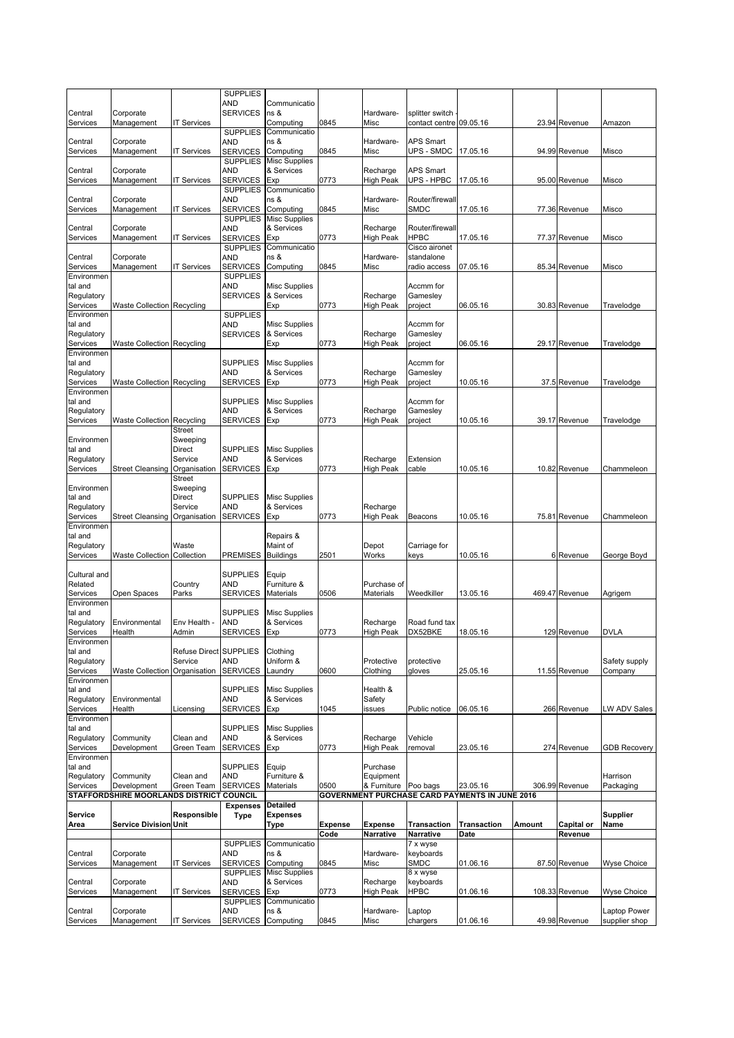|                         |                                          |                         | <b>SUPPLIES</b>                    |                                    |         |                              |                         |                                                |        |                |                     |
|-------------------------|------------------------------------------|-------------------------|------------------------------------|------------------------------------|---------|------------------------------|-------------------------|------------------------------------------------|--------|----------------|---------------------|
| Central                 | Corporate                                |                         | AND<br><b>SERVICES</b>             | Communicatio<br>ns &               |         | Hardware-                    | splitter switch         |                                                |        |                |                     |
| Services                | Management                               | <b>IT Services</b>      |                                    | Computing                          | 0845    | Misc                         | contact centre          | 09.05.16                                       |        | 23.94 Revenue  | Amazon              |
| Central                 | Corporate                                |                         | <b>SUPPLIES</b><br>AND             | Communicatio<br>ns &               |         | Hardware-                    | APS Smart               |                                                |        |                |                     |
| Services                | Management                               | <b>T Services</b>       | <b>SERVICES</b>                    | Computing                          | 0845    | Misc                         | UPS - SMDC              | 17.05.16                                       |        | 94.99 Revenue  | Misco               |
|                         | Corporate                                |                         | <b>SUPPLIES</b>                    | <b>Misc Supplies</b>               |         |                              | APS Smart               |                                                |        |                |                     |
| Central<br>Services     | Management                               | <b>T Services</b>       | <b>AND</b><br><b>SERVICES</b>      | & Services<br>Exp                  | 0773    | Recharge<br>High Peak        | UPS - HPBC              | 17.05.16                                       |        | 95.00 Revenue  | Misco               |
|                         |                                          |                         | <b>SUPPLIES</b>                    | Communicatio                       |         |                              |                         |                                                |        |                |                     |
| Central<br>Services     | Corporate<br>Management                  | <b>T Services</b>       | AND<br><b>SERVICES</b>             | ns &<br>Computing                  | 0845    | Hardware-<br>Misc            | Router/firewall<br>SMDC | 17.05.16                                       |        | 77.36 Revenue  | Misco               |
|                         |                                          |                         | <b>SUPPLIES</b>                    | <b>Misc Supplies</b>               |         |                              |                         |                                                |        |                |                     |
| Central                 | Corporate                                |                         | AND<br><b>SERVICES</b>             | & Services<br>Exp                  |         | Recharge                     | Router/firewall<br>HPBC |                                                |        |                |                     |
| Services                | Management                               | <b>IT Services</b>      | <b>SUPPLIES</b>                    | Communicatio                       | 0773    | High Peak                    | Cisco aironet           | 17.05.16                                       |        | 77.37 Revenue  | Misco               |
| Central                 | Corporate                                |                         | <b>AND</b>                         | ns &                               |         | Hardware-                    | standalone              |                                                |        |                |                     |
| Services<br>Environmen  | Management                               | <b>T Services</b>       | <b>SERVICES</b><br><b>SUPPLIES</b> | Computing                          | 0845    | Misc                         | radio access            | 07.05.16                                       |        | 85.34 Revenue  | Misco               |
| tal and                 |                                          |                         | <b>AND</b>                         | <b>Misc Supplies</b>               |         |                              | Accmm for               |                                                |        |                |                     |
| Regulatory              |                                          |                         | <b>SERVICES</b>                    | & Services<br>Exp                  |         | Recharge                     | Gamesley                |                                                |        | 30.83 Revenue  |                     |
| Services<br>Environmen  | <b>Waste Collection Recycling</b>        |                         | <b>SUPPLIES</b>                    |                                    | 0773    | High Peak                    | project                 | 06.05.16                                       |        |                | Travelodge          |
| tal and                 |                                          |                         | AND                                | <b>Misc Supplies</b>               |         |                              | Accmm for               |                                                |        |                |                     |
| Regulatory<br>Services  | <b>Waste Collection Recycling</b>        |                         | <b>SERVICES</b>                    | & Services<br>Exp                  | 0773    | Recharge<br>High Peak        | Gamesley<br>project     | 06.05.16                                       |        | 29.17 Revenue  | Travelodge          |
| Environmen              |                                          |                         |                                    |                                    |         |                              |                         |                                                |        |                |                     |
| tal and                 |                                          |                         | <b>SUPPLIES</b>                    | <b>Misc Supplies</b>               |         |                              | Accmm for               |                                                |        |                |                     |
| Regulatory<br>Services  | <b>Waste Collection Recycling</b>        |                         | <b>AND</b><br><b>SERVICES</b>      | & Services<br>Exp                  | 0773    | Recharge<br>High Peak        | Gamesley<br>project     | 10.05.16                                       |        | 37.5 Revenue   | Travelodge          |
| Environmen              |                                          |                         |                                    |                                    |         |                              |                         |                                                |        |                |                     |
| tal and<br>Regulatory   |                                          |                         | <b>SUPPLIES</b><br><b>AND</b>      | Misc Supplies<br>& Services        |         | Recharge                     | Accmm for<br>Gamesley   |                                                |        |                |                     |
| Services                | <b>Waste Collection Recycling</b>        |                         | <b>SERVICES</b>                    | Exp                                | 0773    | High Peak                    | project                 | 10.05.16                                       |        | 39.17 Revenue  | Travelodge          |
|                         |                                          | Street                  |                                    |                                    |         |                              |                         |                                                |        |                |                     |
| Environmen<br>tal and   |                                          | Sweeping<br>Direct      | <b>SUPPLIES</b>                    | <b>Misc Supplies</b>               |         |                              |                         |                                                |        |                |                     |
| Regulatory              |                                          | Service                 | <b>AND</b>                         | & Services                         |         | Recharge                     | Extension               |                                                |        |                |                     |
| Services                | Street Cleansing Organisation            | <b>Street</b>           | <b>SERVICES</b>                    | Exp                                | 0773    | High Peak                    | cable                   | 10.05.16                                       |        | 10.82 Revenue  | Chammeleon          |
| Environmen              |                                          | Sweeping                |                                    |                                    |         |                              |                         |                                                |        |                |                     |
| tal and                 |                                          | Direct                  | <b>SUPPLIES</b>                    | <b>Misc Supplies</b>               |         |                              |                         |                                                |        |                |                     |
| Regulatory<br>Services  | <b>Street Cleansing</b>                  | Service<br>Organisation | <b>AND</b><br><b>SERVICES</b>      | & Services<br>Exp                  | 0773    | Recharge<br>High Peak        | Beacons                 | 10.05.16                                       |        | 75.81 Revenue  | Chammeleon          |
| Environmen              |                                          |                         |                                    |                                    |         |                              |                         |                                                |        |                |                     |
| tal and<br>Regulatory   |                                          | Waste                   |                                    | Repairs &<br>Maint of              |         | Depot                        | Carriage for            |                                                |        |                |                     |
| Services                | Waste Collection Collection              |                         | <b>PREMISES</b>                    | <b>Buildings</b>                   | 2501    | Works                        | keys                    | 10.05.16                                       |        | 6 Revenue      | George Boyd         |
|                         |                                          |                         |                                    |                                    |         |                              |                         |                                                |        |                |                     |
| Cultural and<br>Related |                                          | Country                 | <b>SUPPLIES</b><br>AND             | Equip<br>Furniture &               |         | Purchase of                  |                         |                                                |        |                |                     |
| Services                | Open Spaces                              | Parks                   | <b>SERVICES</b>                    | <b>Materials</b>                   | 0506    | Materials                    | Weedkiller              | 13.05.16                                       |        | 469.47 Revenue | Agrigem             |
| Environmen<br>tal and   |                                          |                         | <b>SUPPLIES</b>                    | <b>Misc Supplies</b>               |         |                              |                         |                                                |        |                |                     |
| Regulatory              | Environmental                            | Env Health -            | <b>AND</b>                         | & Services                         |         | Recharge                     | Road fund tax           |                                                |        |                |                     |
| Services                | Health                                   | Admin                   | <b>SERVICES</b>                    | Exp                                | 0773    | High Peak                    | DX52BKE                 | 18.05.16                                       |        | 129 Revenue    | <b>DVLA</b>         |
| ∟nvironmen<br>tal and   |                                          | Refuse Direct SUPPLIES  |                                    | Clothing                           |         |                              |                         |                                                |        |                |                     |
| Regulatory              |                                          | Service                 | <b>AND</b>                         | Uniform &                          |         | Protective                   | protective              |                                                |        |                | Safety supply       |
| Services<br>Environmen  | <b>Waste Collection</b>                  | Organisation            | <b>SERVICES</b>                    | Laundry                            | 0600    | Clothing                     | gloves                  | 25.05.16                                       |        | 11.55 Revenue  | Company             |
| tal and                 |                                          |                         | <b>SUPPLIES</b>                    | <b>Misc Supplies</b>               |         | Health &                     |                         |                                                |        |                |                     |
| Regulatory<br>Services  | Environmental                            | Licensing               | <b>AND</b><br><b>SERVICES</b>      | & Services                         |         | Safety                       |                         | 06.05.16                                       |        |                |                     |
| Environmen              | Health                                   |                         |                                    | Exp                                | 1045    | issues                       | Public notice           |                                                |        | 266 Revenue    | LW ADV Sales        |
| tal and                 |                                          |                         | <b>SUPPLIES</b>                    | <b>Misc Supplies</b>               |         |                              |                         |                                                |        |                |                     |
| Regulatory<br>Services  | Community<br>Development                 | Clean and<br>Green Team | <b>AND</b><br><b>SERVICES</b>      | & Services<br>Exp                  | 0773    | Recharge<br><b>High Peak</b> | Vehicle<br>removal      | 23.05.16                                       |        | 274 Revenue    | <b>GDB Recovery</b> |
| Environmen              |                                          |                         |                                    |                                    |         |                              |                         |                                                |        |                |                     |
| tal and<br>Regulatory   | Community                                | Clean and               | <b>SUPPLIES</b><br><b>AND</b>      | Equip<br>Furniture &               |         | Purchase<br>Equipment        |                         |                                                |        |                | Harrison            |
| Services                | Development                              | Green Team              | <b>SERVICES</b>                    | <b>Materials</b>                   | 0500    | & Furniture Poo bags         |                         | 23.05.16                                       |        | 306.99 Revenue | Packaging           |
|                         | STAFFORDSHIRE MOORLANDS DISTRICT COUNCIL |                         |                                    |                                    |         |                              |                         | GOVERNMENT PURCHASE CARD PAYMENTS IN JUNE 2016 |        |                |                     |
| Service                 |                                          | Responsible             | <b>Expenses</b><br><b>Type</b>     | <b>Detailed</b><br><b>Expenses</b> |         |                              |                         |                                                |        |                | Supplier            |
| Area                    | <b>Service Division Unit</b>             |                         |                                    | Type                               | Expense | <b>Expense</b>               | <b>Transaction</b>      | <b>Transaction</b>                             | Amount | Capital or     | Name                |
|                         |                                          |                         |                                    | Communicatio                       | Code    | Narrative                    | Narrative<br>7 x wyse   | Date                                           |        | Revenue        |                     |
| Central                 |                                          |                         |                                    |                                    |         |                              |                         |                                                |        |                |                     |
|                         | Corporate                                |                         | <b>SUPPLIES</b><br><b>AND</b>      | ns &                               |         | Hardware-                    | keyboards               |                                                |        |                |                     |
| Services                | Management                               | <b>IT Services</b>      | <b>SERVICES</b>                    | Computing                          | 0845    | Misc                         | <b>SMDC</b>             | 01.06.16                                       |        | 87.50 Revenue  | <b>Wyse Choice</b>  |
|                         |                                          |                         | <b>SUPPLIES</b>                    | <b>Misc Supplies</b>               |         |                              | $8xw$ yse               |                                                |        |                |                     |
| Central<br>Services     | Corporate<br>Management                  | <b>IT Services</b>      | <b>AND</b><br><b>SERVICES</b>      | & Services<br>Exp                  | 0773    | Recharge<br>High Peak        | keyboards<br>HPBC       | 01.06.16                                       |        | 108.33 Revenue | <b>Wyse Choice</b>  |
| Central                 | Corporate                                |                         | <b>SUPPLIES</b><br><b>AND</b>      | Communicatio<br>ns &               |         | Hardware-                    | Laptop                  |                                                |        |                | Laptop Power        |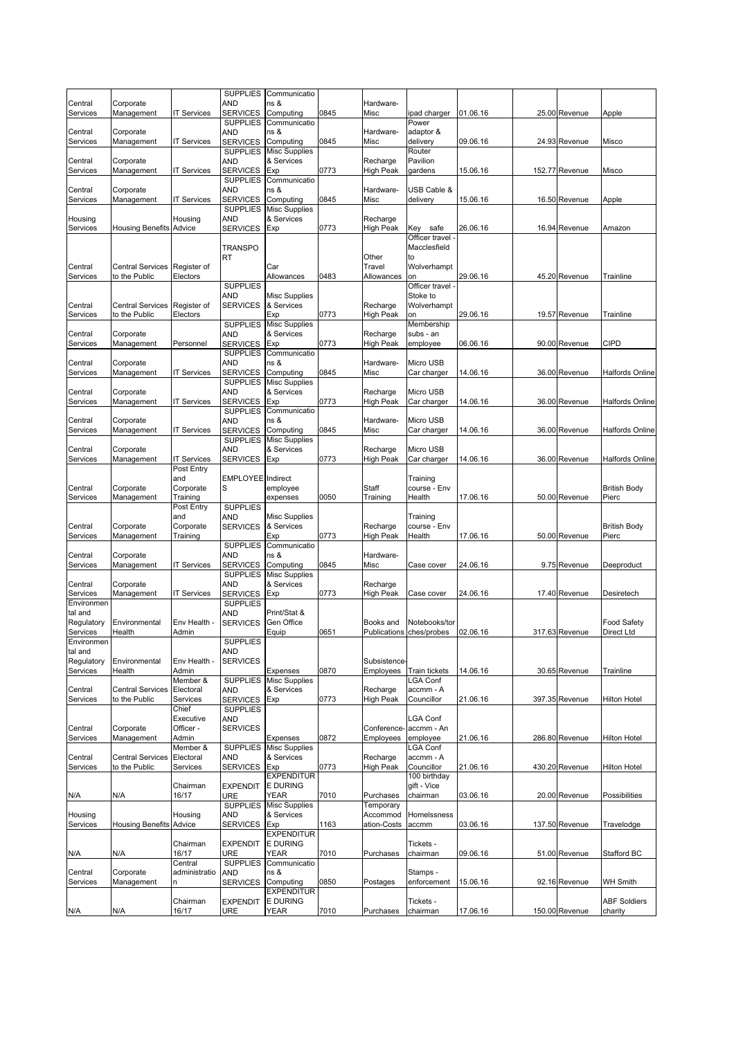|                       |                                          |                         | <b>SUPPLIES</b>                    | Communicatio                       |      |                       |                            |          |                |                        |
|-----------------------|------------------------------------------|-------------------------|------------------------------------|------------------------------------|------|-----------------------|----------------------------|----------|----------------|------------------------|
| Central               | Corporate                                |                         | <b>AND</b>                         | ns &                               |      | Hardware-             |                            |          |                |                        |
| Services              | Management                               | <b>IT Services</b>      | <b>SERVICES</b>                    | Computing                          | 0845 | Misc                  | ipad charger               | 01.06.16 | 25.00 Revenue  | Apple                  |
|                       |                                          |                         | <b>SUPPLIES</b>                    | Communicatio                       |      |                       | Power                      |          |                |                        |
| Central               | Corporate                                |                         | AND                                | ns &                               |      | Hardware-             | adaptor &                  |          |                |                        |
| Services              | Management                               | <b>T Services</b>       | <b>SERVICES</b><br><b>SUPPLIES</b> | Computing                          | 0845 | Misc                  | delivery<br>Router         | 09.06.16 | 24.93 Revenue  | Misco                  |
| Central               | Corporate                                |                         | AND                                | <b>Misc Supplies</b><br>& Services |      | Recharge              | Pavilion                   |          |                |                        |
| Services              | Management                               | <b>T Services</b>       | <b>SERVICES</b>                    | Exp                                | 0773 | High Peak             | gardens                    | 15.06.16 | 152.77 Revenue | Misco                  |
|                       |                                          |                         | <b>SUPPLIES</b>                    | Communicatio                       |      |                       |                            |          |                |                        |
| Central               | Corporate                                |                         | AND                                | ns &                               |      | Hardware-             | USB Cable &                |          |                |                        |
| Services              | Management                               | <b>T Services</b>       | <b>SERVICES</b>                    | Computing                          | 0845 | Misc                  | delivery                   | 15.06.16 | 16.50 Revenue  | Apple                  |
|                       |                                          |                         | <b>SUPPLIES</b>                    | <b>Misc Supplies</b>               |      |                       |                            |          |                |                        |
| Housing               |                                          | Housing                 | AND                                | & Services                         |      | Recharge              |                            |          |                |                        |
| Services              | <b>Housing Benefits Advice</b>           |                         | <b>SERVICES</b>                    | Exp                                | 0773 | High Peak             | safe<br>Key                | 26.06.16 | 16.94 Revenue  | Amazon                 |
|                       |                                          |                         |                                    |                                    |      |                       | Officer travel             |          |                |                        |
|                       |                                          |                         | <b>TRANSPO</b>                     |                                    |      |                       | Macclesfield               |          |                |                        |
|                       |                                          |                         | RT                                 |                                    |      | Other                 | to                         |          |                |                        |
| Central               | Central Services Register of             |                         |                                    | Car                                |      | Travel                | Wolverhampt                |          |                |                        |
| Services              | to the Public                            | Electors                |                                    | Allowances                         | 0483 | Allowances            | on                         | 29.06.16 | 45.20 Revenue  | Trainline              |
|                       |                                          |                         | <b>SUPPLIES</b>                    |                                    |      |                       | Officer travel             |          |                |                        |
|                       |                                          |                         | <b>AND</b>                         | <b>Misc Supplies</b><br>& Services |      |                       | Stoke to                   |          |                |                        |
| Central<br>Services   | <b>Central Services</b><br>to the Public | Register of<br>Electors | <b>SERVICES</b>                    | Exp                                | 0773 | Recharge<br>High Peak | Wolverhampt<br>on          | 29.06.16 | 19.57 Revenue  | Trainline              |
|                       |                                          |                         | <b>SUPPLIES</b>                    | <b>Misc Supplies</b>               |      |                       | Membership                 |          |                |                        |
| Central               | Corporate                                |                         | <b>AND</b>                         | & Services                         |      | Recharge              | subs - an                  |          |                |                        |
| Services              | Management                               | Personnel               | <b>SERVICES</b>                    | Exp                                | 0773 | High Peak             | employee                   | 06.06.16 | 90.00 Revenue  | <b>CIPD</b>            |
|                       |                                          |                         | <b>SUPPLIES</b>                    | Communicatio                       |      |                       |                            |          |                |                        |
| Central               | Corporate                                |                         | AND                                | ns &                               |      | Hardware-             | Micro USB                  |          |                |                        |
| Services              | Management                               | <b>T Services</b>       | <b>SERVICES</b>                    | Computing                          | 0845 | Misc                  | Car charger                | 14.06.16 | 36.00 Revenue  | Halfords Online        |
|                       |                                          |                         | <b>SUPPLIES</b>                    | <b>Misc Supplies</b>               |      |                       |                            |          |                |                        |
| Central               | Corporate                                |                         | <b>AND</b>                         | & Services                         |      | Recharge              | Micro USB                  |          |                |                        |
| Services              | Management                               | <b>T Services</b>       | <b>SERVICES</b>                    | Exp                                | 0773 | High Peak             | Car charger                | 14.06.16 | 36.00 Revenue  | <b>Halfords Online</b> |
|                       |                                          |                         | <b>SUPPLIES</b>                    | Communicatio                       |      |                       |                            |          |                |                        |
| Central               | Corporate                                |                         | AND                                | ns &                               |      | Hardware-             | Micro USB                  |          |                |                        |
| Services              | Management                               | <b>T Services</b>       | <b>SERVICES</b>                    | Computing                          | 0845 | Misc                  | Car charger                | 14.06.16 | 36.00 Revenue  | <b>Halfords Online</b> |
|                       |                                          |                         | <b>SUPPLIES</b>                    | <b>Misc Supplies</b>               |      |                       |                            |          |                |                        |
| Central               | Corporate                                |                         | AND                                | & Services                         |      | Recharge              | Micro USB                  |          |                |                        |
| Services              | Management                               | IT Services             | <b>SERVICES</b>                    | Exp                                | 0773 | High Peak             | Car charger                | 14.06.16 | 36.00 Revenue  | Halfords Online        |
|                       |                                          | Post Entry<br>and       | <b>EMPLOYEE</b> Indirect           |                                    |      |                       | Training                   |          |                |                        |
| Central               | Corporate                                | Corporate               | S                                  | employee                           |      | Staff                 | course - Env               |          |                | <b>British Body</b>    |
| Services              | Management                               | Training                |                                    | expenses                           | 0050 | Training              | Health                     | 17.06.16 | 50.00 Revenue  | Pierc                  |
|                       |                                          | Post Entry              | <b>SUPPLIES</b>                    |                                    |      |                       |                            |          |                |                        |
|                       |                                          | and                     | <b>AND</b>                         | <b>Misc Supplies</b>               |      |                       | Training                   |          |                |                        |
| Central               | Corporate                                | Corporate               | <b>SERVICES</b>                    | & Services                         |      | Recharge              | course - Env               |          |                | <b>British Body</b>    |
| Services              | Management                               | Training                |                                    | Exp                                | 0773 | <b>High Peak</b>      | Health                     | 17.06.16 | 50.00 Revenue  | Pierc                  |
|                       |                                          |                         | <b>SUPPLIES</b>                    | Communicatio                       |      |                       |                            |          |                |                        |
| Central               | Corporate                                |                         | AND                                | ns &                               |      | Hardware-             |                            |          |                |                        |
| Services              | Management                               | <b>T Services</b>       | <b>SERVICES</b>                    | Computing                          | 0845 | Misc                  | Case cover                 | 24.06.16 | 9.75 Revenue   | Deeproduct             |
|                       |                                          |                         | <b>SUPPLIES</b>                    | <b>Misc Supplies</b>               |      |                       |                            |          |                |                        |
| Central               | Corporate                                |                         | <b>AND</b>                         | & Services                         |      | Recharge              |                            |          |                |                        |
| Services              | Management                               | <b>T Services</b>       | <b>SERVICES</b>                    | Exp                                | 0773 | High Peak             | Case cover                 | 24.06.16 | 17.40 Revenue  | Desiretech             |
| Environmen            |                                          |                         | <b>SUPPLIES</b>                    | Print/Stat &                       |      |                       |                            |          |                |                        |
| tal and<br>Regulatory | Environmental                            | Env Health -            | AND<br><b>SERVICES</b>             | Gen Office                         |      | Books and             | Notebooks/tor              |          |                | Food Safety            |
| Services              | Health                                   | Admin                   |                                    | Equip                              | 0651 |                       | Publications ches/probes   | 02.06.16 | 317.63 Revenue | Direct Ltd             |
|                       |                                          |                         | <b>SUPPLIES</b>                    |                                    |      |                       |                            |          |                |                        |
| Environmen<br>tal and |                                          |                         | AND                                |                                    |      |                       |                            |          |                |                        |
| Regulatory            | Environmental                            | Env Health -            | <b>SERVICES</b>                    |                                    |      | <b>Subsistence</b>    |                            |          |                |                        |
| Services              | Health                                   | Admin                   |                                    | Expenses                           | 0870 | Employees             | Train tickets              | 14.06.16 | 30.65 Revenue  | Trainline              |
|                       |                                          | Member &                | <b>SUPPLIES</b>                    | <b>Misc Supplies</b>               |      |                       | LGA Conf                   |          |                |                        |
| Central               | <b>Central Services</b>                  | Electoral               | <b>AND</b>                         | & Services                         |      | Recharge              | accmm - A                  |          |                |                        |
| Services              | to the Public                            | Services                | <b>SERVICES</b>                    | Exp                                | 0773 | High Peak             | Councillor                 | 21.06.16 | 397.35 Revenue | <b>Hilton Hotel</b>    |
|                       |                                          | Chief                   | <b>SUPPLIES</b>                    |                                    |      |                       |                            |          |                |                        |
|                       |                                          | Executive               | <b>AND</b>                         |                                    |      |                       | <b>LGA Conf</b>            |          |                |                        |
| Central               | Corporate                                | Officer -               | <b>SERVICES</b>                    |                                    |      | Conference-           | accmm - An                 |          |                |                        |
| Services              | Management                               | Admin                   |                                    | Expenses                           | 0872 | Employees             | employee                   | 21.06.16 | 286.80 Revenue | <b>Hilton Hotel</b>    |
|                       |                                          | Member &                | <b>SUPPLIES</b>                    | <b>Misc Supplies</b>               |      |                       | LGA Conf                   |          |                |                        |
| Central               | <b>Central Services</b>                  | Electoral               | <b>AND</b>                         | & Services                         |      | Recharge              | accmm - A                  |          |                |                        |
| Services              | to the Public                            | Services                | <b>SERVICES</b>                    | Exp<br><b>EXPENDITUR</b>           | 0773 | High Peak             | Councillor<br>100 birthday | 21.06.16 | 430.20 Revenue | <b>Hilton Hotel</b>    |
|                       |                                          | Chairman                | <b>EXPENDIT</b>                    | <b>E DURING</b>                    |      |                       | gift - Vice                |          |                |                        |
| N/A                   | N/A                                      | 16/17                   | <b>URE</b>                         | YEAR                               | 7010 | Purchases             | chairman                   | 03.06.16 | 20.00 Revenue  | Possibilities          |
|                       |                                          |                         | <b>SUPPLIES</b>                    | <b>Misc Supplies</b>               |      | Temporary             |                            |          |                |                        |
| Housing               |                                          | Housing                 | <b>AND</b>                         | & Services                         |      | Accommod              | Homelssness                |          |                |                        |
| Services              | <b>Housing Benefits Advice</b>           |                         | <b>SERVICES</b>                    | Exp                                | 1163 | ation-Costs           | accmm                      | 03.06.16 | 137.50 Revenue | Travelodge             |
|                       |                                          |                         |                                    | <b>EXPENDITUR</b>                  |      |                       |                            |          |                |                        |
|                       |                                          | Chairman                | <b>EXPENDIT</b>                    | <b>E DURING</b>                    |      |                       | Tickets -                  |          |                |                        |
| N/A                   | N/A                                      | 16/17                   | URE                                | YEAR                               | 7010 | Purchases             | chairman                   | 09.06.16 | 51.00 Revenue  | Stafford BC            |
|                       |                                          | Central                 | <b>SUPPLIES</b>                    | Communicatio                       |      |                       |                            |          |                |                        |
| Central               | Corporate                                | administratio           | <b>AND</b>                         | ns &                               |      |                       | Stamps -                   |          |                |                        |
| Services              | Management                               | n                       | <b>SERVICES</b>                    | Computing                          | 0850 | Postages              | enforcement                | 15.06.16 | 92.16 Revenue  | WH Smith               |
|                       |                                          |                         |                                    | <b>EXPENDITUR</b>                  |      |                       |                            |          |                |                        |
|                       |                                          | Chairman                | <b>EXPENDIT</b>                    | <b>E DURING</b>                    |      |                       | Tickets -                  |          |                | <b>ABF Soldiers</b>    |
| N/A                   | N/A                                      | 16/17                   | <b>URE</b>                         | YEAR                               | 7010 | Purchases             | chairman                   | 17.06.16 | 150.00 Revenue | charity                |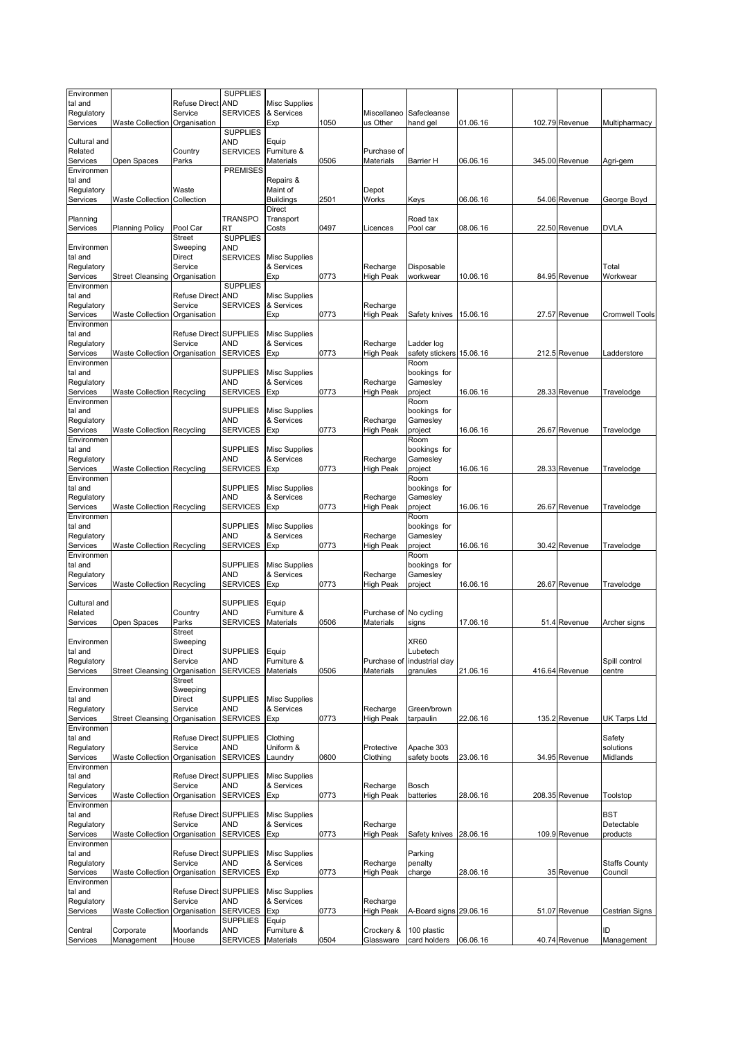| Environmen<br>tal and  |                                   | <b>Refuse Direct</b>              | <b>SUPPLIES</b><br><b>AND</b>      | <b>Misc Supplies</b>               |      |                              |                                        |          |                |                       |
|------------------------|-----------------------------------|-----------------------------------|------------------------------------|------------------------------------|------|------------------------------|----------------------------------------|----------|----------------|-----------------------|
| Regulatory             |                                   | Service                           | <b>SERVICES</b>                    | & Services                         |      | Miscellaneo                  | Safecleanse                            |          |                |                       |
| Services               | <b>Waste Collection</b>           | Organisation                      |                                    | Exp                                | 1050 | us Other                     | hand gel                               | 01.06.16 | 102.79 Revenue | Multipharmacy         |
| Cultural and           |                                   |                                   | <b>SUPPLIES</b><br>AND             | Equip                              |      |                              |                                        |          |                |                       |
| Related                |                                   | Country                           | <b>SERVICES</b>                    | Furniture &                        |      | Purchase of                  |                                        |          |                |                       |
| Services<br>Environmen | Open Spaces                       | Parks                             | <b>PREMISES</b>                    | Materials                          | 0506 | Materials                    | Barrier H                              | 06.06.16 | 345.00 Revenue | Agri-gem              |
| tal and                |                                   |                                   |                                    | Repairs &                          |      |                              |                                        |          |                |                       |
| Regulatory             |                                   | Waste                             |                                    | Maint of                           |      | Depot                        |                                        |          |                |                       |
| Services               | <b>Waste Collection</b>           | Collection                        |                                    | <b>Buildings</b><br>Direct         | 2501 | Works                        | Keys                                   | 06.06.16 | 54.06 Revenue  | George Boyd           |
| Planning               |                                   |                                   | TRANSPO                            | Transport                          |      |                              | Road tax                               |          |                |                       |
| Services               | <b>Planning Policy</b>            | Pool Car                          | RT                                 | Costs                              | 0497 | Licences                     | Pool car                               | 08.06.16 | 22.50 Revenue  | <b>DVLA</b>           |
| Environmen             |                                   | Street<br>Sweeping                | <b>SUPPLIES</b><br>AND             |                                    |      |                              |                                        |          |                |                       |
| tal and                |                                   | <b>Direct</b>                     | <b>SERVICES</b>                    | <b>Misc Supplies</b>               |      |                              |                                        |          |                |                       |
| Regulatory<br>Services |                                   | Service<br>Organisation           |                                    | & Services                         | 0773 | Recharge<br><b>High Peak</b> | Disposable<br>workwear                 | 10.06.16 | 84.95 Revenue  | Total<br>Workwear     |
| Environmen             | <b>Street Cleansing</b>           |                                   | <b>SUPPLIES</b>                    | Exp                                |      |                              |                                        |          |                |                       |
| tal and                |                                   | <b>Refuse Direct</b>              | <b>AND</b>                         | Misc Supplies                      |      |                              |                                        |          |                |                       |
| Regulatory<br>Services | <b>Waste Collection</b>           | Service<br>Organisation           | <b>SERVICES</b>                    | & Services<br>Exp                  | 0773 | Recharge<br>High Peak        | Safety knives                          | 15.06.16 | 27.57 Revenue  | <b>Cromwell Tools</b> |
| Environmen             |                                   |                                   |                                    |                                    |      |                              |                                        |          |                |                       |
| tal and                |                                   | Refuse Direct SUPPLIES            |                                    | <b>Misc Supplies</b>               |      |                              |                                        |          |                |                       |
| Regulatory<br>Services | <b>Waste Collection</b>           | Service<br>Organisation           | <b>AND</b><br><b>SERVICES</b>      | & Services<br>Exp                  | 0773 | Recharge<br>High Peak        | Ladder log<br>safety stickers 15.06.16 |          | 212.5 Revenue  | Ladderstore           |
| Environmen             |                                   |                                   |                                    |                                    |      |                              | Room                                   |          |                |                       |
| tal and                |                                   |                                   | <b>SUPPLIES</b>                    | <b>Misc Supplies</b>               |      |                              | bookings for                           |          |                |                       |
| Regulatory<br>Services | <b>Waste Collection Recycling</b> |                                   | AND<br><b>SERVICES</b>             | & Services<br>Exp                  | 0773 | Recharge<br>High Peak        | Gamesley<br>project                    | 16.06.16 | 28.33 Revenue  | Travelodge            |
| Environmen             |                                   |                                   |                                    |                                    |      |                              | Room                                   |          |                |                       |
| tal and<br>Regulatory  |                                   |                                   | <b>SUPPLIES</b><br><b>AND</b>      | <b>Misc Supplies</b><br>& Services |      | Recharge                     | bookings for<br>Gamesley               |          |                |                       |
| Services               | <b>Waste Collection Recycling</b> |                                   | <b>SERVICES</b>                    | Exp                                | 0773 | High Peak                    | project                                | 16.06.16 | 26.67 Revenue  | Travelodge            |
| Environmen             |                                   |                                   |                                    |                                    |      |                              | Room                                   |          |                |                       |
| tal and<br>Regulatory  |                                   |                                   | <b>SUPPLIES</b><br>AND             | <b>Misc Supplies</b><br>& Services |      | Recharge                     | bookings for<br>Gamesley               |          |                |                       |
| Services               | <b>Waste Collection Recycling</b> |                                   | <b>SERVICES</b>                    | Exp                                | 0773 | <b>High Peak</b>             | project                                | 16.06.16 | 28.33 Revenue  | Travelodge            |
| Environmen             |                                   |                                   |                                    |                                    |      |                              | Room                                   |          |                |                       |
| tal and<br>Regulatory  |                                   |                                   | <b>SUPPLIES</b><br><b>AND</b>      | <b>Misc Supplies</b><br>& Services |      | Recharge                     | bookings for<br>Gamesley               |          |                |                       |
| Services               | Waste Collection Recycling        |                                   | <b>SERVICES</b>                    | Exp                                | 0773 | High Peak                    | project                                | 16.06.16 | 26.67 Revenue  | Travelodge            |
| Environmen             |                                   |                                   |                                    |                                    |      |                              | Room                                   |          |                |                       |
| tal and<br>Regulatory  |                                   |                                   | <b>SUPPLIES</b><br>AND             | <b>Misc Supplies</b><br>& Services |      | Recharge                     | bookings for<br>Gamesley               |          |                |                       |
| Services               | <b>Waste Collection Recycling</b> |                                   | <b>SERVICES</b>                    | Exp                                | 0773 | High Peak                    | project                                | 16.06.16 | 30.42 Revenue  | Travelodge            |
| Environmen             |                                   |                                   |                                    |                                    |      |                              | Room                                   |          |                |                       |
| tal and<br>Regulatory  |                                   |                                   | <b>SUPPLIES</b><br>AND             | <b>Misc Supplies</b><br>& Services |      | Recharge                     | bookings for<br>Gamesley               |          |                |                       |
| Services               | <b>Waste Collection Recycling</b> |                                   | <b>SERVICES</b>                    | Exp                                | 0773 | High Peak                    | project                                | 16.06.16 | 26.67 Revenue  | Travelodge            |
| Cultural and           |                                   |                                   | <b>SUPPLIES</b>                    | Equip                              |      |                              |                                        |          |                |                       |
| Related                |                                   | Country                           | AND                                | Furniture &                        |      | Purchase of                  | No cycling                             |          |                |                       |
| Services               | Open Spaces                       | Parks                             | <b>SERVICES</b>                    | Materials                          | 0506 | <b>Materials</b>             | signs                                  | 17.06.16 | 51.4 Revenue   | Archer signs          |
| Environmen             |                                   | Street<br>Sweeping                |                                    |                                    |      |                              | XR60                                   |          |                |                       |
| tal and                |                                   | Direct                            | <b>SUPPLIES</b>                    | Equip                              |      |                              | Lubetech                               |          |                |                       |
| Regulatory             |                                   | Service                           | AND                                | Furniture &                        |      | Purchase of                  | industrial clay                        |          |                | Spill control         |
| Services               | <b>Street Cleansing</b>           | Organisation<br>Street            | <b>SERVICES</b>                    | Materials                          | 0506 | <b>Materials</b>             | granules                               | 21.06.16 | 416.64 Revenue | centre                |
| Environmen             |                                   | Sweeping                          |                                    |                                    |      |                              |                                        |          |                |                       |
| tal and<br>Regulatory  |                                   | Direct<br>Service                 | <b>SUPPLIES</b><br><b>AND</b>      | <b>Misc Supplies</b><br>& Services |      | Recharge                     | Green/brown                            |          |                |                       |
| Services               | <b>Street Cleansing</b>           | Organisation                      | <b>SERVICES</b>                    | Exp                                | 0773 | High Peak                    | tarpaulin                              | 22.06.16 | 135.2 Revenue  | UK Tarps Ltd          |
| Environmen             |                                   |                                   |                                    |                                    |      |                              |                                        |          |                |                       |
| tal and<br>Regulatory  |                                   | Refuse Direct SUPPLIES<br>Service | AND                                | Clothing<br>Uniform &              |      | Protective                   | Apache 303                             |          |                | Safety<br>solutions   |
| Services               | <b>Waste Collection</b>           | Organisation                      | <b>SERVICES</b>                    | Laundry                            | 0600 | Clothing                     | safety boots                           | 23.06.16 | 34.95 Revenue  | Midlands              |
| Environmen<br>tal and  |                                   | Refuse Direct SUPPLIES            |                                    |                                    |      |                              |                                        |          |                |                       |
| Regulatory             |                                   | Service                           | AND                                | Misc Supplies<br>& Services        |      | Recharge                     | <b>Bosch</b>                           |          |                |                       |
| Services               | <b>Waste Collection</b>           | Organisation                      | <b>SERVICES</b>                    | Exp                                | 0773 | <b>High Peak</b>             | batteries                              | 28.06.16 | 208.35 Revenue | Toolstop              |
| Environmen<br>tal and  |                                   | Refuse Direct SUPPLIES            |                                    | Misc Supplies                      |      |                              |                                        |          |                | <b>BST</b>            |
| Regulatory             |                                   | Service                           | AND                                | & Services                         |      | Recharge                     |                                        |          |                | Detectable            |
| Services               | <b>Waste Collection</b>           | Organisation                      | <b>SERVICES</b>                    | Exp                                | 0773 | High Peak                    | Safety knives 28.06.16                 |          | 109.9 Revenue  | products              |
| Environmen<br>tal and  |                                   | Refuse Direct SUPPLIES            |                                    | <b>Misc Supplies</b>               |      |                              | Parking                                |          |                |                       |
| Regulatory             |                                   | Service                           | AND                                | & Services                         |      | Recharge                     | penalty                                |          |                | <b>Staffs County</b>  |
| Services               | <b>Waste Collection</b>           | Organisation                      | <b>SERVICES</b>                    | Exp                                | 0773 | High Peak                    | charge                                 | 28.06.16 | 35 Revenue     | Council               |
| Environmen<br>tal and  |                                   | Refuse Direct SUPPLIES            |                                    | Misc Supplies                      |      |                              |                                        |          |                |                       |
| Regulatory             |                                   | Service                           | AND                                | & Services                         |      | Recharge                     |                                        |          |                |                       |
| Services               | <b>Waste Collection</b>           | Organisation                      | <b>SERVICES</b><br><b>SUPPLIES</b> | Exp                                | 0773 | <b>High Peak</b>             | A-Board signs 29.06.16                 |          | 51.07 Revenue  | Cestrian Signs        |
| Central                | Corporate                         | Moorlands                         | <b>AND</b>                         | Equip<br>Furniture &               |      | Crockery &                   | 100 plastic                            |          |                | ID                    |
| Services               | Management                        | House                             | <b>SERVICES</b>                    | Materials                          | 0504 | Glassware                    | card holders                           | 06.06.16 | 40.74 Revenue  | Management            |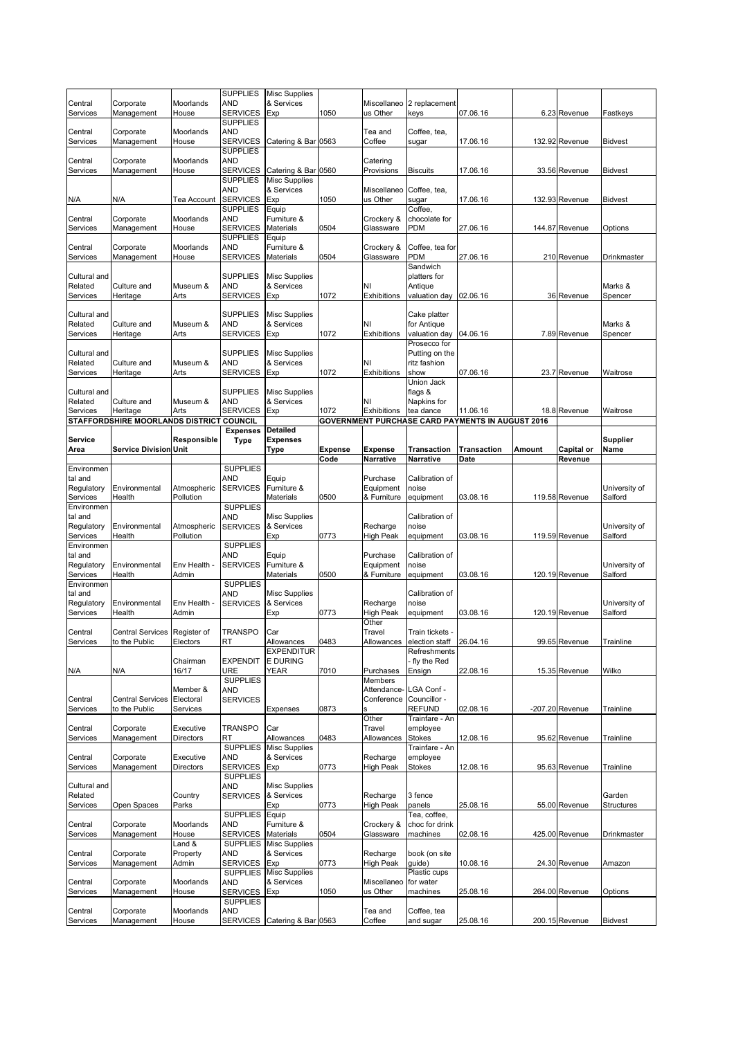|                        |                                                      |                       | <b>SUPPLIES</b>                    | <b>Misc Supplies</b>               |         |                              |                                |                                                                     |        |                   |                   |
|------------------------|------------------------------------------------------|-----------------------|------------------------------------|------------------------------------|---------|------------------------------|--------------------------------|---------------------------------------------------------------------|--------|-------------------|-------------------|
| Central                | Corporate                                            | Moorlands             | AND                                | & Services                         |         |                              | Miscellaneo 2 replacement      |                                                                     |        |                   |                   |
| Services               | Management                                           | House                 | <b>SERVICES</b>                    | Exp                                | 1050    | us Other                     | keys                           | 07.06.16                                                            |        | 6.23 Revenue      | Fastkeys          |
|                        |                                                      |                       | <b>SUPPLIES</b>                    |                                    |         |                              |                                |                                                                     |        |                   |                   |
| Central                | Corporate                                            | Moorlands             | AND                                |                                    |         | Tea and                      | Coffee, tea,                   |                                                                     |        |                   |                   |
| Services               | Management                                           | House                 | <b>SERVICES</b><br><b>SUPPLIES</b> | Catering & Bar 0563                |         | Coffee                       | sugar                          | 17.06.16                                                            |        | 132.92 Revenue    | <b>Bidvest</b>    |
| Central                | Corporate                                            | Moorlands             | AND                                |                                    |         | Catering                     |                                |                                                                     |        |                   |                   |
| Services               | Management                                           | House                 | <b>SERVICES</b>                    | Catering & Bar 0560                |         | Provisions                   | <b>Biscuits</b>                | 17.06.16                                                            |        | 33.56 Revenue     | <b>Bidvest</b>    |
|                        |                                                      |                       | <b>SUPPLIES</b>                    | <b>Misc Supplies</b>               |         |                              |                                |                                                                     |        |                   |                   |
|                        |                                                      |                       | AND                                | & Services                         |         | Miscellaneo                  | Coffee, tea,                   |                                                                     |        |                   |                   |
| N/A                    | N/A                                                  | Tea Account           | <b>SERVICES</b><br><b>SUPPLIES</b> | Exp<br>Equip                       | 1050    | us Other                     | sugar<br>Coffee,               | 17.06.16                                                            |        | 132.93 Revenue    | <b>Bidvest</b>    |
| Central                | Corporate                                            | Moorlands             | AND                                | Furniture &                        |         | Crockery &                   | chocolate for                  |                                                                     |        |                   |                   |
| Services               | Management                                           | House                 | <b>SERVICES</b>                    | <b>Materials</b>                   | 0504    | Glassware                    | PDM                            | 27.06.16                                                            |        | 144.87 Revenue    | Options           |
|                        |                                                      |                       | <b>SUPPLIES</b>                    | Equip                              |         |                              |                                |                                                                     |        |                   |                   |
| Central                | Corporate                                            | Moorlands             | <b>AND</b><br><b>SERVICES</b>      | Furniture &<br><b>Materials</b>    | 0504    | Crockery &<br>Glassware      | Coffee, tea for<br><b>PDM</b>  | 27.06.16                                                            |        |                   |                   |
| Services               | Management                                           | House                 |                                    |                                    |         |                              | Sandwich                       |                                                                     |        | 210 Revenue       | Drinkmaster       |
| Cultural and           |                                                      |                       | <b>SUPPLIES</b>                    | <b>Misc Supplies</b>               |         |                              | platters for                   |                                                                     |        |                   |                   |
| Related                | Culture and                                          | Museum &              | AND                                | & Services                         |         | NI                           | Antique                        |                                                                     |        |                   | Marks &           |
| Services               | Heritage                                             | Arts                  | <b>SERVICES</b>                    | Exp                                | 1072    | <b>Exhibitions</b>           | valuation day                  | 02.06.16                                                            |        | 36 Revenue        | Spencer           |
| Cultural and           |                                                      |                       | <b>SUPPLIES</b>                    | <b>Misc Supplies</b>               |         |                              | Cake platter                   |                                                                     |        |                   |                   |
| Related                | Culture and                                          | Museum &              | AND                                | & Services                         |         | NI                           | for Antique                    |                                                                     |        |                   | Marks &           |
| Services               | Heritage                                             | Arts                  | <b>SERVICES</b>                    | Exp                                | 1072    | Exhibitions                  | valuation day                  | 04.06.16                                                            |        | 7.89 Revenue      | Spencer           |
|                        |                                                      |                       |                                    |                                    |         |                              | Prosecco for                   |                                                                     |        |                   |                   |
| Cultural and           |                                                      |                       | <b>SUPPLIES</b>                    | <b>Misc Supplies</b>               |         |                              | Putting on the                 |                                                                     |        |                   |                   |
| Related<br>Services    | Culture and<br>Heritage                              | Museum &<br>Arts      | AND<br><b>SERVICES</b>             | & Services<br>Exp                  | 1072    | NI<br><b>Exhibitions</b>     | ritz fashion<br>show           | 07.06.16                                                            |        | 23.7 Revenue      | Waitrose          |
|                        |                                                      |                       |                                    |                                    |         |                              | Union Jack                     |                                                                     |        |                   |                   |
| Cultural and           |                                                      |                       | <b>SUPPLIES</b>                    | <b>Misc Supplies</b>               |         |                              | flags &                        |                                                                     |        |                   |                   |
| Related                | Culture and                                          | Museum &              | <b>AND</b>                         | & Services                         |         | NI                           | Napkins for                    |                                                                     |        |                   |                   |
| Services               | Heritage<br>STAFFORDSHIRE MOORLANDS DISTRICT COUNCIL | Arts                  | <b>SERVICES</b>                    | Exp                                | 1072    | <b>Exhibitions</b>           | tea dance                      | 11.06.16<br><b>GOVERNMENT PURCHASE CARD PAYMENTS IN AUGUST 2016</b> |        | 18.8 Revenue      | Waitrose          |
|                        |                                                      |                       | <b>Expenses</b>                    | Detailed                           |         |                              |                                |                                                                     |        |                   |                   |
| Service                |                                                      | Responsible           | <b>Type</b>                        | Expenses                           |         |                              |                                |                                                                     |        |                   | <b>Supplier</b>   |
| Area                   | <b>Service Division Unit</b>                         |                       |                                    | Type                               | Expense | <b>Expense</b>               | Transaction                    | <b>Transaction</b>                                                  | Amount | Capital or        | Name              |
|                        |                                                      |                       |                                    |                                    | Code    | Narrative                    | Narrative                      | Date                                                                |        | Revenue           |                   |
| Environmen<br>tal and  |                                                      |                       | <b>SUPPLIES</b><br>AND             | Equip                              |         | Purchase                     | Calibration of                 |                                                                     |        |                   |                   |
| Regulatory             | Environmental                                        | Atmospheric           | <b>SERVICES</b>                    | Furniture &                        |         | Equipment                    | noise                          |                                                                     |        |                   | University of     |
| Services               | Health                                               | Pollution             |                                    | <b>Materials</b>                   | 0500    | & Furniture                  | equipment                      | 03.08.16                                                            |        | 119.58 Revenue    | Salford           |
| Environmen             |                                                      |                       | <b>SUPPLIES</b>                    |                                    |         |                              |                                |                                                                     |        |                   |                   |
|                        |                                                      |                       |                                    |                                    |         |                              |                                |                                                                     |        |                   |                   |
| tal and                |                                                      |                       | AND                                | Misc Supplies                      |         |                              | Calibration of                 |                                                                     |        |                   |                   |
| Regulatory             | Environmental                                        | Atmospheric           | <b>SERVICES</b>                    | & Services                         |         | Recharge                     | noise                          |                                                                     |        |                   | University of     |
| Services<br>Environmen | Health                                               | Pollution             | <b>SUPPLIES</b>                    | Exp                                | 0773    | <b>High Peak</b>             | equipment                      | 03.08.16                                                            |        | 119.59 Revenue    | Salford           |
| tal and                |                                                      |                       | AND                                | Equip                              |         | Purchase                     | Calibration of                 |                                                                     |        |                   |                   |
| Regulatory             | Environmental                                        | Env Health -          | <b>SERVICES</b>                    | Furniture &                        |         | Equipment                    | noise                          |                                                                     |        |                   | University of     |
| Services               | Health                                               | Admin                 |                                    | Materials                          | 0500    | & Furniture                  | equipment                      | 03.08.16                                                            |        | 120.19 Revenue    | Salford           |
| Environmen             |                                                      |                       | <b>SUPPLIES</b>                    |                                    |         |                              |                                |                                                                     |        |                   |                   |
| tal and<br>Regulatory  | Environmental                                        | Env Health -          | <b>AND</b><br><b>SERVICES</b>      | <b>Misc Supplies</b><br>& Services |         | Recharge                     | Calibration of<br>noise        |                                                                     |        |                   | University of     |
| Services               | Health                                               | Admin                 |                                    | Exp                                | 0773    | <b>High Peak</b>             | equipment                      | 03.08.16                                                            |        | 120.19 Revenue    | Salford           |
|                        |                                                      |                       |                                    |                                    |         | Other                        |                                |                                                                     |        |                   |                   |
| Central                | Central Services Register of                         |                       | <b>TRANSPO</b>                     | Car                                |         | Travel                       | Train tickets -                |                                                                     |        |                   |                   |
| Services               | to the Public                                        | Electors              | R1                                 | Allowances                         | 0483    | Allowances                   | election staff                 | 26.04.16                                                            |        | 99.65 Revenue     | <i>I</i> rainline |
|                        |                                                      | Chairman              | <b>EXPENDIT</b>                    | <b>EXPENDITUR</b><br>E DURING      |         |                              | Refreshments<br>fly the Red    |                                                                     |        |                   |                   |
| N/A                    | N/A                                                  | 16/17                 | URE                                | YEAR                               | 7010    | Purchases                    | Ensign                         | 22.08.16                                                            |        | 15.35 Revenue     | Wilko             |
|                        |                                                      |                       | <b>SUPPLIES</b>                    |                                    |         | Members                      |                                |                                                                     |        |                   |                   |
|                        |                                                      | Member &              | AND                                |                                    |         | Attendance-                  | LGA Conf-                      |                                                                     |        |                   |                   |
| Central<br>Services    | <b>Central Services</b><br>to the Public             | Electoral<br>Services | <b>SERVICES</b>                    | Expenses                           | 0873    | Conference                   | Councillor -<br><b>REFUND</b>  | 02.08.16                                                            |        | $-207.20$ Revenue | Trainline         |
|                        |                                                      |                       |                                    |                                    |         | Other                        | Trainfare - An                 |                                                                     |        |                   |                   |
| Central                | Corporate                                            | Executive             | <b>TRANSPO</b>                     | Car                                |         | Travel                       | employee                       |                                                                     |        |                   |                   |
| Services               | Management                                           | Directors             | RT                                 | Allowances                         | 0483    | Allowances                   | Stokes                         | 12.08.16                                                            |        | 95.62 Revenue     | Trainline         |
|                        |                                                      |                       | <b>SUPPLIES</b>                    | <b>Misc Supplies</b>               |         |                              | Trainfare - An                 |                                                                     |        |                   |                   |
| Central                | Corporate                                            | Executive             | AND                                | & Services                         | 0773    | Recharge<br><b>High Peak</b> | employee<br>Stokes             | 12.08.16                                                            |        | 95.63 Revenue     | Trainline         |
| Services               | Management                                           | Directors             | <b>SERVICES</b><br><b>SUPPLIES</b> | Exp                                |         |                              |                                |                                                                     |        |                   |                   |
| Cultural and           |                                                      |                       | AND                                | <b>Misc Supplies</b>               |         |                              |                                |                                                                     |        |                   |                   |
| Related                |                                                      | Country               | <b>SERVICES</b>                    | & Services                         |         | Recharge                     | 3 fence                        |                                                                     |        |                   | Garden            |
| Services               | Open Spaces                                          | Parks                 |                                    | Exp                                | 0773    | <b>High Peak</b>             | panels                         | 25.08.16                                                            |        | 55.00 Revenue     | Structures        |
| Central                | Corporate                                            | Moorlands             | <b>SUPPLIES</b><br><b>AND</b>      | Equip<br>Furniture &               |         | Crockery &                   | Tea, coffee,<br>choc for drink |                                                                     |        |                   |                   |
| Services               | Management                                           | House                 | <b>SERVICES</b>                    | Materials                          | 0504    | Glassware                    | machines                       | 02.08.16                                                            |        | 425.00 Revenue    | Drinkmaster       |
|                        |                                                      | Land &                | <b>SUPPLIES</b>                    | <b>Misc Supplies</b>               |         |                              |                                |                                                                     |        |                   |                   |
| Central                | Corporate                                            | Property              | AND                                | & Services                         |         | Recharge                     | book (on site                  |                                                                     |        |                   |                   |
| Services               | Management                                           | Admin                 | <b>SERVICES</b>                    | Exp                                | 0773    | <b>High Peak</b>             | guide)                         | 10.08.16                                                            |        | 24.30 Revenue     | Amazon            |
| Central                | Corporate                                            | Moorlands             | <b>SUPPLIES</b><br><b>AND</b>      | <b>Misc Supplies</b><br>& Services |         | Miscellaneo                  | Plastic cups<br>for water      |                                                                     |        |                   |                   |
| Services               | Management                                           | House                 | <b>SERVICES</b>                    | Exp                                | 1050    | us Other                     | machines                       | 25.08.16                                                            |        | 264.00 Revenue    | Options           |
|                        |                                                      |                       | <b>SUPPLIES</b>                    |                                    |         |                              |                                |                                                                     |        |                   |                   |
| Central<br>Services    | Corporate<br>Management                              | Moorlands<br>House    | <b>AND</b><br><b>SERVICES</b>      | Catering & Bar 0563                |         | Tea and<br>Coffee            | Coffee, tea<br>and sugar       | 25.08.16                                                            |        | 200.15 Revenue    | <b>Bidvest</b>    |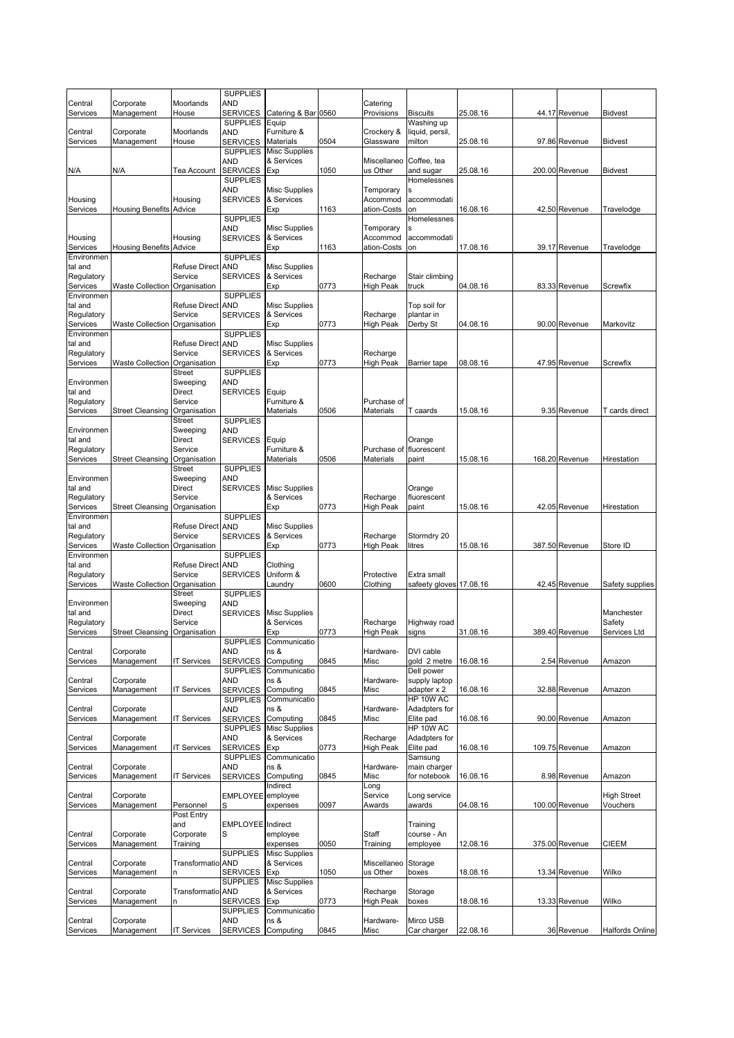|                        |                                |                          | <b>SUPPLIES</b>                    |                                    |      |                         |                             |          |                |                    |
|------------------------|--------------------------------|--------------------------|------------------------------------|------------------------------------|------|-------------------------|-----------------------------|----------|----------------|--------------------|
| Central<br>Services    | Corporate<br>Management        | Moorlands<br>House       | AND<br><b>SERVICES</b>             | Catering & Bar 0560                |      | Catering<br>Provisions  | <b>Biscuits</b>             | 25.08.16 | 44.17 Revenue  | <b>Bidvest</b>     |
|                        |                                |                          | <b>SUPPLIES</b>                    | Equip                              |      |                         | Washing up                  |          |                |                    |
| Central<br>Services    | Corporate<br>Management        | Moorlands<br>House       | AND<br><b>SERVICES</b>             | Furniture &<br><b>Materials</b>    | 0504 | Crockery &<br>Glassware | liquid, persil,<br>milton   | 25.08.16 | 97.86 Revenue  | <b>Bidvest</b>     |
|                        |                                |                          | <b>SUPPLIES</b>                    | <b>Misc Supplies</b>               |      |                         |                             |          |                |                    |
|                        |                                |                          | AND                                | & Services                         |      | Miscellaneo             | Coffee, tea                 |          |                |                    |
| N/A                    | N/A                            | Tea Account              | <b>SERVICES</b><br><b>SUPPLIES</b> | Exp                                | 1050 | us Other                | and sugar<br>Homelessnes    | 25.08.16 | 200.00 Revenue | Bidvest            |
|                        |                                |                          | <b>AND</b>                         | <b>Misc Supplies</b>               |      | Temporary               |                             |          |                |                    |
| Housing                |                                | Housing                  | <b>SERVICES</b>                    | & Services                         |      | Accommod                | accommodati                 |          |                |                    |
| Services               | <b>Housing Benefits Advice</b> |                          | <b>SUPPLIES</b>                    | Exp                                | 1163 | ation-Costs             | on<br>Homelessnes           | 16.08.16 | 42.50 Revenue  | Travelodge         |
|                        |                                |                          | AND                                | <b>Misc Supplies</b>               |      | Temporary               |                             |          |                |                    |
| Housing                |                                | Housing                  | <b>SERVICES</b>                    | & Services                         |      | Accommod                | accommodati                 |          |                |                    |
| Services<br>Environmen | <b>Housing Benefits Advice</b> |                          | <b>SUPPLIES</b>                    | Exp                                | 1163 | ation-Costs             | on                          | 17.08.16 | 39.17 Revenue  | Travelodge         |
| tal and                |                                | Refuse Direct AND        |                                    | <b>Misc Supplies</b>               |      |                         |                             |          |                |                    |
| Regulatory             |                                | Service                  | <b>SERVICES</b>                    | & Services                         |      | Recharge                | Stair climbing              |          |                |                    |
| Services<br>Environmen | <b>Waste Collection</b>        | Organisation             | <b>SUPPLIES</b>                    | Exp                                | 0773 | High Peak               | truck                       | 04.08.16 | 83.33 Revenue  | Screwfix           |
| tal and                |                                | Refuse Direct            | <b>AND</b>                         | <b>Misc Supplies</b>               |      |                         | Top soil for                |          |                |                    |
| Regulatory             |                                | Service                  | <b>SERVICES</b>                    | & Services                         |      | Recharge                | plantar in                  |          |                |                    |
| Services<br>Environmen | Waste Collection Organisation  |                          | <b>SUPPLIES</b>                    | Exp                                | 0773 | High Peak               | Derby St                    | 04.08.16 | 90.00 Revenue  | Markovitz          |
| tal and                |                                | <b>Refuse Direct</b>     | <b>AND</b>                         | <b>Misc Supplies</b>               |      |                         |                             |          |                |                    |
| Regulatory<br>Services |                                | Service                  | <b>SERVICES</b>                    | & Services                         | 0773 | Recharge                |                             | 08.08.16 | 47.95 Revenue  |                    |
|                        | Waste Collection               | Organisation<br>Street   | <b>SUPPLIES</b>                    | Exp                                |      | High Peak               | Barrier tape                |          |                | Screwfix           |
| Environmen             |                                | Sweeping                 | AND                                |                                    |      |                         |                             |          |                |                    |
| tal and<br>Regulatory  |                                | Direct<br>Service        | <b>SERVICES</b>                    | Equip<br>Furniture &               |      | Purchase of             |                             |          |                |                    |
| Services               | Street Cleansing               | Organisation             |                                    | Materials                          | 0506 | Materials               | T caards                    | 15.08.16 | 9.35 Revenue   | T cards direct     |
|                        |                                | Street                   | <b>SUPPLIES</b>                    |                                    |      |                         |                             |          |                |                    |
| Environmen             |                                | Sweeping                 | AND                                |                                    |      |                         |                             |          |                |                    |
| tal and<br>Regulatory  |                                | Direct<br>Service        | <b>SERVICES</b>                    | Equip<br>Furniture &               |      | Purchase of             | Orange<br>fluorescent       |          |                |                    |
| Services               | Street Cleansing               | Organisation             |                                    | Materials                          | 0506 | Materials               | paint                       | 15.08.16 | 168.20 Revenue | Hirestation        |
|                        |                                | Street                   | <b>SUPPLIES</b>                    |                                    |      |                         |                             |          |                |                    |
| Environmen<br>tal and  |                                | Sweeping<br>Direct       | <b>AND</b><br><b>SERVICES</b>      | <b>Misc Supplies</b>               |      |                         | Orange                      |          |                |                    |
| Regulatory             |                                | Service                  |                                    | & Services                         |      | Recharge                | fluorescent                 |          |                |                    |
| Services               | <b>Street Cleansing</b>        | Organisation             |                                    | Exp                                | 0773 | High Peak               | paint                       | 15.08.16 | 42.05 Revenue  | Hirestation        |
| Environmen<br>tal and  |                                | Refuse Direct AND        | <b>SUPPLIES</b>                    | <b>Misc Supplies</b>               |      |                         |                             |          |                |                    |
| Regulatory             |                                | Service                  | <b>SERVICES</b>                    | & Services                         |      | Recharge                | Stormdry 20                 |          |                |                    |
| Services               | <b>Waste Collection</b>        | Organisation             |                                    | Exp                                | 0773 | High Peak               | litres                      | 15.08.16 | 387.50 Revenue | Store ID           |
| Environmen<br>tal and  |                                | Refuse Direct            | <b>SUPPLIES</b><br><b>AND</b>      | Clothing                           |      |                         |                             |          |                |                    |
| Regulatory             |                                | Service                  | <b>SERVICES</b>                    | Uniform &                          |      | Protective              | Extra small                 |          |                |                    |
| Services               | Waste Collection               | Organisation             | <b>SUPPLIES</b>                    | _aundry                            | 0600 | Clothing                | safeety gloves 17.08.16     |          | 42.45 Revenue  | Safety supplies    |
| Environmen             |                                | Street<br>Sweeping       | <b>AND</b>                         |                                    |      |                         |                             |          |                |                    |
| tal and                |                                | Direct                   | <b>SERVICES</b>                    | <b>Misc Supplies</b>               |      |                         |                             |          |                | Manchester         |
| Regulatory             |                                | Service                  |                                    | & Services                         |      | Recharge                | Highway road                |          |                | Safety             |
| Services               | Street Cleansing Organisation  |                          |                                    | Exp<br>SUPPLIES Communicatio       | 0773 | High Peak               | signs                       | 31.08.16 | 389.40 Revenue | Services Ltd       |
| Central                | Corporate                      |                          | <b>AND</b>                         | ns &                               |      | Hardware-               | DVI cable                   |          |                |                    |
| Services               | Management                     | <b>IT Services</b>       | <b>SERVICES</b>                    | Computing                          | 0845 | Misc                    | gold 2 metre                | 16.08.16 | 2.54 Revenue   | Amazon             |
| Central                | Corporate                      |                          | <b>SUPPLIES</b><br>AND             | Communicatio<br>ns &               |      | Hardware-               | Dell power<br>supply laptop |          |                |                    |
| Services               | Management                     | <b>T Services</b>        | <b>SERVICES</b>                    | Computing                          | 0845 | Misc                    | adapter x 2                 | 16.08.16 | 32.88 Revenue  | Amazon             |
| Central                | Corporate                      |                          | <b>SUPPLIES</b><br><b>AND</b>      | Communicatio<br>ns &               |      | Hardware-               | HP 10W AC<br>Adadpters for  |          |                |                    |
| Services               | Management                     | <b>T Services</b>        | <b>SERVICES</b>                    | Computing                          | 0845 | Misc                    | Elite pad                   | 16.08.16 | 90.00 Revenue  | Amazon             |
|                        |                                |                          | <b>SUPPLIES</b>                    | <b>Misc Supplies</b>               |      |                         | HP 10W AC                   |          |                |                    |
| Central                | Corporate<br>Management        | <b>T Services</b>        | <b>AND</b><br><b>SERVICES</b>      | & Services<br>Exp                  | 0773 | Recharge<br>High Peak   | Adadpters for<br>Elite pad  | 16.08.16 | 109.75 Revenue |                    |
| Services               |                                |                          | <b>SUPPLIES</b>                    | Communicatio                       |      |                         | Samsung                     |          |                | Amazon             |
| Central                | Corporate                      |                          | <b>AND</b>                         | ns &                               |      | Hardware-               | main charger                |          |                |                    |
| Services               | Management                     | <b>T Services</b>        | <b>SERVICES</b>                    | Computing<br>Indirect              | 0845 | Misc<br>Long            | for notebook                | 16.08.16 | 8.98 Revenue   | Amazon             |
| Central                | Corporate                      |                          | <b>EMPLOYEE</b>                    | employee                           |      | Service                 | Long service                |          |                | <b>High Street</b> |
| Services               | Management                     | Personnel                | S                                  | expenses                           | 0097 | Awards                  | awards                      | 04.08.16 | 100.00 Revenue | Vouchers           |
|                        |                                | Post Entry<br>and        | <b>EMPLOYEE</b>                    | Indirect                           |      |                         | Training                    |          |                |                    |
| Central                | Corporate                      | Corporate                | S                                  | employee                           |      | Staff                   | course - An                 |          |                |                    |
| Services               | Management                     | Training                 |                                    | expenses                           | 0050 | Training                | employee                    | 12.08.16 | 375.00 Revenue | <b>CIEEM</b>       |
| Central                | Corporate                      | <b>Transformatio AND</b> | <b>SUPPLIES</b>                    | <b>Misc Supplies</b><br>& Services |      | Miscellaneo             | Storage                     |          |                |                    |
| Services               | Management                     |                          | <b>SERVICES</b>                    | Exp                                | 1050 | us Other                | boxes                       | 18.08.16 | 13.34 Revenue  | Wilko              |
|                        |                                |                          | <b>SUPPLIES</b>                    | <b>Misc Supplies</b>               |      |                         |                             |          |                |                    |
| Central<br>Services    | Corporate<br>Management        | Transformatio AND        | <b>SERVICES</b>                    | & Services                         | 0773 | Recharge<br>High Peak   | Storage<br>boxes            | 18.08.16 | 13.33 Revenue  | Wilko              |
|                        |                                | n                        | <b>SUPPLIES</b>                    | Exp<br>Communicatio                |      |                         |                             |          |                |                    |
| Central                | Corporate                      |                          | <b>AND</b>                         | ns &                               |      | Hardware-               | Mirco USB                   |          |                |                    |
| Services               | Management                     | <b>IT Services</b>       | <b>SERVICES</b>                    | Computing                          | 0845 | Misc                    | Car charger                 | 22.08.16 | 36 Revenue     | Halfords Online    |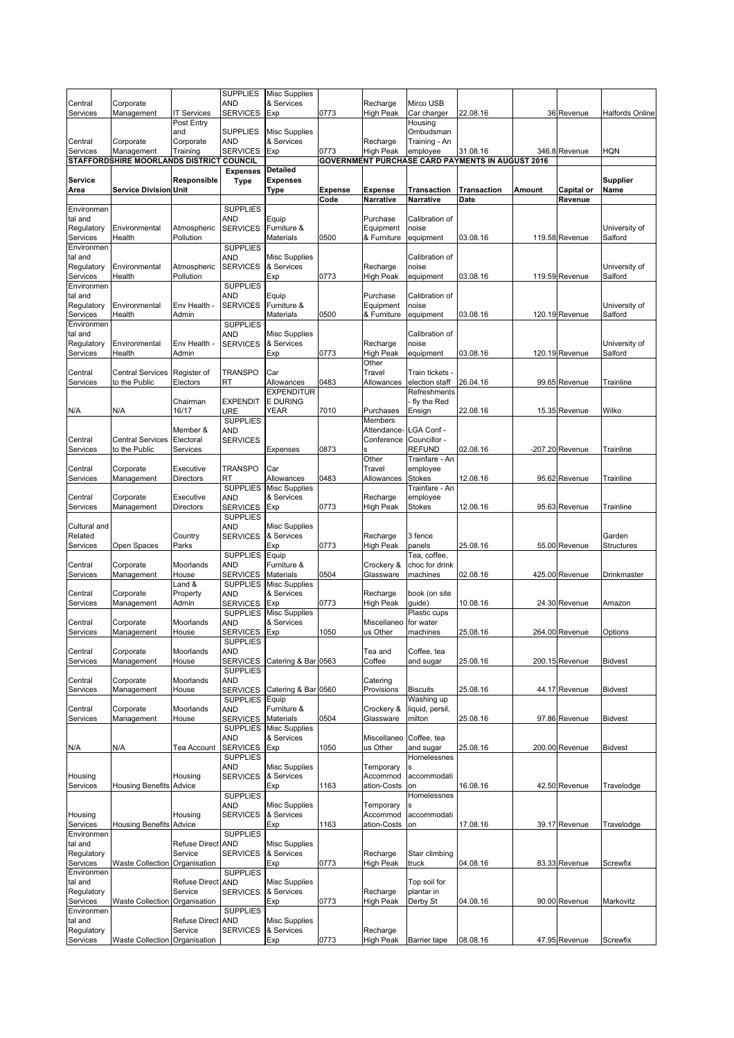| Central                | Corporate                                |                                 | <b>SUPPLIES</b><br><b>AND</b>      | <b>Misc Supplies</b><br>& Services |                | Recharge                     | Mirco USB                     |                                                         |        |                   |                          |
|------------------------|------------------------------------------|---------------------------------|------------------------------------|------------------------------------|----------------|------------------------------|-------------------------------|---------------------------------------------------------|--------|-------------------|--------------------------|
| Services               | Management                               | <b>IT Services</b>              | <b>SERVICES</b>                    | Exp                                | 0773           | <b>High Peak</b>             | Car charger                   | 22.08.16                                                |        | 36 Revenue        | <b>Halfords Online</b>   |
|                        |                                          | Post Entry                      | <b>SUPPLIES</b>                    | <b>Misc Supplies</b>               |                |                              | Housing                       |                                                         |        |                   |                          |
| Central                | Corporate                                | and<br>Corporate                | <b>AND</b>                         | & Services                         |                | Recharge                     | Ombudsman<br>Training - An    |                                                         |        |                   |                          |
| Services               | Management                               | Training                        | <b>SERVICES</b>                    | Exp                                | 0773           | <b>High Peak</b>             | employee                      | 31.08.16                                                |        | 346.8 Revenue     | <b>HQN</b>               |
|                        | STAFFORDSHIRE MOORLANDS DISTRICT COUNCIL |                                 | <b>Expenses</b>                    | <b>Detailed</b>                    |                |                              |                               | <b>GOVERNMENT PURCHASE CARD PAYMENTS IN AUGUST 2016</b> |        |                   |                          |
| Service                |                                          | Responsible                     | <b>Type</b>                        | <b>Expenses</b>                    |                |                              |                               |                                                         |        |                   | <b>Supplier</b>          |
| Area                   | <b>Service Division Unit</b>             |                                 |                                    | Type                               | <b>Expense</b> | <b>Expense</b>               | Transaction                   | <b>Transaction</b>                                      | Amount | Capital or        | Name                     |
| Environmen             |                                          |                                 | <b>SUPPLIES</b>                    |                                    | Code           | Narrative                    | Narrative                     | Date                                                    |        | Revenue           |                          |
| tal and                |                                          |                                 | <b>AND</b>                         | Equip                              |                | Purchase                     | Calibration of                |                                                         |        |                   |                          |
| Regulatory<br>Services | Environmental                            | Atmospheric                     | <b>SERVICES</b>                    | Furniture &<br>Materials           | 0500           | Equipment                    | noise                         | 03.08.16                                                |        | 119.58 Revenue    | University of<br>Salford |
| Environmen             | Health                                   | Pollution                       | <b>SUPPLIES</b>                    |                                    |                | & Furniture                  | equipment                     |                                                         |        |                   |                          |
| tal and                |                                          |                                 | <b>AND</b>                         | <b>Misc Supplies</b>               |                |                              | Calibration of                |                                                         |        |                   |                          |
| Regulatory<br>Services | Environmental<br>Health                  | Atmospheric<br>Pollution        | <b>SERVICES</b>                    | & Services<br>Exp                  | 0773           | Recharge<br><b>High Peak</b> | noise<br>equipment            | 03.08.16                                                |        | 119.59 Revenue    | University of<br>Salford |
| Environmen             |                                          |                                 | <b>SUPPLIES</b>                    |                                    |                |                              |                               |                                                         |        |                   |                          |
| tal and<br>Regulatory  | Environmental                            | Env Health -                    | <b>AND</b><br><b>SERVICES</b>      | Equip<br>Furniture &               |                | Purchase<br>Equipment        | Calibration of<br>noise       |                                                         |        |                   | University of            |
| Services               | Health                                   | Admin                           |                                    | Materials                          | 0500           | & Furniture                  | equipment                     | 03.08.16                                                |        | 120.19 Revenue    | Salford                  |
| Environmen             |                                          |                                 | <b>SUPPLIES</b>                    |                                    |                |                              |                               |                                                         |        |                   |                          |
| tal and<br>Regulatory  | Environmental                            | Env Health -                    | <b>AND</b><br><b>SERVICES</b>      | Misc Supplies<br>& Services        |                | Recharge                     | Calibration of<br>noise       |                                                         |        |                   | University of            |
| Services               | Health                                   | Admin                           |                                    | Exp                                | 0773           | <b>High Peak</b>             | equipment                     | 03.08.16                                                |        | 120.19 Revenue    | Salford                  |
| Central                | <b>Central Services</b>                  | Register of                     | <b>TRANSPO</b>                     | Car                                |                | Other<br>Travel              | Train tickets -               |                                                         |        |                   |                          |
| Services               | to the Public                            | Electors                        | RT                                 | Allowances                         | 0483           | Allowances                   | election staff                | 26.04.16                                                |        | 99.65 Revenue     | Trainline                |
|                        |                                          |                                 |                                    | <b>EXPENDITUR</b>                  |                |                              | Refreshments                  |                                                         |        |                   |                          |
| N/A                    | N/A                                      | Chairman<br>16/17               | <b>EXPENDIT</b><br>URE             | <b>E DURING</b><br>YEAR            | 7010           | Purchases                    | fly the Red<br>Ensign         | 22.08.16                                                |        | 15.35 Revenue     | Wilko                    |
|                        |                                          |                                 | <b>SUPPLIES</b>                    |                                    |                | <b>Members</b>               |                               |                                                         |        |                   |                          |
| Central                | <b>Central Services</b>                  | Member &<br>Electoral           | <b>AND</b><br><b>SERVICES</b>      |                                    |                | Attendance-<br>Conference    | LGA Conf -<br>Councillor -    |                                                         |        |                   |                          |
| Services               | to the Public                            | Services                        |                                    | Expenses                           | 0873           |                              | <b>REFUND</b>                 | 02.08.16                                                |        | $-207.20$ Revenue | Trainline                |
|                        |                                          |                                 |                                    |                                    |                | Other                        | Trainfare - An                |                                                         |        |                   |                          |
| Central<br>Services    | Corporate<br>Management                  | Executive<br>Directors          | <b>TRANSPO</b><br>RT               | Car<br>Allowances                  | 0483           | Travel<br>Allowances         | employee<br>Stokes            | 12.08.16                                                |        | 95.62 Revenue     | Trainline                |
|                        |                                          |                                 | <b>SUPPLIES</b>                    | <b>Misc Supplies</b>               |                |                              | Trainfare - An                |                                                         |        |                   |                          |
| Central<br>Services    | Corporate<br>Management                  | Executive<br><b>Directors</b>   | <b>AND</b><br><b>SERVICES</b>      | & Services<br>Exp                  | 0773           | Recharge<br>High Peak        | employee<br>Stokes            | 12.08.16                                                |        | 95.63 Revenue     | Trainline                |
|                        |                                          |                                 | <b>SUPPLIES</b>                    |                                    |                |                              |                               |                                                         |        |                   |                          |
| Cultural and           |                                          |                                 | <b>AND</b>                         | Misc Supplies                      |                |                              |                               |                                                         |        |                   |                          |
| Related<br>Services    | Open Spaces                              | Country<br>Parks                | <b>SERVICES</b>                    | & Services<br>Exp                  | 0773           | Recharge<br><b>High Peak</b> | 3 fence<br>panels             | 25.08.16                                                |        | 55.00 Revenue     | Garden<br>Structures     |
|                        |                                          |                                 | <b>SUPPLIES</b>                    | Equip                              |                |                              | Tea, coffee,                  |                                                         |        |                   |                          |
| Central<br>Services    | Corporate<br>Management                  | Moorlands<br>House              | <b>AND</b><br><b>SERVICES</b>      | Furniture &<br>Materials           | 0504           | Crockery &<br>Glassware      | choc for drink<br>machines    | 02.08.16                                                |        | 425.00 Revenue    | Drinkmaster              |
|                        |                                          | Land &                          | <b>SUPPLIES</b>                    | <b>Misc Supplies</b>               |                |                              |                               |                                                         |        |                   |                          |
| Central<br>Services    | Corporate<br>Management                  | Property<br>Admin               | <b>AND</b><br><b>SERVICES</b>      | & Services<br>Exp                  | 0773           | Recharge<br><b>High Peak</b> | book (on site<br>guide)       | 10.08.16                                                |        | 24.30 Revenue     | Amazon                   |
|                        |                                          |                                 | <b>SUPPLIES</b>                    | <b>Misc Supplies</b>               |                |                              | Plastic cups                  |                                                         |        |                   |                          |
| Central                | Corporate                                | Moorlands                       | <b>AND</b>                         | & Services                         |                | Miscellaneo                  | for water                     |                                                         |        |                   |                          |
| Services               | Management                               | House                           | <b>SERVICES</b><br><b>SUPPLIES</b> | Exp                                | 1050           | us Other                     | machines                      | 25.08.16                                                |        | 264.00 Revenue    | Options                  |
| Central                | Corporate                                | Moorlands                       | <b>AND</b>                         |                                    |                | Tea and                      | Coffee, tea                   |                                                         |        |                   |                          |
| Services               | Management                               | House                           | <b>SERVICES</b><br><b>SUPPLIES</b> | Catering & Bar 0563                |                | Coffee                       | and sugar                     | 25.08.16                                                |        | 200.15 Revenue    | <b>Bidvest</b>           |
| Central                | Corporate                                | Moorlands                       | AND                                |                                    |                | Catering                     |                               |                                                         |        |                   |                          |
| Services               | Management                               | House                           | <b>SERVICES</b><br><b>SUPPLIES</b> | Catering & Bar 0560<br>Equip       |                | Provisions                   | <b>Biscuits</b><br>Washing up | 25.08.16                                                |        | 44.17 Revenue     | <b>Bidvest</b>           |
| Central                | Corporate                                | Moorlands                       | <b>AND</b>                         | Furniture &                        |                | Crockery &                   | liquid, persil,               |                                                         |        |                   |                          |
| Services               | Management                               | House                           | <b>SERVICES</b>                    | <b>Materials</b>                   | 0504           | Glassware                    | milton                        | 25.08.16                                                |        | 97.86 Revenue     | <b>Bidvest</b>           |
|                        |                                          |                                 | <b>SUPPLIES</b><br><b>AND</b>      | <b>Misc Supplies</b><br>& Services |                | Miscellaneo                  | Coffee, tea                   |                                                         |        |                   |                          |
| N/A                    | N/A                                      | Tea Account                     | <b>SERVICES</b>                    | Exp                                | 1050           | us Other                     | and sugar                     | 25.08.16                                                |        | 200.00 Revenue    | <b>Bidvest</b>           |
|                        |                                          |                                 | <b>SUPPLIES</b><br><b>AND</b>      | <b>Misc Supplies</b>               |                | Temporary                    | Homelessnes                   |                                                         |        |                   |                          |
| Housing                |                                          | Housing                         | <b>SERVICES</b>                    | & Services                         |                | Accommod                     | accommodati                   |                                                         |        |                   |                          |
| Services               | <b>Housing Benefits Advice</b>           |                                 | <b>SUPPLIES</b>                    | Exp                                | 1163           | ation-Costs                  | on                            | 16.08.16                                                |        | 42.50 Revenue     | Travelodge               |
|                        |                                          |                                 | <b>AND</b>                         | <b>Misc Supplies</b>               |                | Temporary                    | Homelessnes                   |                                                         |        |                   |                          |
| Housing                |                                          | Housing                         | <b>SERVICES</b>                    | & Services                         |                | Accommod                     | accommodati                   |                                                         |        |                   |                          |
| Services<br>Environmen | <b>Housing Benefits Advice</b>           |                                 | <b>SUPPLIES</b>                    | Exp                                | 1163           | ation-Costs                  | on                            | 17.08.16                                                |        | 39.17 Revenue     | Travelodge               |
| tal and                |                                          | <b>Refuse Direct AND</b>        |                                    | <b>Misc Supplies</b>               |                |                              |                               |                                                         |        |                   |                          |
| Regulatory             |                                          | Service                         | <b>SERVICES</b>                    | & Services                         |                | Recharge                     | Stair climbing                |                                                         |        |                   |                          |
| Services<br>Environmen | <b>Waste Collection</b>                  | Organisation                    | <b>SUPPLIES</b>                    | Exp                                | 0773           | <b>High Peak</b>             | truck                         | 04.08.16                                                |        | 83.33 Revenue     | Screwfix                 |
| tal and                |                                          | Refuse Direct AND               |                                    | <b>Misc Supplies</b>               |                |                              | Top soil for                  |                                                         |        |                   |                          |
| Regulatory<br>Services | Waste Collection                         | Service<br>Organisation         | <b>SERVICES</b>                    | & Services<br>Exp                  | 0773           | Recharge<br><b>High Peak</b> | plantar in<br>Derby St        | 04.08.16                                                |        | 90.00 Revenue     | Markovitz                |
| Environmen             |                                          |                                 | <b>SUPPLIES</b>                    |                                    |                |                              |                               |                                                         |        |                   |                          |
| tal and<br>Regulatory  |                                          | <b>Refuse Direct</b><br>Service | <b>AND</b><br><b>SERVICES</b>      | <b>Misc Supplies</b><br>& Services |                | Recharge                     |                               |                                                         |        |                   |                          |
| Services               | Waste Collection Organisation            |                                 |                                    | Exp                                | 0773           | <b>High Peak</b>             | <b>Barrier tape</b>           | 08.08.16                                                |        | 47.95 Revenue     | Screwfix                 |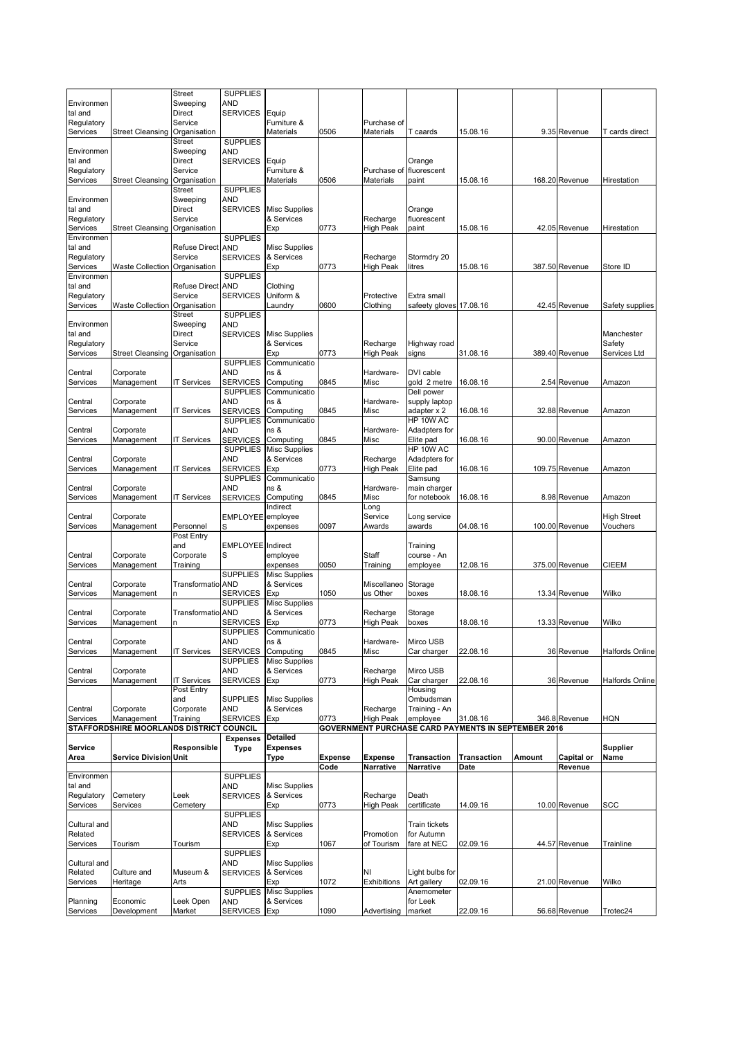|                        |                                          | Street               | <b>SUPPLIES</b>                    |                             |                |                       |                         |                                                            |        |                |                                |
|------------------------|------------------------------------------|----------------------|------------------------------------|-----------------------------|----------------|-----------------------|-------------------------|------------------------------------------------------------|--------|----------------|--------------------------------|
| Environmen             |                                          | Sweeping             | AND                                |                             |                |                       |                         |                                                            |        |                |                                |
| tal and                |                                          | <b>Direct</b>        | <b>SERVICES</b>                    | Equip                       |                |                       |                         |                                                            |        |                |                                |
| Regulatory             |                                          | Service              |                                    | Furniture &                 |                | Purchase of           |                         |                                                            |        |                |                                |
| Services               | <b>Street Cleansing</b>                  | Organisation         |                                    | <b>Materials</b>            | 0506           | Materials             | T caards                | 15.08.16                                                   |        | 9.35 Revenue   | T cards direct                 |
|                        |                                          | <b>Street</b>        | <b>SUPPLIES</b><br>AND             |                             |                |                       |                         |                                                            |        |                |                                |
| Environmen<br>tal and  |                                          | Sweeping<br>Direct   | <b>SERVICES</b>                    | Equip                       |                |                       | Orange                  |                                                            |        |                |                                |
| Regulatory             |                                          | Service              |                                    | Furniture &                 |                | Purchase of           | fluorescent             |                                                            |        |                |                                |
| Services               | <b>Street Cleansing</b>                  | Organisation         |                                    | Materials                   | 0506           | Materials             | paint                   | 15.08.16                                                   |        | 168.20 Revenue | Hirestation                    |
|                        |                                          | <b>Street</b>        | <b>SUPPLIES</b>                    |                             |                |                       |                         |                                                            |        |                |                                |
| Environmen             |                                          | Sweeping             | AND                                |                             |                |                       |                         |                                                            |        |                |                                |
| tal and                |                                          | <b>Direct</b>        | <b>SERVICES</b>                    | <b>Misc Supplies</b>        |                |                       | Orange                  |                                                            |        |                |                                |
| Regulatory             |                                          | Service              |                                    | & Services                  |                | Recharge              | fluorescent             |                                                            |        |                |                                |
| Services               | <b>Street Cleansing</b>                  | Organisation         |                                    | Exp                         | 0773           | <b>High Peak</b>      | paint                   | 15.08.16                                                   |        | 42.05 Revenue  | Hirestation                    |
| Environmen<br>tal and  |                                          | <b>Refuse Direct</b> | <b>SUPPLIES</b><br><b>AND</b>      | <b>Misc Supplies</b>        |                |                       |                         |                                                            |        |                |                                |
| Regulatory             |                                          | Service              | <b>SERVICES</b>                    | & Services                  |                | Recharge              | Stormdry 20             |                                                            |        |                |                                |
| Services               | <b>Waste Collection</b>                  | Organisation         |                                    | Exp                         | 0773           | <b>High Peak</b>      | litres                  | 15.08.16                                                   |        | 387.50 Revenue | Store ID                       |
| Environmen             |                                          |                      | <b>SUPPLIES</b>                    |                             |                |                       |                         |                                                            |        |                |                                |
| tal and                |                                          | <b>Refuse Direct</b> | <b>AND</b>                         | Clothing                    |                |                       |                         |                                                            |        |                |                                |
| Regulatory             |                                          | Service              | <b>SERVICES</b>                    | Uniform &                   |                | Protective            | Extra small             |                                                            |        |                |                                |
| Services               | Waste Collection Organisation            |                      |                                    | Laundry                     | 0600           | Clothing              | safeety gloves 17.08.16 |                                                            |        | 42.45 Revenue  | Safety supplies                |
|                        |                                          | <b>Street</b>        | <b>SUPPLIES</b>                    |                             |                |                       |                         |                                                            |        |                |                                |
| Environmen             |                                          | Sweeping             | AND                                |                             |                |                       |                         |                                                            |        |                |                                |
| tal and                |                                          | <b>Direct</b>        | <b>SERVICES</b>                    | <b>Misc Supplies</b>        |                |                       |                         |                                                            |        |                | Manchester                     |
| Regulatory             |                                          | Service              |                                    | & Services                  |                | Recharge              | Highway road            |                                                            |        |                | Safety                         |
| Services               | <b>Street Cleansing</b>                  | Organisation         |                                    | Exp<br>Communicatio         | 0773           | <b>High Peak</b>      | signs                   | 31.08.16                                                   |        | 389.40 Revenue | Services Ltd                   |
| Central                | Corporate                                |                      | <b>SUPPLIES</b><br>AND             | ns &                        |                | Hardware-             | DVI cable               |                                                            |        |                |                                |
| Services               | Management                               | <b>IT Services</b>   | <b>SERVICES</b>                    | Computing                   | 0845           | Misc                  | gold 2 metre            | 16.08.16                                                   |        | 2.54 Revenue   | Amazon                         |
|                        |                                          |                      | <b>SUPPLIES</b>                    | Communicatio                |                |                       | Dell power              |                                                            |        |                |                                |
| Central                | Corporate                                |                      | <b>AND</b>                         | ns &                        |                | Hardware-             | supply laptop           |                                                            |        |                |                                |
| Services               | Management                               | <b>IT Services</b>   | <b>SERVICES</b>                    | Computing                   | 0845           | Misc                  | adapter x 2             | 16.08.16                                                   |        | 32.88 Revenue  | Amazon                         |
|                        |                                          |                      | <b>SUPPLIES</b>                    | Communicatio                |                |                       | HP 10W AC               |                                                            |        |                |                                |
| Central                | Corporate                                |                      | AND                                | ns &                        |                | Hardware-             | Adadpters for           |                                                            |        |                |                                |
| Services               | Management                               | <b>IT Services</b>   | <b>SERVICES</b>                    | Computing                   | 0845           | Misc                  | Elite pad               | 16.08.16                                                   |        | 90.00 Revenue  | Amazon                         |
|                        |                                          |                      | <b>SUPPLIES</b>                    | <b>Misc Supplies</b>        |                |                       | HP 10W AC               |                                                            |        |                |                                |
| Central                | Corporate                                |                      | <b>AND</b>                         | & Services                  |                | Recharge              | Adadpters for           |                                                            |        |                |                                |
| Services               | Management                               | <b>IT Services</b>   | <b>SERVICES</b>                    | Exp                         | 0773           | High Peak             | Elite pad               | 16.08.16                                                   |        | 109.75 Revenue | Amazon                         |
|                        |                                          |                      | <b>SUPPLIES</b>                    | Communicatio                |                |                       | Samsung                 |                                                            |        |                |                                |
| Central                | Corporate                                |                      | AND                                | ns &                        |                | Hardware-             | main charger            |                                                            |        |                |                                |
| Services               | Management                               | <b>IT Services</b>   | <b>SERVICES</b>                    | Computing                   | 0845           | Misc                  | for notebook            | 16.08.16                                                   |        | 8.98 Revenue   | Amazon                         |
|                        |                                          |                      |                                    | Indirect                    |                | Long                  |                         |                                                            |        |                |                                |
| Central<br>Services    | Corporate<br>Management                  | Personnel            | EMPLOYEE employee<br>S             | expenses                    | 0097           | Service<br>Awards     | Long service<br>awards  | 04.08.16                                                   |        | 100.00 Revenue | <b>High Street</b><br>Vouchers |
|                        |                                          | Post Entry           |                                    |                             |                |                       |                         |                                                            |        |                |                                |
|                        |                                          | and                  | <b>EMPLOYEE</b> Indirect           |                             |                |                       | Training                |                                                            |        |                |                                |
| Central                | Corporate                                | Corporate            | S                                  | employee                    |                | Staff                 | course - An             |                                                            |        |                |                                |
| Services               | Management                               | Training             |                                    | expenses                    | 0050           | Training              | employee                | 12.08.16                                                   |        | 375.00 Revenue | <b>CIEEM</b>                   |
|                        |                                          |                      | <b>SUPPLIES</b>                    | <b>Misc Supplies</b>        |                |                       |                         |                                                            |        |                |                                |
| Central                | Corporate                                | Transformatio AND    |                                    | & Services                  |                | Miscellaneo           | Storage                 |                                                            |        |                |                                |
| Services               | Management                               |                      | <b>SERVICES</b>                    | Exp                         | 1050           | us Other              | boxes                   | 18.08.16                                                   |        | 13.34 Revenue  | Wilko                          |
|                        |                                          |                      | <b>SUPPLIES</b>                    | Misc Supplies               |                |                       |                         |                                                            |        |                |                                |
| Central                | Corporate                                | Transformatio        |                                    |                             |                |                       |                         |                                                            |        |                |                                |
| Services               | Management                               |                      | <b>AND</b>                         | & Services                  |                | Recharge              | Storage                 |                                                            |        |                |                                |
| Central                |                                          | n                    | <b>SERVICES</b>                    | Exp                         | 0773           | <b>High Peak</b>      | boxes                   | 18.08.16                                                   |        | 13.33 Revenue  | Wilko                          |
|                        |                                          |                      | <b>SUPPLIES</b>                    | Communicatio                |                |                       |                         |                                                            |        |                |                                |
|                        | Corporate                                |                      | AND                                | ns &                        |                | Hardware-             | Mirco USB               |                                                            |        |                |                                |
| Services               | Management                               | <b>IT Services</b>   | <b>SERVICES</b><br><b>SUPPLIES</b> | Computing                   | 0845           | Misc                  | Car charger             | 22.08.16                                                   |        | 36 Revenue     | <b>Halfords Online</b>         |
| Central                | Corporate                                |                      | <b>AND</b>                         | Misc Supplies<br>& Services |                | Recharge              | Mirco USB               |                                                            |        |                |                                |
| Services               | Management                               | <b>IT Services</b>   | <b>SERVICES</b>                    | Exp                         | 0773           | <b>High Peak</b>      | Car charger             | 22.08.16                                                   |        | 36 Revenue     |                                |
|                        |                                          | Post Entry           |                                    |                             |                |                       | Housing                 |                                                            |        |                | <b>Halfords Online</b>         |
|                        |                                          | and                  | <b>SUPPLIES</b>                    | <b>Misc Supplies</b>        |                |                       | Ombudsman               |                                                            |        |                |                                |
| Central                | Corporate                                | Corporate            | <b>AND</b>                         | & Services                  |                | Recharge              | Training - An           |                                                            |        |                |                                |
| Services               | Management                               | Training             | <b>SERVICES</b>                    | Exp                         | 0773           | <b>High Peak</b>      | employee                | 31.08.16                                                   |        | 346.8 Revenue  | HQN                            |
|                        | STAFFORDSHIRE MOORLANDS DISTRICT COUNCIL |                      |                                    |                             |                |                       |                         | <b>GOVERNMENT PURCHASE CARD PAYMENTS IN SEPTEMBER 2016</b> |        |                |                                |
|                        |                                          |                      | <b>Expenses</b>                    | <b>Detailed</b>             |                |                       |                         |                                                            |        |                |                                |
| Service                |                                          | Responsible          | <b>Type</b>                        | <b>Expenses</b>             |                |                       |                         |                                                            |        |                | Supplier                       |
| Area                   | <b>Service Division Unit</b>             |                      |                                    | Type                        | <b>Expense</b> | <b>Expense</b>        | <b>Transaction</b>      | <b>Transaction</b>                                         | Amount | Capital or     | Name                           |
|                        |                                          |                      |                                    |                             | Code           | <b>Narrative</b>      | Narrative               | Date                                                       |        | Revenue        |                                |
| Environmen             |                                          |                      | <b>SUPPLIES</b>                    |                             |                |                       |                         |                                                            |        |                |                                |
| tal and                |                                          |                      | <b>AND</b><br><b>SERVICES</b>      | <b>Misc Supplies</b>        |                |                       |                         |                                                            |        |                |                                |
| Regulatory<br>Services | Cemetery<br>Services                     | Leek<br>Cemetery     |                                    | & Services<br>Exp           | 0773           | Recharge<br>High Peak | Death<br>certificate    | 14.09.16                                                   |        | 10.00 Revenue  | SCC                            |
|                        |                                          |                      | <b>SUPPLIES</b>                    |                             |                |                       |                         |                                                            |        |                |                                |
| Cultural and           |                                          |                      | <b>AND</b>                         | <b>Misc Supplies</b>        |                |                       | Train tickets           |                                                            |        |                |                                |
| Related                |                                          |                      | <b>SERVICES</b>                    | & Services                  |                | Promotion             | for Autumn              |                                                            |        |                |                                |
| Services               | Tourism                                  | Tourism              |                                    | Exp                         | 1067           | of Tourism            | fare at NEC             | 02.09.16                                                   |        | 44.57 Revenue  | Trainline                      |
|                        |                                          |                      | <b>SUPPLIES</b>                    |                             |                |                       |                         |                                                            |        |                |                                |
| Cultural and           |                                          |                      | <b>AND</b>                         | <b>Misc Supplies</b>        |                |                       |                         |                                                            |        |                |                                |
| Related                | Culture and                              | Museum &             | <b>SERVICES</b>                    | & Services                  |                | NI                    | Light bulbs for         |                                                            |        |                |                                |
| Services               | Heritage                                 | Arts                 |                                    | Exp                         | 1072           | Exhibitions           | Art gallery             | 02.09.16                                                   |        | 21.00 Revenue  | Wilko                          |
|                        |                                          |                      | <b>SUPPLIES</b>                    | <b>Misc Supplies</b>        |                |                       | Anemometer              |                                                            |        |                |                                |
| Planning<br>Services   | Economic<br>Development                  | Leek Open<br>Market  | <b>AND</b><br><b>SERVICES</b>      | & Services<br>Exp           | 1090           | Advertising           | for Leek<br>market      | 22.09.16                                                   |        | 56.68 Revenue  | Trotec24                       |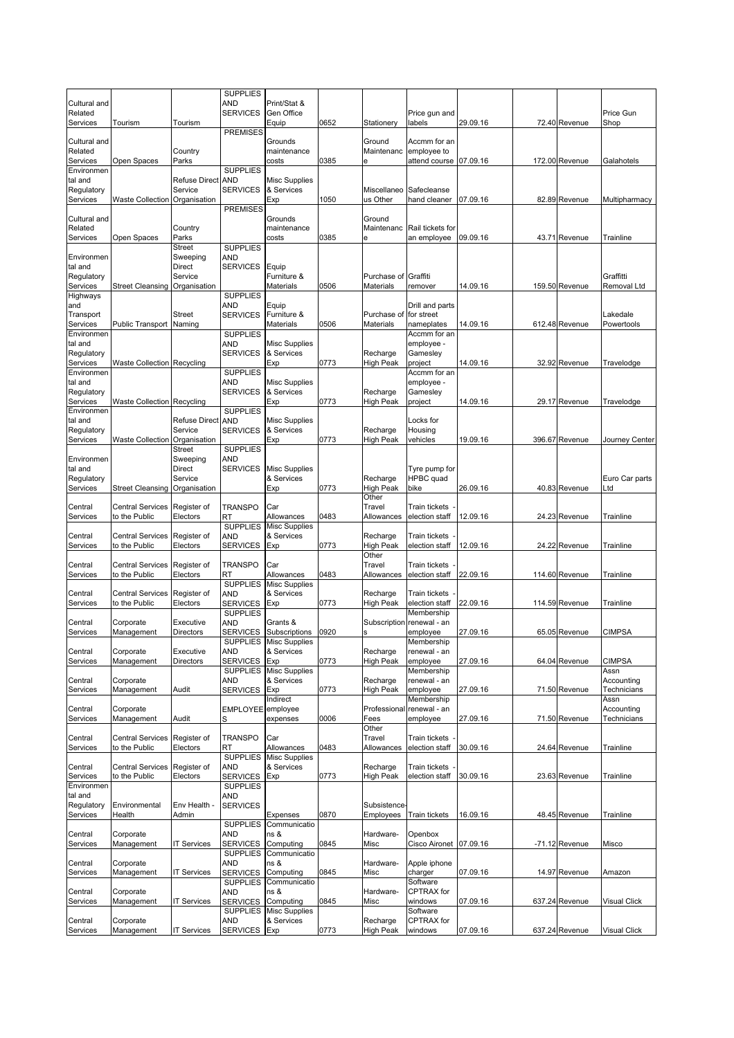|                         |                                   |                           | <b>SUPPLIES</b>                    |                                    |      |                              |                              |          |                |                           |
|-------------------------|-----------------------------------|---------------------------|------------------------------------|------------------------------------|------|------------------------------|------------------------------|----------|----------------|---------------------------|
| Cultural and<br>Related |                                   |                           | AND<br><b>SERVICES</b>             | Print/Stat &<br>Gen Office         |      |                              | Price gun and                |          |                | Price Gun                 |
| Services                | Tourism                           | Tourism                   |                                    | Equip                              | 0652 | Stationerv                   | labels                       | 29.09.16 | 72.40 Revenue  | Shop                      |
|                         |                                   |                           | <b>PREMISES</b>                    |                                    |      |                              |                              |          |                |                           |
| Cultural and<br>Related |                                   | Country                   |                                    | Grounds<br>maintenance             |      | Ground<br>Maintenanc         | Accmm for an<br>employee to  |          |                |                           |
| Services                | Open Spaces                       | Parks                     |                                    | costs                              | 0385 | e                            | attend course                | 07.09.16 | 172.00 Revenue | Galahotels                |
| Environmen              |                                   |                           | <b>SUPPLIES</b>                    |                                    |      |                              |                              |          |                |                           |
| tal and                 |                                   | <b>Refuse Direct</b>      | <b>AND</b>                         | <b>Misc Supplies</b>               |      |                              |                              |          |                |                           |
| Regulatory<br>Services  |                                   | Service                   | <b>SERVICES</b>                    | & Services<br>Exp                  | 1050 | Miscellaneo<br>us Other      | Safecleanse<br>hand cleaner  | 07.09.16 | 82.89 Revenue  |                           |
|                         | <b>Waste Collection</b>           | Organisation              | <b>PREMISES</b>                    |                                    |      |                              |                              |          |                | Multipharmacy             |
| Cultural and            |                                   |                           |                                    | Grounds                            |      | Ground                       |                              |          |                |                           |
| Related                 |                                   | Country                   |                                    | maintenance                        |      | Maintenanc                   | Rail tickets for             |          |                |                           |
| Services                | Open Spaces                       | Parks                     | <b>SUPPLIES</b>                    | costs                              | 0385 | е                            | an employee                  | 09.09.16 | 43.71 Revenue  | Trainline                 |
| Environmen              |                                   | <b>Street</b><br>Sweeping | <b>AND</b>                         |                                    |      |                              |                              |          |                |                           |
| tal and                 |                                   | Direct                    | <b>SERVICES</b>                    | Equip                              |      |                              |                              |          |                |                           |
| Regulatory              |                                   | Service                   |                                    | Furniture &                        |      | Purchase of                  | Graffiti                     |          |                | Graffitti                 |
| Services                | <b>Street Cleansing</b>           | Organisation              |                                    | Materials                          | 0506 | Materials                    | remover                      | 14.09.16 | 159.50 Revenue | Removal Ltd               |
| Highways<br>and         |                                   |                           | <b>SUPPLIES</b><br>AND             | Equip                              |      |                              | Drill and parts              |          |                |                           |
| Transport               |                                   | <b>Street</b>             | <b>SERVICES</b>                    | Furniture &                        |      | Purchase of                  | for street                   |          |                | Lakedale                  |
| Services                | Public Transport Naming           |                           |                                    | <b>Materials</b>                   | 0506 | Materials                    | nameplates                   | 14.09.16 | 612.48 Revenue | Powertools                |
| Environmen              |                                   |                           | <b>SUPPLIES</b>                    |                                    |      |                              | Accmm for an                 |          |                |                           |
| tal and<br>Regulatory   |                                   |                           | <b>AND</b><br><b>SERVICES</b>      | <b>Misc Supplies</b><br>& Services |      | Recharge                     | employee -<br>Gamesley       |          |                |                           |
| Services                | <b>Waste Collection Recycling</b> |                           |                                    | Exp                                | 0773 | High Peak                    | project                      | 14.09.16 | 32.92 Revenue  | Travelodge                |
| Environmen              |                                   |                           | <b>SUPPLIES</b>                    |                                    |      |                              | Accmm for an                 |          |                |                           |
| tal and                 |                                   |                           | <b>AND</b>                         | <b>Misc Supplies</b>               |      |                              | employee -                   |          |                |                           |
| Regulatory              |                                   |                           | <b>SERVICES</b>                    | & Services                         |      | Recharge                     | Gamesley                     |          |                |                           |
| Services<br>Environmen  | <b>Waste Collection Recycling</b> |                           | <b>SUPPLIES</b>                    | Exp                                | 0773 | <b>High Peak</b>             | project                      | 14.09.16 | 29.17 Revenue  | Travelodge                |
| tal and                 |                                   | <b>Refuse Direct</b>      | <b>AND</b>                         | <b>Misc Supplies</b>               |      |                              | Locks for                    |          |                |                           |
| Regulatory              |                                   | Service                   | <b>SERVICES</b>                    | & Services                         |      | Recharge                     | Housing                      |          |                |                           |
| Services                | Waste Collection Organisation     |                           |                                    | Exp                                | 0773 | <b>High Peak</b>             | vehicles                     | 19.09.16 | 396.67 Revenue | Journey Center            |
| Environmen              |                                   | <b>Street</b><br>Sweeping | <b>SUPPLIES</b><br>AND             |                                    |      |                              |                              |          |                |                           |
| tal and                 |                                   | Direct                    | <b>SERVICES</b>                    | <b>Misc Supplies</b>               |      |                              | Tyre pump for                |          |                |                           |
| Regulatory              |                                   | Service                   |                                    | & Services                         |      | Recharge                     | HPBC quad                    |          |                | Euro Car parts            |
| Services                | <b>Street Cleansing</b>           | Organisation              |                                    | Exp                                | 0773 | <b>High Peak</b>             | bike                         | 26.09.16 | 40.83 Revenue  | ∟td                       |
| Central                 | <b>Central Services</b>           | Register of               | <b>TRANSPO</b>                     | Car                                |      | Other<br>Travel              | <b>Train tickets</b>         |          |                |                           |
| Services                | to the Public                     | Electors                  | RT                                 | Allowances                         | 0483 | Allowances                   | election staff               | 12.09.16 | 24.23 Revenue  | Trainline                 |
|                         |                                   |                           | <b>SUPPLIES</b>                    | <b>Misc Supplies</b>               |      |                              |                              |          |                |                           |
| Central                 | <b>Central Services</b>           | Register of               | <b>AND</b>                         | & Services                         |      | Recharge                     | <b>Train tickets</b>         |          |                |                           |
| Services                | to the Public                     | Electors                  | <b>SERVICES</b>                    | Exp                                | 0773 | <b>High Peak</b>             | election staff               | 12.09.16 | 24.22 Revenue  | Trainline                 |
| Central                 | <b>Central Services</b>           | Register of               | <b>TRANSPO</b>                     | Car                                |      | Other<br>Travel              | <b>Train tickets</b>         |          |                |                           |
| Services                | to the Public                     | Electors                  | RT                                 | Allowances                         | 0483 | Allowances                   | election staff               | 22.09.16 | 114.60 Revenue | Trainline                 |
|                         |                                   |                           | <b>SUPPLIES</b>                    | <b>Misc Supplies</b>               |      |                              |                              |          |                |                           |
| Central                 | <b>Central Services</b>           | Register of               | <b>AND</b>                         | & Services                         |      | Recharge                     | Train tickets                |          |                |                           |
| Services                | to the Public                     | Electors                  | <b>SERVICES</b><br><b>SUPPLIES</b> | Exp                                | 0773 | High Peak                    | election staff<br>Membership | 22.09.16 | 114.59 Revenue | Trainline                 |
| Central                 | Corporate                         | Executive                 | AND                                | Grants &                           |      | Subscription                 | renewal - an                 |          |                |                           |
| Services                | Management                        | <b>Directors</b>          | <b>SERVICES</b>                    | Subscriptions                      | 0920 | S                            | employee                     | 27.09.16 | 65.05 Revenue  | <b>CIMPSA</b>             |
|                         |                                   |                           |                                    | <b>SUPPLIES</b> Misc Supplies      |      |                              | Membership                   |          |                |                           |
| Central<br>Services     | Corporate<br>Management           | Executive<br>Directors    | <b>AND</b>                         | & Services                         | 0773 | Recharge<br><b>High Peak</b> | renewal - an<br>employee     | 27.09.16 | 64.04 Revenue  | <b>CIMPSA</b>             |
|                         |                                   |                           | <b>SERVICES</b><br><b>SUPPLIES</b> | Exp<br><b>Misc Supplies</b>        |      |                              | Membership                   |          |                | Assn                      |
| Central                 | Corporate                         |                           | <b>AND</b>                         | & Services                         |      | Recharge                     | renewal - an                 |          |                | Accounting                |
| Services                | Management                        | Audit                     | <b>SERVICES</b>                    | Exp                                | 0773 | <b>High Peak</b>             | employee                     | 27.09.16 | 71.50 Revenue  | Technicians               |
|                         |                                   |                           |                                    | Indirect                           |      | Professional                 | Membership                   |          |                | Assn                      |
| Central<br>Services     | Corporate<br>Management           | Audit                     | <b>EMPLOYEE</b><br>S               | employee<br>expenses               | 0006 | Fees                         | renewal - an<br>employee     | 27.09.16 | 71.50 Revenue  | Accounting<br>Technicians |
|                         |                                   |                           |                                    |                                    |      | Other                        |                              |          |                |                           |
| Central                 | <b>Central Services</b>           | Register of               | <b>TRANSPO</b>                     | Car                                |      | Travel                       | Train tickets                |          |                |                           |
| Services                | to the Public                     | Electors                  | RT                                 | Allowances                         | 0483 | Allowances                   | election staff               | 30.09.16 | 24.64 Revenue  | Trainline                 |
| Central                 | <b>Central Services</b>           | Register of               | <b>SUPPLIES</b><br>AND             | <b>Misc Supplies</b><br>& Services |      | Recharge                     | Train tickets                |          |                |                           |
| Services                | to the Public                     | Electors                  | <b>SERVICES</b>                    | Exp                                | 0773 | <b>High Peak</b>             | election staff               | 30.09.16 | 23.63 Revenue  | Trainline                 |
| Environmen              |                                   |                           | <b>SUPPLIES</b>                    |                                    |      |                              |                              |          |                |                           |
| tal and                 |                                   |                           | <b>AND</b>                         |                                    |      |                              |                              |          |                |                           |
| Regulatory              | Environmental                     | Env Health -              | <b>SERVICES</b>                    |                                    |      | Subsistence                  |                              |          |                |                           |
| Services                | Health                            | Admin                     | <b>SUPPLIES</b>                    | Expenses<br>Communicatio           | 0870 | Employees                    | Train tickets                | 16.09.16 | 48.45 Revenue  | Trainline                 |
| Central                 | Corporate                         |                           | AND                                | ns &                               |      | Hardware-                    | Openbox                      |          |                |                           |
| Services                | Management                        | <b>IT Services</b>        | <b>SERVICES</b>                    | Computing                          | 0845 | Misc                         | Cisco Aironet 07.09.16       |          | -71.12 Revenue | Misco                     |
|                         |                                   |                           | <b>SUPPLIES</b>                    | Communicatio                       |      |                              |                              |          |                |                           |
| Central                 | Corporate                         |                           | AND                                | ns &                               |      | Hardware-                    | Apple iphone                 |          |                |                           |
| Services                | Management                        | IT Services               | <b>SERVICES</b><br><b>SUPPLIES</b> | Computing<br>Communicatio          | 0845 | Misc                         | charger<br>Software          | 07.09.16 | 14.97 Revenue  | Amazon                    |
| Central                 | Corporate                         |                           | <b>AND</b>                         | ns &                               |      | Hardware-                    | CPTRAX for                   |          |                |                           |
| Services                | Management                        | <b>IT Services</b>        | <b>SERVICES</b>                    | Computing                          | 0845 | Misc                         | windows                      | 07.09.16 | 637.24 Revenue | <b>Visual Click</b>       |
|                         |                                   |                           | <b>SUPPLIES</b>                    | <b>Misc Supplies</b>               |      |                              | Software                     |          |                |                           |
| Central<br>Services     | Corporate<br>Management           | <b>IT Services</b>        | <b>AND</b><br><b>SERVICES</b>      | & Services<br>Exp                  | 0773 | Recharge<br><b>High Peak</b> | CPTRAX for<br>windows        | 07.09.16 | 637.24 Revenue | Visual Click              |
|                         |                                   |                           |                                    |                                    |      |                              |                              |          |                |                           |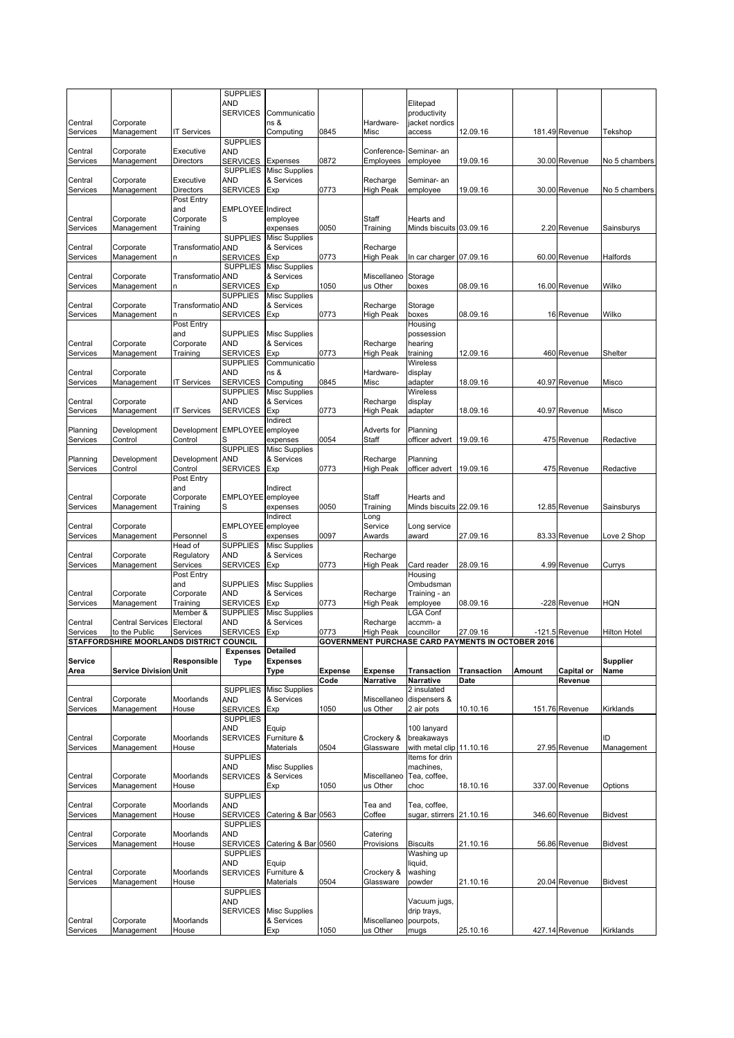|                     |                                  |                               | <b>SUPPLIES</b>                    |                                    |                |                          |                                          |                                                          |        |                |                     |
|---------------------|----------------------------------|-------------------------------|------------------------------------|------------------------------------|----------------|--------------------------|------------------------------------------|----------------------------------------------------------|--------|----------------|---------------------|
|                     |                                  |                               | AND<br><b>SERVICES</b>             | Communicatio                       |                |                          | Elitepad<br>productivity                 |                                                          |        |                |                     |
| Central             | Corporate                        |                               |                                    | ns &                               |                | Hardware-                | jacket nordics                           |                                                          |        |                |                     |
| Services            | Management                       | <b>IT Services</b>            |                                    | Computing                          | 0845           | Misc                     | access                                   | 12.09.16                                                 |        | 181.49 Revenue | Tekshop             |
|                     |                                  |                               | <b>SUPPLIES</b>                    |                                    |                |                          |                                          |                                                          |        |                |                     |
| Central<br>Services | Corporate<br>Management          | Executive<br><b>Directors</b> | <b>AND</b><br><b>SERVICES</b>      | Expenses                           | 0872           | Conference-<br>Employees | Seminar- an<br>employee                  | 19.09.16                                                 |        | 30.00 Revenue  | No 5 chambers       |
|                     |                                  |                               | <b>SUPPLIES</b>                    | <b>Misc Supplies</b>               |                |                          |                                          |                                                          |        |                |                     |
| Central             | Corporate                        | Executive                     | <b>AND</b>                         | & Services                         |                | Recharge                 | Seminar- an                              |                                                          |        |                |                     |
| Services            | Management                       | Directors                     | <b>SERVICES</b>                    | Exp                                | 0773           | <b>High Peak</b>         | employee                                 | 19.09.16                                                 |        | 30.00 Revenue  | No 5 chambers       |
|                     |                                  | Post Entry<br>and             | <b>EMPLOYEE</b>                    | Indirect                           |                |                          |                                          |                                                          |        |                |                     |
| Central             | Corporate                        | Corporate                     | S                                  | employee                           |                | Staff                    | Hearts and                               |                                                          |        |                |                     |
| Services            | Management                       | Training                      |                                    | expenses                           | 0050           | Training                 | Minds biscuits 03.09.16                  |                                                          |        | 2.20 Revenue   | Sainsburys          |
| Central             | Corporate                        | Transformatio AND             | <b>SUPPLIES</b>                    | <b>Misc Supplies</b><br>& Services |                | Recharge                 |                                          |                                                          |        |                |                     |
| Services            | Management                       |                               | <b>SERVICES</b>                    | Exp                                | 0773           | <b>High Peak</b>         | In car charger 07.09.16                  |                                                          |        | 60.00 Revenue  | Halfords            |
|                     |                                  |                               | <b>SUPPLIES</b>                    | <b>Misc Supplies</b>               |                |                          |                                          |                                                          |        |                |                     |
| Central             | Corporate                        | <b>Transformatio AND</b>      |                                    | & Services                         |                | Miscellaneo              | Storage                                  |                                                          |        |                |                     |
| Services            | Management                       |                               | <b>SERVICES</b><br><b>SUPPLIES</b> | Exp<br><b>Misc Supplies</b>        | 1050           | us Other                 | boxes                                    | 08.09.16                                                 |        | 16.00 Revenue  | Wilko               |
| Central             | Corporate                        | Transformatio AND             |                                    | & Services                         |                | Recharge                 | Storage                                  |                                                          |        |                |                     |
| Services            | Management                       |                               | <b>SERVICES</b>                    | Exp                                | 0773           | <b>High Peak</b>         | boxes                                    | 08.09.16                                                 |        | 16 Revenue     | Wilko               |
|                     |                                  | Post Entry<br>and             | <b>SUPPLIES</b>                    | <b>Misc Supplies</b>               |                |                          | Housing<br>possession                    |                                                          |        |                |                     |
| Central             | Corporate                        | Corporate                     | <b>AND</b>                         | & Services                         |                | Recharge                 | hearing                                  |                                                          |        |                |                     |
| Services            | Management                       | Training                      | <b>SERVICES</b>                    | Exp                                | 0773           | <b>High Peak</b>         | training                                 | 12.09.16                                                 |        | 460 Revenue    | Shelter             |
|                     |                                  |                               | <b>SUPPLIES</b><br>AND             | Communicatio                       |                |                          | Wireless                                 |                                                          |        |                |                     |
| Central<br>Services | Corporate<br>Management          | <b>IT Services</b>            | <b>SERVICES</b>                    | ns &<br>Computing                  | 0845           | Hardware-<br>Misc        | display<br>adapter                       | 18.09.16                                                 |        | 40.97 Revenue  | Misco               |
|                     |                                  |                               | <b>SUPPLIES</b>                    | <b>Misc Supplies</b>               |                |                          | Wireless                                 |                                                          |        |                |                     |
| Central             | Corporate                        |                               | <b>AND</b><br><b>SERVICES</b>      | & Services                         |                | Recharge                 | display                                  |                                                          |        | 40.97 Revenue  |                     |
| Services            | Management                       | <b>T Services</b>             |                                    | Exp<br>Indirect                    | 0773           | <b>High Peak</b>         | adapter                                  | 18.09.16                                                 |        |                | Misco               |
| Planning            | Development                      | Development EMPLOYEE employee |                                    |                                    |                | Adverts for              | Planning                                 |                                                          |        |                |                     |
| Services            | Control                          | Control                       | S                                  | expenses                           | 0054           | Staff                    | officer advert                           | 19.09.16                                                 |        | 475 Revenue    | Redactive           |
| Planning            | Development                      | Development                   | <b>SUPPLIES</b><br><b>AND</b>      | <b>Misc Supplies</b><br>& Services |                | Recharge                 | Planning                                 |                                                          |        |                |                     |
| Services            | Control                          | Control                       | <b>SERVICES</b>                    | Exp                                | 0773           | High Peak                | officer advert                           | 19.09.16                                                 |        | 475 Revenue    | Redactive           |
|                     |                                  | Post Entry                    |                                    |                                    |                |                          |                                          |                                                          |        |                |                     |
| Central             | Corporate                        | and<br>Corporate              | EMPLOYEE                           | Indirect<br>employee               |                | Staff                    | Hearts and                               |                                                          |        |                |                     |
| Services            | Management                       | Training                      | S                                  | expenses                           | 0050           | Training                 | Minds biscuits 22.09.16                  |                                                          |        | 12.85 Revenue  | Sainsburys          |
|                     |                                  |                               |                                    | Indirect                           |                | Long                     |                                          |                                                          |        |                |                     |
| Central<br>Services | Corporate<br>Management          | Personnel                     | EMPLOYEE employee<br>S             | expenses                           | 0097           | Service<br>Awards        | Long service<br>award                    | 27.09.16                                                 |        | 83.33 Revenue  | Love 2 Shop         |
|                     |                                  | Head of                       | <b>SUPPLIES</b>                    | <b>Misc Supplies</b>               |                |                          |                                          |                                                          |        |                |                     |
| Central             | Corporate                        | Regulatory                    | AND                                | & Services                         |                | Recharge                 |                                          |                                                          |        |                |                     |
| Services            | Management                       | Services<br>Post Entry        | <b>SERVICES</b>                    | Exp                                | 0773           | <b>High Peak</b>         | Card reader<br>Housing                   | 28.09.16                                                 |        | 4.99 Revenue   | Currys              |
|                     |                                  | and                           | <b>SUPPLIES</b>                    | <b>Misc Supplies</b>               |                |                          | Ombudsman                                |                                                          |        |                |                     |
| Central             | Corporate                        | Corporate                     | <b>AND</b>                         | & Services                         |                | Recharge                 | Training - an                            |                                                          |        |                |                     |
| Services            | Management                       | Training<br>Member &          | <b>SERVICES</b><br><b>SUPPLIES</b> | Exp<br>Misc Supplies               | 0773           | <b>High Peak</b>         | employee<br><b>LGA Conf</b>              | 08.09.16                                                 |        | -228 Revenue   | <b>HQN</b>          |
| Central             | <b>Central Services</b>          | Electoral                     | AND                                | & Services                         |                | Recharge                 | accmm-a                                  |                                                          |        |                |                     |
| Services            | to the Public                    | Services                      | <b>SERVICES</b>                    | Exp                                | 0773           | <b>High Peak</b>         | councillor                               | 27.09.16                                                 |        | -121.5 Revenue | <b>Hilton Hotel</b> |
|                     | STAFFORDSHIRE MOORLANDS DISTRICT |                               | <b>COUNCIL</b><br><b>Expenses</b>  | <b>Detailed</b>                    |                |                          |                                          | <b>GOVERNMENT PURCHASE CARD PAYMENTS IN OCTOBER 2016</b> |        |                |                     |
| Service             |                                  | Responsible                   | <b>Type</b>                        | <b>Expenses</b>                    |                |                          |                                          |                                                          |        |                | <b>Supplier</b>     |
| Area                | <b>Service Division Unit</b>     |                               |                                    | Type                               | <b>Expense</b> | <b>Expense</b>           | <b>Transaction</b>                       | <b>Transaction</b>                                       | Amount | Capital or     | Name                |
|                     |                                  |                               | <b>SUPPLIES</b>                    | <b>Misc Supplies</b>               | Code           | Narrative                | Narrative<br>2 insulated                 | Date                                                     |        | Revenue        |                     |
| Central             | Corporate                        | Moorlands                     | AND                                | & Services                         |                | Miscellaneo              | dispensers &                             |                                                          |        |                |                     |
| Services            | Management                       | House                         | <b>SERVICES</b>                    | Exp                                | 1050           | us Other                 | 2 air pots                               | 10.10.16                                                 |        | 151.76 Revenue | Kirklands           |
|                     |                                  |                               | <b>SUPPLIES</b><br>AND             | Equip                              |                |                          | 100 lanyard                              |                                                          |        |                |                     |
| Central             | Corporate                        | Moorlands                     | <b>SERVICES</b>                    | Furniture &                        |                | Crockery &               | breakaways                               |                                                          |        |                | ID                  |
| Services            | Management                       | House                         |                                    | Materials                          | 0504           | Glassware                | with metal clip 11.10.16                 |                                                          |        | 27.95 Revenue  | Management          |
|                     |                                  |                               | <b>SUPPLIES</b>                    |                                    |                |                          | Items for drin                           |                                                          |        |                |                     |
| Central             | Corporate                        | Moorlands                     | <b>AND</b><br><b>SERVICES</b>      | <b>Misc Supplies</b><br>& Services |                | Miscellaneo              | machines,<br>Tea, coffee,                |                                                          |        |                |                     |
| Services            | Management                       | House                         |                                    | Exp                                | 1050           | us Other                 | choc                                     | 18.10.16                                                 |        | 337.00 Revenue | Options             |
|                     |                                  |                               | <b>SUPPLIES</b>                    |                                    |                |                          |                                          |                                                          |        |                |                     |
| Central<br>Services | Corporate<br>Management          | Moorlands<br>House            | AND<br><b>SERVICES</b>             | Catering & Bar 0563                |                | Tea and<br>Coffee        | Tea, coffee,<br>sugar, stirrers 21.10.16 |                                                          |        | 346.60 Revenue | <b>Bidvest</b>      |
|                     |                                  |                               | <b>SUPPLIES</b>                    |                                    |                |                          |                                          |                                                          |        |                |                     |
| Central             | Corporate                        | Moorlands                     | AND                                |                                    |                | Catering                 |                                          |                                                          |        |                |                     |
| Services            | Management                       | House                         | <b>SERVICES</b><br><b>SUPPLIES</b> | Catering & Bar 0560                |                | Provisions               | <b>Biscuits</b><br>Washing up            | 21.10.16                                                 |        | 56.86 Revenue  | <b>Bidvest</b>      |
|                     |                                  |                               | <b>AND</b>                         | Equip                              |                |                          | liquid,                                  |                                                          |        |                |                     |
| Central             | Corporate                        | Moorlands                     | <b>SERVICES</b>                    | Furniture &                        |                | Crockery &               | washing                                  |                                                          |        |                |                     |
| Services            | Management                       | House                         | <b>SUPPLIES</b>                    | Materials                          | 0504           | Glassware                | powder                                   | 21.10.16                                                 |        | 20.04 Revenue  | <b>Bidvest</b>      |
|                     |                                  |                               | AND                                |                                    |                |                          | Vacuum jugs,                             |                                                          |        |                |                     |
|                     |                                  |                               | <b>SERVICES</b>                    | Misc Supplies                      |                |                          | drip trays,                              |                                                          |        |                |                     |
| Central<br>Services | Corporate<br>Management          | Moorlands<br>House            |                                    | & Services<br>Exp                  | 1050           | Miscellaneo<br>us Other  | pourpots,<br>mugs                        | 25.10.16                                                 |        | 427.14 Revenue | Kirklands           |
|                     |                                  |                               |                                    |                                    |                |                          |                                          |                                                          |        |                |                     |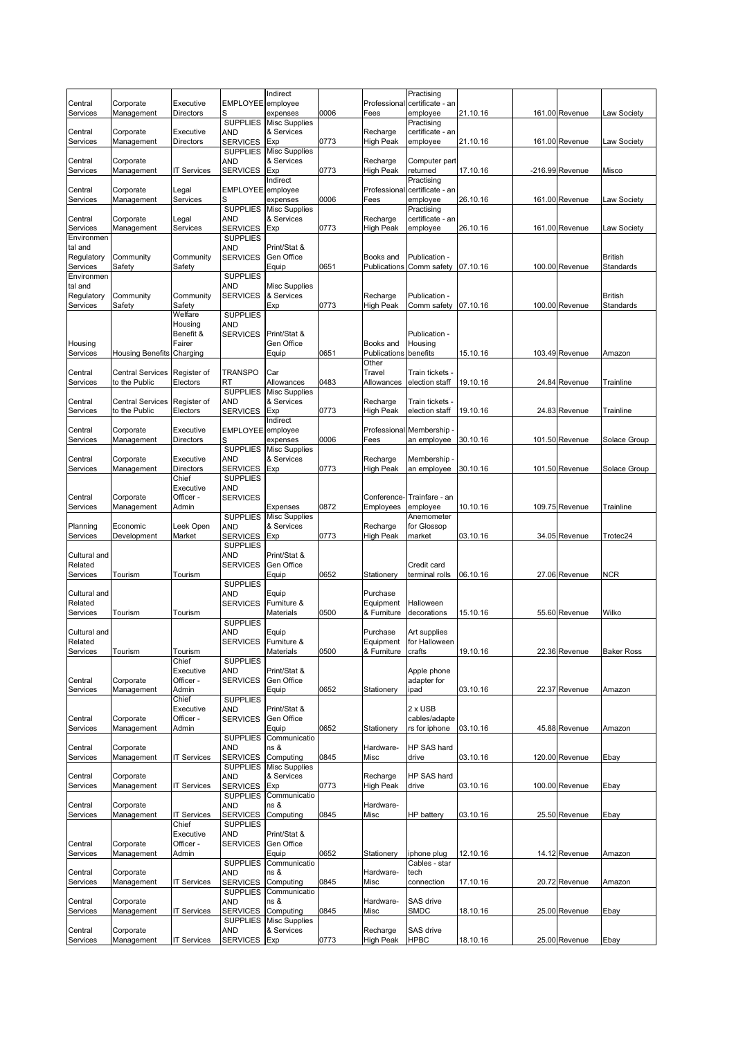|                       |                         |                        |                                    | Indirect                           |      |                              | Practising                             |          |                 |                   |
|-----------------------|-------------------------|------------------------|------------------------------------|------------------------------------|------|------------------------------|----------------------------------------|----------|-----------------|-------------------|
| Central<br>Services   | Corporate<br>Management | Executive<br>Directors | <b>EMPLOYEE</b><br>S               | employee<br>expenses               | 0006 | Professional<br>Fees         | certificate - an<br>employee           | 21.10.16 | 161.00 Revenue  | Law Society       |
|                       |                         |                        | <b>SUPPLIES</b>                    | <b>Misc Supplies</b>               |      |                              | Practising                             |          |                 |                   |
| Central               | Corporate               | Executive              | AND                                | & Services                         |      | Recharge                     | certificate - an                       |          |                 |                   |
| Services              | Management              | Directors              | <b>SERVICES</b>                    | Exp                                | 0773 | High Peak                    | employee                               | 21.10.16 | 161.00 Revenue  | Law Society       |
| Central               | Corporate               |                        | <b>SUPPLIES</b><br><b>AND</b>      | <b>Misc Supplies</b><br>& Services |      | Recharge                     | Computer part                          |          |                 |                   |
| Services              | Management              | <b>T Services</b>      | <b>SERVICES</b>                    | Exp                                | 0773 | High Peak                    | returned                               | 17.10.16 | -216.99 Revenue | Misco             |
|                       |                         |                        |                                    | Indirect                           |      |                              | Practising                             |          |                 |                   |
| Central               | Corporate               | Legal                  | <b>EMPLOYEE</b>                    | employee                           |      | Professional                 | certificate - an                       |          |                 |                   |
| Services              | Management              | Services               | S<br><b>SUPPLIES</b>               | expenses<br><b>Misc Supplies</b>   | 0006 | Fees                         | employee<br>Practising                 | 26.10.16 | 161.00 Revenue  | Law Society       |
| Central               | Corporate               | Legal                  | <b>AND</b>                         | & Services                         |      | Recharge                     | certificate - an                       |          |                 |                   |
| Services              | Management              | Services               | <b>SERVICES</b>                    | Exp                                | 0773 | High Peak                    | employee                               | 26.10.16 | 161.00 Revenue  | Law Society       |
| Environmen<br>tal and |                         |                        | <b>SUPPLIES</b><br>AND             | Print/Stat &                       |      |                              |                                        |          |                 |                   |
| Regulatory            | Community               | Community              | <b>SERVICES</b>                    | Gen Office                         |      | Books and                    | Publication -                          |          |                 | <b>British</b>    |
| Services              | Safety                  | Safety                 |                                    | Equip                              | 0651 | Publications                 | Comm safety                            | 07.10.16 | 100.00 Revenue  | Standards         |
| Environmen            |                         |                        | <b>SUPPLIES</b>                    |                                    |      |                              |                                        |          |                 |                   |
| tal and<br>Regulatory | Community               | Community              | <b>AND</b><br><b>SERVICES</b>      | <b>Misc Supplies</b><br>& Services |      | Recharge                     | Publication -                          |          |                 | <b>British</b>    |
| Services              | Safety                  | Safety                 |                                    | Exp                                | 0773 | High Peak                    | Comm safety                            | 07.10.16 | 100.00 Revenue  | Standards         |
|                       |                         | Welfare                | <b>SUPPLIES</b>                    |                                    |      |                              |                                        |          |                 |                   |
|                       |                         | Housing                | AND                                |                                    |      |                              |                                        |          |                 |                   |
| Housing               |                         | Benefit &<br>Fairer    | <b>SERVICES</b>                    | Print/Stat &<br>Gen Office         |      | Books and                    | Publication -<br>Housing               |          |                 |                   |
| Services              | <b>Housing Benefits</b> | Charging               |                                    | Equip                              | 0651 | Publications                 | benefits                               | 15.10.16 | 103.49 Revenue  | Amazon            |
|                       |                         |                        |                                    |                                    |      | Other                        |                                        |          |                 |                   |
| Central               | <b>Central Services</b> | Register of            | <b>TRANSPO</b>                     | Car                                |      | Travel                       | Train tickets -                        |          |                 |                   |
| Services              | to the Public           | Electors               | <b>RT</b><br><b>SUPPLIES</b>       | Allowances<br><b>Misc Supplies</b> | 0483 | Allowances                   | election staff                         | 19.10.16 | 24.84 Revenue   | Trainline         |
| Central               | <b>Central Services</b> | Register of            | <b>AND</b>                         | & Services                         |      | Recharge                     | Train tickets -                        |          |                 |                   |
| Services              | to the Public           | Electors               | <b>SERVICES</b>                    | Exp                                | 0773 | High Peak                    | election staff                         | 19.10.16 | 24.83 Revenue   | Trainline         |
|                       |                         |                        |                                    | Indirect                           |      |                              |                                        |          |                 |                   |
| Central<br>Services   | Corporate<br>Management | Executive<br>Directors | <b>EMPLOYEE</b><br>S               | employee<br>expenses               | 0006 | Fees                         | Professional Membership<br>an employee | 30.10.16 | 101.50 Revenue  | Solace Group      |
|                       |                         |                        | <b>SUPPLIES</b>                    | <b>Misc Supplies</b>               |      |                              |                                        |          |                 |                   |
| Central               | Corporate               | Executive              | <b>AND</b>                         | & Services                         |      | Recharge                     | Membership -                           |          |                 |                   |
| Services              | Management              | Directors<br>Chief     | <b>SERVICES</b><br><b>SUPPLIES</b> | Exp                                | 0773 | High Peak                    | an employee                            | 30.10.16 | 101.50 Revenue  | Solace Group      |
|                       |                         | Executive              | AND                                |                                    |      |                              |                                        |          |                 |                   |
| Central               | Corporate               | Officer -              | <b>SERVICES</b>                    |                                    |      | Conference-                  | Trainfare - an                         |          |                 |                   |
| Services              | Management              | Admin                  |                                    | Expenses                           | 0872 | Employees                    | employee                               | 10.10.16 | 109.75 Revenue  | Trainline         |
| Planning              | Economic                | Leek Open              | <b>SUPPLIES</b><br><b>AND</b>      | <b>Misc Supplies</b><br>& Services |      | Recharge                     | Anemometer<br>for Glossop              |          |                 |                   |
| Services              | Development             | Market                 | <b>SERVICES</b>                    | Exp                                | 0773 | <b>High Peak</b>             | market                                 | 03.10.16 | 34.05 Revenue   | Trotec24          |
|                       |                         |                        | <b>SUPPLIES</b>                    |                                    |      |                              |                                        |          |                 |                   |
| Cultural and          |                         |                        | AND                                | Print/Stat &                       |      |                              |                                        |          |                 |                   |
| Related<br>Services   | Tourism                 | Tourism                | <b>SERVICES</b>                    | Gen Office<br>Equip                | 0652 | Stationery                   | Credit card<br>terminal rolls          | 06.10.16 | 27.06 Revenue   | <b>NCR</b>        |
|                       |                         |                        | <b>SUPPLIES</b>                    |                                    |      |                              |                                        |          |                 |                   |
| Cultural and          |                         |                        | <b>AND</b>                         | Equip                              |      | Purchase                     |                                        |          |                 |                   |
| Related               |                         |                        | <b>SERVICES</b>                    | Furniture &                        |      | Equipment                    | Halloween                              |          |                 |                   |
| Services              | Tourism                 | Tourism                | <b>SUPPLIES</b>                    | Materials                          | 0500 | & Furniture                  | decorations                            | 15.10.16 | 55.60 Revenue   | Wilko             |
| Cultural and          |                         |                        | <b>AND</b>                         | Equip                              |      | Purchase                     | Art supplies                           |          |                 |                   |
| Related               |                         |                        | <b>SERVICES</b>                    | Furniture &                        |      | Equipment                    | for Halloween                          |          |                 |                   |
| Services              | Tourism                 | Tourism<br>Chief       | <b>SUPPLIES</b>                    | Materials                          | 0500 | & Furniture                  | crafts                                 | 19.10.16 | 22.36 Revenue   | <b>Baker Ross</b> |
|                       |                         | Executive              | AND                                | Print/Stat &                       |      |                              | Apple phone                            |          |                 |                   |
| Central               | Corporate               | Officer -              | <b>SERVICES</b>                    | Gen Office                         |      |                              | adapter for                            |          |                 |                   |
| Services              | Management              | Admin                  |                                    | Equip                              | 0652 | Stationery                   | ipad                                   | 03.10.16 | 22.37 Revenue   | Amazon            |
|                       |                         | Chief<br>Executive     | <b>SUPPLIES</b><br>AND             | Print/Stat &                       |      |                              | $2 \times$ USB                         |          |                 |                   |
| Central               | Corporate               | Officer -              | <b>SERVICES</b>                    | Gen Office                         |      |                              | cables/adapte                          |          |                 |                   |
| Services              | Management              | Admin                  |                                    | Equip                              | 0652 | Stationery                   | rs for iphone                          | 03.10.16 | 45.88 Revenue   | Amazon            |
|                       | Corporate               |                        | <b>SUPPLIES</b><br><b>AND</b>      | Communicatio<br>ns &               |      | Hardware-                    | HP SAS hard                            |          |                 |                   |
| Central<br>Services   | Management              | <b>IT Services</b>     | <b>SERVICES</b>                    | Computing                          | 0845 | Misc                         | drive                                  | 03.10.16 | 120.00 Revenue  | Ebay              |
|                       |                         |                        | <b>SUPPLIES</b>                    | <b>Misc Supplies</b>               |      |                              |                                        |          |                 |                   |
| Central               | Corporate               |                        | <b>AND</b>                         | & Services                         |      | Recharge                     | HP SAS hard                            |          |                 |                   |
| Services              | Management              | <b>IT Services</b>     | <b>SERVICES</b><br><b>SUPPLIES</b> | Exp<br>Communicatio                | 0773 | High Peak                    | drive                                  | 03.10.16 | 100.00 Revenue  | Ebay              |
| Central               | Corporate               |                        | <b>AND</b>                         | ns &                               |      | Hardware-                    |                                        |          |                 |                   |
| Services              | Management              | <b>IT Services</b>     | <b>SERVICES</b>                    | Computing                          | 0845 | Misc                         | HP battery                             | 03.10.16 | 25.50 Revenue   | Ebay              |
|                       |                         | Chief                  | <b>SUPPLIES</b>                    |                                    |      |                              |                                        |          |                 |                   |
| Central               | Corporate               | Executive<br>Officer - | AND<br><b>SERVICES</b>             | Print/Stat &<br>Gen Office         |      |                              |                                        |          |                 |                   |
| Services              | Management              | Admin                  |                                    | Equip                              | 0652 | Stationery                   | iphone plug                            | 12.10.16 | 14.12 Revenue   | Amazon            |
|                       |                         |                        | <b>SUPPLIES</b>                    | Communicatio                       |      |                              | Cables - star                          |          |                 |                   |
| Central               | Corporate               |                        | AND                                | ns &                               |      | Hardware-                    | tech                                   |          |                 |                   |
| Services              | Management              | <b>T Services</b>      | <b>SERVICES</b><br><b>SUPPLIES</b> | Computing<br>Communicatio          | 0845 | Misc                         | connection                             | 17.10.16 | 20.72 Revenue   | Amazon            |
| Central               |                         |                        |                                    |                                    |      |                              |                                        |          |                 |                   |
|                       | Corporate               |                        | <b>AND</b>                         | ns &                               |      | Hardware-                    | SAS drive                              |          |                 |                   |
| Services              | Management              | <b>T Services</b>      | <b>SERVICES</b>                    | Computing                          | 0845 | Misc                         | <b>SMDC</b>                            | 18.10.16 | 25.00 Revenue   | Ebay              |
|                       |                         |                        | <b>SUPPLIES</b>                    | <b>Misc Supplies</b>               |      |                              |                                        |          |                 |                   |
| Central<br>Services   | Corporate<br>Management | IT Services            | AND<br><b>SERVICES</b>             | & Services<br>Exp                  | 0773 | Recharge<br><b>High Peak</b> | SAS drive<br>HPBC                      | 18.10.16 | 25.00 Revenue   | Ebay              |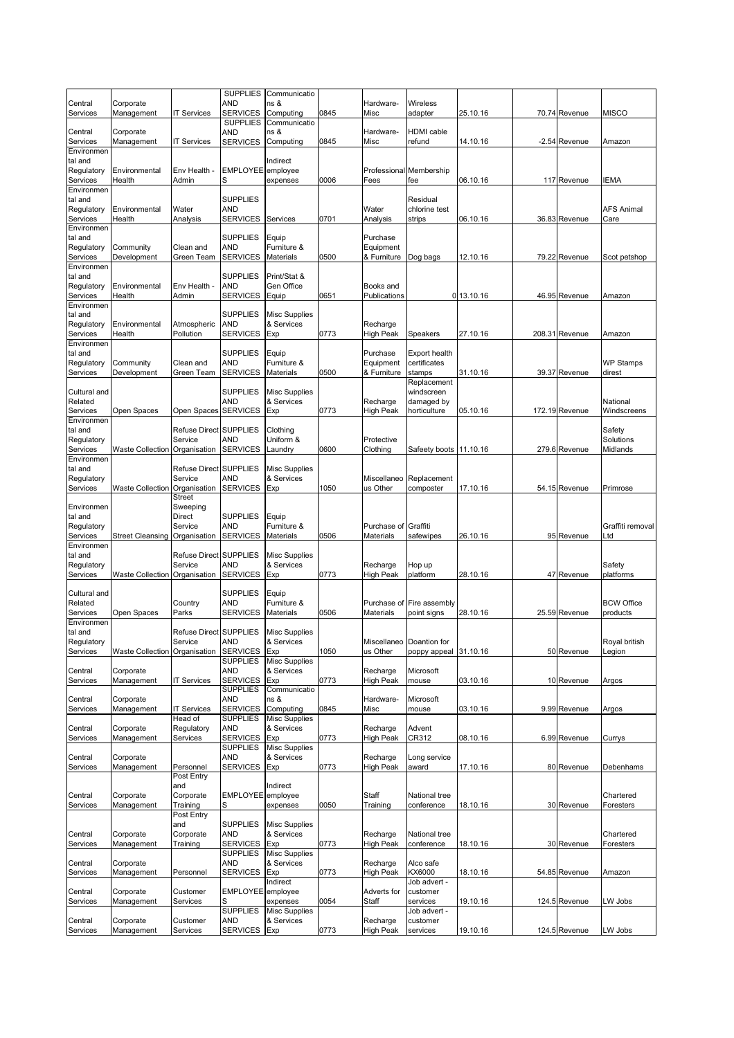| Central                           | Corporate                     |                         | <b>SUPPLIES</b><br>AND                    | Communicatio<br>ns &               |      | Hardware-              | <b>Wireless</b>                      |            |                |                         |
|-----------------------------------|-------------------------------|-------------------------|-------------------------------------------|------------------------------------|------|------------------------|--------------------------------------|------------|----------------|-------------------------|
| Services                          | Management                    | <b>IT Services</b>      | <b>SERVICES</b>                           | Computing                          | 0845 | Misc                   | adapter                              | 25.10.16   | 70.74 Revenue  | <b>MISCO</b>            |
| Central<br>Services               | Corporate<br>Management       | <b>IT Services</b>      | <b>SUPPLIES</b><br>AND<br><b>SERVICES</b> | Communicatio<br>ns &<br>Computing  | 0845 | Hardware-<br>Misc      | HDMI cable<br>refund                 | 14.10.16   | -2.54 Revenue  | Amazon                  |
| Environmen                        |                               |                         |                                           |                                    |      |                        |                                      |            |                |                         |
| tal and<br>Regulatory<br>Services | Environmental<br>Health       | Env Health -<br>Admin   | <b>EMPLOYEE</b><br>S                      | Indirect<br>employee<br>expenses   | 0006 | Fees                   | Professional Membership<br>fee       | 06.10.16   | 117 Revenue    | <b>IEMA</b>             |
| Environmen                        |                               |                         |                                           |                                    |      |                        |                                      |            |                |                         |
| tal and<br>Regulatory             | Environmental                 | Water                   | <b>SUPPLIES</b><br>AND                    |                                    |      | Water                  | Residual<br>chlorine test            |            |                | <b>AFS Animal</b>       |
| Services                          | Health                        | Analysis                | <b>SERVICES</b>                           | Services                           | 0701 | Analysis               | strips                               | 06.10.16   | 36.83 Revenue  | Care                    |
| Environmen<br>tal and             |                               |                         | <b>SUPPLIES</b>                           | Equip                              |      | Purchase               |                                      |            |                |                         |
| Regulatory                        | Community                     | Clean and               | AND                                       | Furniture &                        |      | Equipment              |                                      |            |                |                         |
| Services<br>Environmen            | Development                   | Green Team              | <b>SERVICES</b>                           | Materials                          | 0500 | & Furniture            | Dog bags                             | 12.10.16   | 79.22 Revenue  | Scot petshop            |
| tal and                           |                               |                         | <b>SUPPLIES</b>                           | Print/Stat &                       |      |                        |                                      |            |                |                         |
| Regulatory                        | Environmental                 | Env Health -            | <b>AND</b>                                | Gen Office                         |      | Books and              |                                      |            |                |                         |
| Services<br>Environmen            | Health                        | Admin                   | <b>SERVICES</b>                           | Equip                              | 0651 | Publications           |                                      | 0 13.10.16 | 46.95 Revenue  | Amazon                  |
| tal and                           |                               |                         | <b>SUPPLIES</b>                           | <b>Misc Supplies</b>               |      |                        |                                      |            |                |                         |
| Regulatory                        | Environmental                 | Atmospheric             | AND                                       | & Services                         |      | Recharge               |                                      |            |                |                         |
| Services<br>Environmen            | Health                        | Pollution               | <b>SERVICES</b>                           | Exp                                | 0773 | High Peak              | Speakers                             | 27.10.16   | 208.31 Revenue | Amazon                  |
| tal and                           |                               |                         | <b>SUPPLIES</b>                           | Equip                              |      | Purchase               | <b>Export health</b>                 |            |                |                         |
| Regulatory<br>Services            | Community                     | Clean and               | AND<br><b>SERVICES</b>                    | Furniture &<br>Materials           |      | Equipment              | certificates<br>stamps               | 31.10.16   | 39.37 Revenue  | <b>WP Stamps</b>        |
|                                   | Development                   | Green Team              |                                           |                                    | 0500 | & Furniture            | Replacement                          |            |                | direst                  |
| Cultural and                      |                               |                         | <b>SUPPLIES</b>                           | <b>Misc Supplies</b>               |      |                        | windscreen                           |            |                |                         |
| Related<br>Services               | Open Spaces                   | Open Spaces             | AND<br><b>SERVICES</b>                    | & Services<br>Exp                  | 0773 | Recharge<br>High Peak  | damaged by<br>horticulture           | 05.10.16   | 172.19 Revenue | National<br>Windscreens |
| Environmen                        |                               |                         |                                           |                                    |      |                        |                                      |            |                |                         |
| tal and                           |                               | Refuse Direct SUPPLIES  |                                           | Clothing                           |      |                        |                                      |            |                | Safety                  |
| Regulatory<br>Services            | <b>Waste Collection</b>       | Service<br>Organisation | AND<br><b>SERVICES</b>                    | Uniform &<br>Laundry               | 0600 | Protective<br>Clothing | Safeety boots 11.10.16               |            | 279.6 Revenue  | Solutions<br>Midlands   |
| Environmen                        |                               |                         |                                           |                                    |      |                        |                                      |            |                |                         |
| tal and                           |                               | <b>Refuse Direct</b>    | <b>SUPPLIES</b>                           | <b>Misc Supplies</b>               |      |                        |                                      |            |                |                         |
| Regulatory<br>Services            | <b>Waste Collection</b>       | Service<br>Organisation | <b>AND</b><br><b>SERVICES</b>             | & Services<br>Exp                  | 1050 | us Other               | Miscellaneo Replacement<br>composter | 17.10.16   | 54.15 Revenue  | Primrose                |
|                                   |                               | Street                  |                                           |                                    |      |                        |                                      |            |                |                         |
| Environmen                        |                               | Sweeping                |                                           |                                    |      |                        |                                      |            |                |                         |
| tal and<br>Regulatory             |                               | Direct<br>Service       | <b>SUPPLIES</b><br><b>AND</b>             | Equip<br>Furniture &               |      | Purchase of Graffiti   |                                      |            |                | Graffiti removal        |
| Services                          | <b>Street Cleansing</b>       | Organisation            | <b>SERVICES</b>                           | Materials                          | 0506 | Materials              | safewipes                            | 26.10.16   | 95 Revenue     | Ltd                     |
| Environmen<br>tal and             |                               | Refuse Direct SUPPLIES  |                                           | <b>Misc Supplies</b>               |      |                        |                                      |            |                |                         |
| Regulatory                        |                               | Service                 | <b>AND</b>                                | & Services                         |      | Recharge               | Hop up                               |            |                | Safety                  |
| Services                          | Waste Collection Organisation |                         | <b>SERVICES</b>                           | Exp                                | 0773 | High Peak              | platform                             | 28.10.16   | 47 Revenue     | platforms               |
| Cultural and                      |                               |                         | <b>SUPPLIES</b>                           | Equip                              |      |                        |                                      |            |                |                         |
| Related                           |                               | Country                 | AND                                       | Furniture &                        |      | Purchase of            | Fire assembly                        |            |                | <b>BCW Office</b>       |
| Services                          | Open Spaces                   | Parks                   | <b>SERVICES</b>                           | Materials                          | 0506 | Materials              | point signs                          | 28.10.16   | 25.59 Revenue  | products                |
| Environmen<br>tal and             |                               | Refuse Direct SUPPLIES  |                                           | <b>Misc Supplies</b>               |      |                        |                                      |            |                |                         |
| Regulatory                        |                               | Service                 | AND                                       | & Services                         |      |                        | Miscellaneo Doantion for             |            |                | Royal british           |
| Services                          | Waste Collection Organisation |                         | <b>SERVICES</b><br><b>SUPPLIES</b>        | Exp<br><b>Misc Supplies</b>        | 1050 | us Other               | poppy appeal                         | 31.10.16   | 50 Revenue     | Legion                  |
| Central                           | Corporate                     |                         | <b>AND</b>                                | & Services                         |      | Recharge               | Microsoft                            |            |                |                         |
| Services                          | Management                    | <b>IT Services</b>      | <b>SERVICES</b>                           | Exp                                | 0773 | <b>High Peak</b>       | mouse                                | 03.10.16   | 10 Revenue     | Argos                   |
| Central                           | Corporate                     |                         | <b>SUPPLIES</b><br>AND                    | Communicatio<br>ns &               |      | Hardware-              | Microsoft                            |            |                |                         |
| Services                          | Management                    | <b>IT Services</b>      | <b>SERVICES</b>                           | Computing                          | 0845 | Misc                   | mouse                                | 03.10.16   | 9.99 Revenue   | Argos                   |
|                                   |                               | Head of                 | <b>SUPPLIES</b>                           | <b>Misc Supplies</b>               |      |                        |                                      |            |                |                         |
| Central<br>Services               | Corporate<br>Management       | Regulatory<br>Services  | <b>AND</b><br><b>SERVICES</b>             | & Services<br>Exp                  | 0773 | Recharge<br>High Peak  | Advent<br>CR312                      | 08.10.16   | 6.99 Revenue   | Currys                  |
|                                   |                               |                         | <b>SUPPLIES</b>                           | <b>Misc Supplies</b>               |      |                        |                                      |            |                |                         |
| Central                           | Corporate                     |                         | AND<br><b>SERVICES</b>                    | & Services                         |      | Recharge               | Long service                         |            |                |                         |
| Services                          | Management                    | Personnel<br>Post Entry |                                           | Exp                                | 0773 | High Peak              | award                                | 17.10.16   | 80 Revenue     | Debenhams               |
|                                   |                               | and                     |                                           | Indirect                           |      |                        |                                      |            |                |                         |
| Central<br>Services               | Corporate<br>Management       | Corporate<br>Training   | <b>EMPLOYEE</b>                           | employee<br>expenses               | 0050 | Staff<br>Training      | National tree<br>conference          | 18.10.16   | 30 Revenue     | Chartered<br>Foresters  |
|                                   |                               | Post Entry              |                                           |                                    |      |                        |                                      |            |                |                         |
|                                   |                               | and                     | <b>SUPPLIES</b>                           | <b>Misc Supplies</b>               |      |                        |                                      |            |                |                         |
| Central<br>Services               | Corporate<br>Management       | Corporate<br>Training   | <b>AND</b><br><b>SERVICES</b>             | & Services<br>Exp                  | 0773 | Recharge<br>High Peak  | National tree<br>conference          | 18.10.16   | 30 Revenue     | Chartered<br>Foresters  |
|                                   |                               |                         | <b>SUPPLIES</b>                           | <b>Misc Supplies</b>               |      |                        |                                      |            |                |                         |
| Central                           | Corporate                     |                         | <b>AND</b>                                | & Services                         |      | Recharge               | Alco safe                            |            |                |                         |
| Services                          | Management                    | Personnel               | <b>SERVICES</b>                           | Exp<br>Indirect                    | 0773 | <b>High Peak</b>       | KX6000<br>Job advert -               | 18.10.16   | 54.85 Revenue  | Amazon                  |
| Central                           | Corporate                     | Customer                | <b>EMPLOYEE</b>                           | employee                           |      | Adverts for            | customer                             |            |                |                         |
| Services                          | Management                    | Services                |                                           | expenses                           | 0054 | Staff                  | services                             | 19.10.16   | 124.5 Revenue  | LW Jobs                 |
| Central                           | Corporate                     | Customer                | <b>SUPPLIES</b><br><b>AND</b>             | <b>Misc Supplies</b><br>& Services |      | Recharge               | Job advert -<br>customer             |            |                |                         |
| Services                          | Management                    | Services                | <b>SERVICES</b>                           | Exp                                | 0773 | <b>High Peak</b>       | services                             | 19.10.16   | 124.5 Revenue  | LW Jobs                 |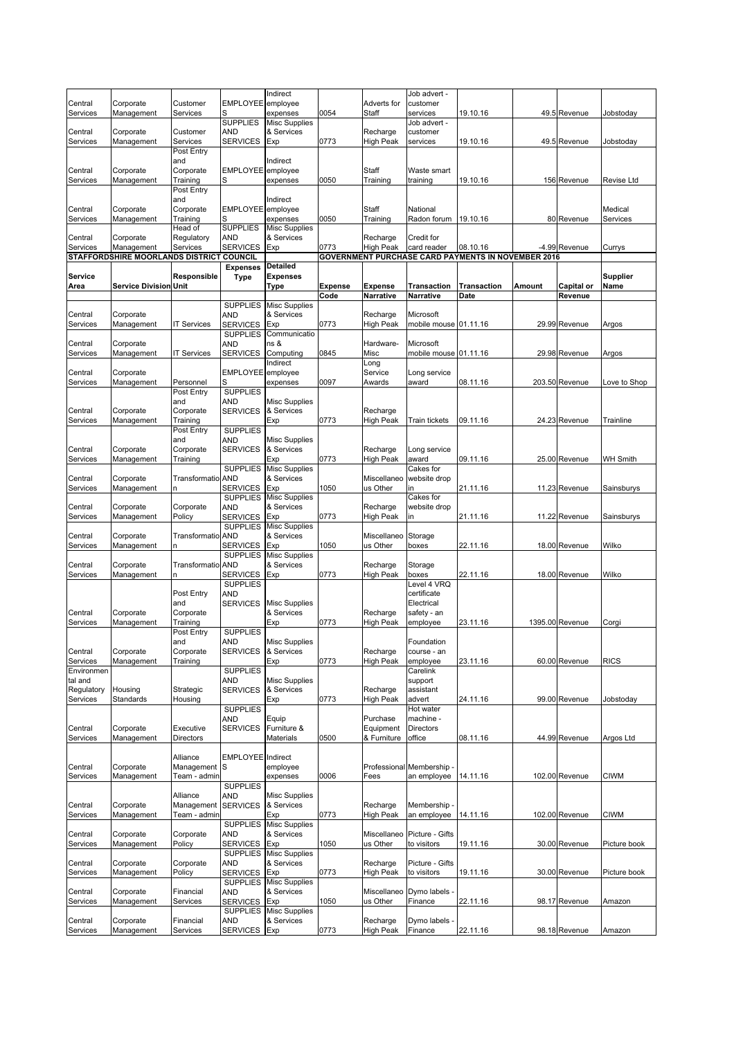|                     |                                          |                          |                                    | Indirect                           |                |                       | Job advert -              |                                                           |        |                 |                   |
|---------------------|------------------------------------------|--------------------------|------------------------------------|------------------------------------|----------------|-----------------------|---------------------------|-----------------------------------------------------------|--------|-----------------|-------------------|
| Central             | Corporate                                | Customer                 | EMPLOYEE employee                  |                                    |                | Adverts for           | customer                  |                                                           |        |                 |                   |
| Services            | Management                               | Services                 | S                                  | expenses                           | 0054           | Staff                 | services                  | 19.10.16                                                  |        | 49.5 Revenue    | Jobstoday         |
|                     |                                          |                          | <b>SUPPLIES</b>                    | <b>Misc Supplies</b>               |                |                       | Job advert -              |                                                           |        |                 |                   |
| Central             | Corporate                                | Customer                 | <b>AND</b>                         | & Services                         |                | Recharge              | customer                  |                                                           |        |                 |                   |
| Services            | Management                               | Services<br>Post Entry   | <b>SERVICES</b>                    | Exp                                | 0773           | High Peak             | services                  | 19.10.16                                                  |        | 49.5 Revenue    | Jobstoday         |
|                     |                                          | and                      |                                    | Indirect                           |                |                       |                           |                                                           |        |                 |                   |
| Central             | Corporate                                | Corporate                | EMPLOYEE employee                  |                                    |                | Staff                 | Waste smart               |                                                           |        |                 |                   |
| Services            | Management                               | Training                 | S                                  | expenses                           | 0050           | Training              | training                  | 19.10.16                                                  |        | 156 Revenue     | <b>Revise Ltd</b> |
|                     |                                          | Post Entry               |                                    |                                    |                |                       |                           |                                                           |        |                 |                   |
|                     |                                          | and                      |                                    | Indirect                           |                |                       |                           |                                                           |        |                 |                   |
| Central             | Corporate                                | Corporate                | EMPLOYEE employee                  |                                    |                | Staff                 | National                  |                                                           |        |                 | Medical           |
| Services            | Management                               | Training                 | S                                  | expenses                           | 0050           | Training              | Radon forum               | 19.10.16                                                  |        | 80 Revenue      | Services          |
|                     |                                          | Head of                  | <b>SUPPLIES</b>                    | <b>Misc Supplies</b>               |                |                       |                           |                                                           |        |                 |                   |
| Central             | Corporate                                | Regulatory               | <b>AND</b>                         | & Services                         |                | Recharge              | Credit for                |                                                           |        |                 |                   |
| Services            | Management                               | Services                 | <b>SERVICES</b>                    | Exp                                | 0773           | High Peak             | card reader               | 08.10.16                                                  |        | -4.99 Revenue   | Currys            |
|                     | STAFFORDSHIRE MOORLANDS DISTRICT COUNCIL |                          |                                    | <b>Detailed</b>                    |                |                       |                           | <b>GOVERNMENT PURCHASE CARD PAYMENTS IN NOVEMBER 2016</b> |        |                 |                   |
| Service             |                                          | Responsible              | <b>Expenses</b><br><b>Type</b>     | <b>Expenses</b>                    |                |                       |                           |                                                           |        |                 | <b>Supplier</b>   |
| Area                | <b>Service Division Unit</b>             |                          |                                    | Type                               | <b>Expense</b> | <b>Expense</b>        | <b>Transaction</b>        | <b>Transaction</b>                                        | Amount | Capital or      | Name              |
|                     |                                          |                          |                                    |                                    | Code           | Narrative             | Narrative                 | Date                                                      |        | Revenue         |                   |
|                     |                                          |                          | <b>SUPPLIES</b>                    | <b>Misc Supplies</b>               |                |                       |                           |                                                           |        |                 |                   |
| Central             | Corporate                                |                          | <b>AND</b>                         | & Services                         |                | Recharge              | Microsoft                 |                                                           |        |                 |                   |
| Services            | Management                               | <b>IT Services</b>       | <b>SERVICES</b>                    | Exp                                | 0773           | High Peak             | mobile mouse 01.11.16     |                                                           |        | 29.99 Revenue   | Argos             |
|                     |                                          |                          | <b>SUPPLIES</b>                    | Communicatio                       |                |                       |                           |                                                           |        |                 |                   |
| Central             | Corporate                                |                          | <b>AND</b>                         | ns &                               |                | Hardware-             | Microsoft                 |                                                           |        |                 |                   |
| Services            | Management                               | <b>IT Services</b>       | <b>SERVICES</b>                    | Computing                          | 0845           | Misc                  | mobile mouse 01.11.16     |                                                           |        | 29.98 Revenue   | Argos             |
|                     |                                          |                          |                                    | Indirect                           |                | Long                  |                           |                                                           |        |                 |                   |
| Central             | Corporate                                |                          | EMPLOYEE employee                  |                                    |                | Service               | Long service              |                                                           |        |                 |                   |
| Services            | Management                               | Personnel<br>Post Entry  | <b>SUPPLIES</b>                    | expenses                           | 0097           | Awards                | award                     | 08.11.16                                                  |        | 203.50 Revenue  | Love to Shop      |
|                     |                                          | and                      | <b>AND</b>                         | <b>Misc Supplies</b>               |                |                       |                           |                                                           |        |                 |                   |
| Central             | Corporate                                | Corporate                | <b>SERVICES</b>                    | & Services                         |                | Recharge              |                           |                                                           |        |                 |                   |
| Services            | Management                               | Training                 |                                    | Exp                                | 0773           | High Peak             | <b>Train tickets</b>      | 09.11.16                                                  |        | 24.23 Revenue   | Trainline         |
|                     |                                          | Post Entry               | <b>SUPPLIES</b>                    |                                    |                |                       |                           |                                                           |        |                 |                   |
|                     |                                          | and                      | <b>AND</b>                         | <b>Misc Supplies</b>               |                |                       |                           |                                                           |        |                 |                   |
| Central             | Corporate                                | Corporate                | <b>SERVICES</b>                    | & Services                         |                | Recharge              | Long service              |                                                           |        |                 |                   |
| Services            | Management                               | Training                 |                                    | Exp                                | 0773           | High Peak             | award                     | 09.11.16                                                  |        | 25.00 Revenue   | <b>WH Smith</b>   |
|                     |                                          |                          | <b>SUPPLIES</b>                    | <b>Misc Supplies</b>               |                |                       | Cakes for                 |                                                           |        |                 |                   |
| Central             | Corporate                                | Transformatio AND        |                                    | & Services                         |                | Miscellaneo           | website drop              |                                                           |        |                 |                   |
| Services            | Management                               | n                        | <b>SERVICES</b>                    | Exp                                | 1050           | us Other              | in                        | 21.11.16                                                  |        | 11.23 Revenue   | Sainsburys        |
| Central             | Corporate                                | Corporate                | <b>SUPPLIES</b><br><b>AND</b>      | <b>Misc Supplies</b><br>& Services |                | Recharge              | Cakes for<br>website drop |                                                           |        |                 |                   |
| Services            | Management                               | Policy                   | <b>SERVICES</b>                    | Exp                                | 0773           | High Peak             | in                        | 21.11.16                                                  |        | 11.22 Revenue   | Sainsburys        |
|                     |                                          |                          | <b>SUPPLIES</b>                    | <b>Misc Supplies</b>               |                |                       |                           |                                                           |        |                 |                   |
| Central             | Corporate                                | <b>Transformatio AND</b> |                                    | & Services                         |                | Miscellaneo           | Storage                   |                                                           |        |                 |                   |
| Services            | Management                               | n                        | <b>SERVICES</b>                    | Exp                                | 1050           | us Other              | boxes                     | 22.11.16                                                  |        | 18.00 Revenue   | Wilko             |
|                     |                                          |                          | <b>SUPPLIES</b>                    | <b>Misc Supplies</b>               |                |                       |                           |                                                           |        |                 |                   |
| Central             | Corporate                                | <b>Transformatio AND</b> |                                    | & Services                         |                | Recharge              | Storage                   |                                                           |        |                 |                   |
| Services            | Management                               | n                        | <b>SERVICES</b>                    | Exp                                | 0773           | <b>High Peak</b>      | boxes                     | 22.11.16                                                  |        | 18.00 Revenue   | Wilko             |
|                     |                                          |                          | <b>SUPPLIES</b>                    |                                    |                |                       | Level 4 VRQ               |                                                           |        |                 |                   |
|                     |                                          | Post Entry               | <b>AND</b>                         |                                    |                |                       | certificate               |                                                           |        |                 |                   |
|                     |                                          | and                      | <b>SERVICES</b>                    | <b>Misc Supplies</b>               |                |                       | Electrical                |                                                           |        |                 |                   |
| Central             | Corporate                                | Corporate                |                                    | & Services                         |                | Recharge              | safety - an               |                                                           |        |                 |                   |
| Services            | Management                               | Training<br>Post Entry   | <b>SUPPLIES</b>                    | Exp                                | 0773           | <b>High Peak</b>      | employee                  | 23.11.16                                                  |        | 1395.00 Revenue | Corgi             |
|                     |                                          | and                      | AND                                | <b>Misc Supplies</b>               |                |                       | Foundation                |                                                           |        |                 |                   |
| Central             | Corporate                                | Corporate                | <b>SERVICES</b>                    | & Services                         |                | Recharge              | course - an               |                                                           |        |                 |                   |
| Services            | Management                               | Training                 |                                    | Exp                                | 0773           | <b>High Peak</b>      | employee                  | 23.11.16                                                  |        | 60.00 Revenue   | <b>RICS</b>       |
| Environmen          |                                          |                          | <b>SUPPLIES</b>                    |                                    |                |                       | Carelink                  |                                                           |        |                 |                   |
| tal and             |                                          |                          | AND                                | <b>Misc Supplies</b>               |                |                       | support                   |                                                           |        |                 |                   |
| Regulatory          | Housing                                  | Strategic                | <b>SERVICES</b>                    | & Services                         |                | Recharge              | assistant                 |                                                           |        |                 |                   |
| Services            | Standards                                | Housing                  |                                    | Exp                                | 0773           | <b>High Peak</b>      | advert                    | 24.11.16                                                  |        | 99.00 Revenue   | Jobstoday         |
|                     |                                          |                          | <b>SUPPLIES</b>                    |                                    |                |                       | Hot water                 |                                                           |        |                 |                   |
|                     |                                          |                          | AND                                | Equip                              |                | Purchase<br>Equipment | machine -                 |                                                           |        |                 |                   |
| Central<br>Services | Corporate<br>Management                  | Executive<br>Directors   | <b>SERVICES</b>                    | Furniture &<br>Materials           | 0500           | & Furniture           | Directors<br>office       | 08.11.16                                                  |        | 44.99 Revenue   | Argos Ltd         |
|                     |                                          |                          |                                    |                                    |                |                       |                           |                                                           |        |                 |                   |
|                     |                                          | Alliance                 | EMPLOYEE Indirect                  |                                    |                |                       |                           |                                                           |        |                 |                   |
| Central             | Corporate                                | Management S             |                                    | employee                           |                |                       | Professional Membership - |                                                           |        |                 |                   |
| Services            | Management                               | Team - admin             |                                    | expenses                           | 0006           | Fees                  | an employee               | 14.11.16                                                  |        | 102.00 Revenue  | <b>CIWM</b>       |
|                     |                                          |                          | <b>SUPPLIES</b>                    |                                    |                |                       |                           |                                                           |        |                 |                   |
|                     |                                          | Alliance                 | AND                                | <b>Misc Supplies</b>               |                |                       |                           |                                                           |        |                 |                   |
| Central             | Corporate                                | Management               | <b>SERVICES</b>                    | & Services                         |                | Recharge              | Membership                |                                                           |        |                 |                   |
| Services            | Management                               | Team - admin             |                                    | Exp                                | 0773           | High Peak             | an employee               | 14.11.16                                                  |        | 102.00 Revenue  | <b>CIWM</b>       |
|                     |                                          |                          | <b>SUPPLIES</b>                    | <b>Misc Supplies</b>               |                |                       |                           |                                                           |        |                 |                   |
| Central             | Corporate                                | Corporate                | <b>AND</b>                         | & Services                         |                | Miscellaneo           | Picture - Gifts           |                                                           |        |                 |                   |
| Services            | Management                               | Policy                   | <b>SERVICES</b><br><b>SUPPLIES</b> | Exp<br><b>Misc Supplies</b>        | 1050           | us Other              | to visitors               | 19.11.16                                                  |        | 30.00 Revenue   | Picture book      |
| Central             | Corporate                                | Corporate                | <b>AND</b>                         | & Services                         |                | Recharge              | Picture - Gifts           |                                                           |        |                 |                   |
| Services            | Management                               | Policy                   | <b>SERVICES</b>                    | Exp                                | 0773           | High Peak             | to visitors               | 19.11.16                                                  |        | 30.00 Revenue   | Picture book      |
|                     |                                          |                          | <b>SUPPLIES</b>                    | <b>Misc Supplies</b>               |                |                       |                           |                                                           |        |                 |                   |
| Central             | Corporate                                | Financial                | AND                                | & Services                         |                | Miscellaneo           | Dymo labels               |                                                           |        |                 |                   |
| Services            | Management                               | Services                 | <b>SERVICES</b>                    | Exp                                | 1050           | us Other              | Finance                   | 22.11.16                                                  |        | 98.17 Revenue   | Amazon            |
|                     |                                          |                          | <b>SUPPLIES</b>                    | <b>Misc Supplies</b>               |                |                       |                           |                                                           |        |                 |                   |
| Central             | Corporate                                | Financial                | AND                                | & Services                         |                | Recharge              | Dymo labels               |                                                           |        |                 |                   |
| Services            | Management                               | Services                 | <b>SERVICES</b>                    | Exp                                | 0773           | High Peak             | Finance                   | 22.11.16                                                  |        | 98.18 Revenue   | Amazon            |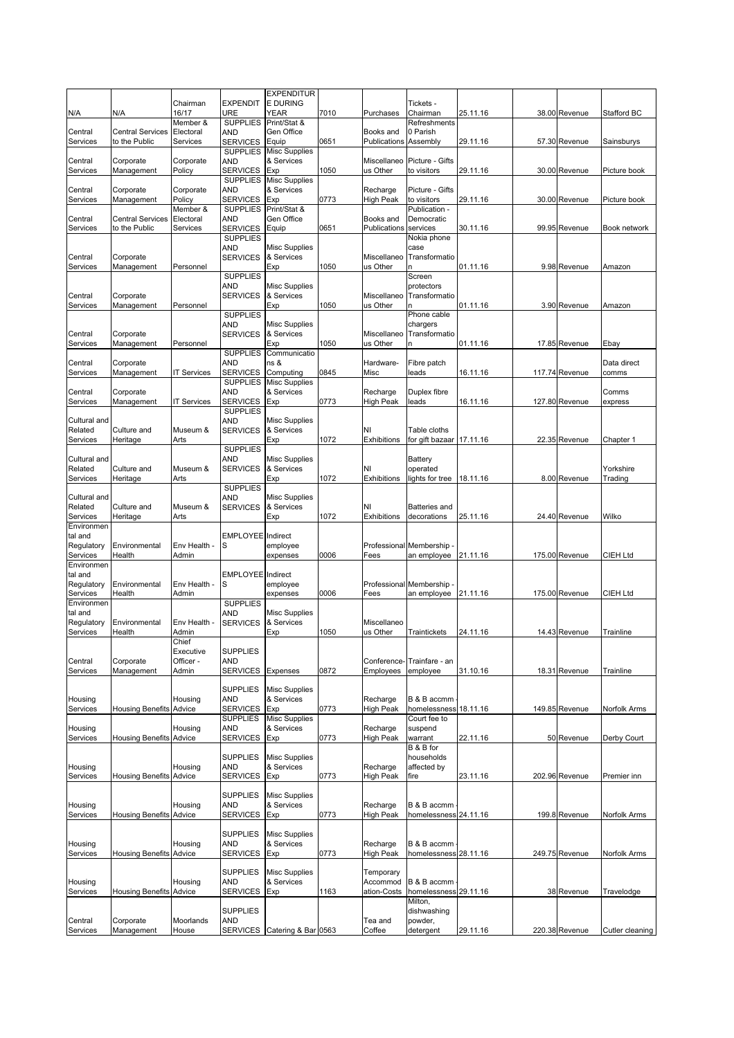|                        |                                |                    |                               | <b>EXPENDITUR</b>                  |      |                   |                          |          |                |                 |
|------------------------|--------------------------------|--------------------|-------------------------------|------------------------------------|------|-------------------|--------------------------|----------|----------------|-----------------|
|                        |                                | Chairman           | <b>EXPENDIT</b>               | <b>E DURING</b>                    |      |                   | Tickets -                |          |                |                 |
| N/A                    | N/A                            | 16/17              | <b>URE</b>                    | YEAR                               | 7010 | Purchases         | Chairman                 | 25.11.16 | 38.00 Revenue  | Stafford BC     |
|                        |                                | Member &           | <b>SUPPLIES</b>               | Print/Stat &                       |      |                   | Refreshments             |          |                |                 |
| Central                | <b>Central Services</b>        | Electoral          | AND                           | Gen Office                         |      | Books and         | 0 Parish                 |          |                |                 |
| Services               | to the Public                  | Services           | <b>SERVICES</b>               | Equip                              | 0651 | Publications      | Assembly                 | 29.11.16 | 57.30 Revenue  | Sainsburys      |
|                        |                                |                    | <b>SUPPLIES</b>               | <b>Misc Supplies</b>               |      |                   |                          |          |                |                 |
| Central                | Corporate                      | Corporate          | AND                           | & Services                         |      | Miscellaneo       | Picture - Gifts          |          |                |                 |
| Services               | Management                     | Policy             | <b>SERVICES</b>               | Exp                                | 1050 | us Other          | to visitors              | 29.11.16 | 30.00 Revenue  | Picture book    |
|                        |                                |                    | <b>SUPPLIES</b>               | <b>Misc Supplies</b>               |      |                   |                          |          |                |                 |
| Central                | Corporate                      | Corporate          | <b>AND</b>                    | & Services                         |      | Recharge          | Picture - Gifts          |          |                |                 |
| Services               | Management                     | Policy             | <b>SERVICES</b>               | Exp                                | 0773 | High Peak         | to visitors              | 29.11.16 | 30.00 Revenue  | Picture book    |
|                        |                                | Member &           | <b>SUPPLIES</b>               | Print/Stat &                       |      |                   | Publication -            |          |                |                 |
| Central                | <b>Central Services</b>        | Electoral          | <b>AND</b><br><b>SERVICES</b> | Gen Office                         |      | Books and         | Democratic               |          |                |                 |
| Services               | to the Public                  | Services           | <b>SUPPLIES</b>               | Equip                              | 0651 | Publications      | services<br>Nokia phone  | 30.11.16 | 99.95 Revenue  | Book network    |
|                        |                                |                    | <b>AND</b>                    | <b>Misc Supplies</b>               |      |                   | case                     |          |                |                 |
| Central                | Corporate                      |                    | <b>SERVICES</b>               | & Services                         |      | Miscellaneo       | Transformatio            |          |                |                 |
| Services               | Management                     | Personnel          |                               | Exp                                | 1050 | us Other          |                          | 01.11.16 | 9.98 Revenue   | Amazon          |
|                        |                                |                    | <b>SUPPLIES</b>               |                                    |      |                   | Screen                   |          |                |                 |
|                        |                                |                    | AND                           | <b>Misc Supplies</b>               |      |                   | protectors               |          |                |                 |
| Central                | Corporate                      |                    | <b>SERVICES</b>               | & Services                         |      | Miscellaneo       | Transformatio            |          |                |                 |
| Services               | Management                     | Personnel          |                               | Exp                                | 1050 | us Other          | n                        | 01.11.16 | 3.90 Revenue   | Amazon          |
|                        |                                |                    | <b>SUPPLIES</b>               |                                    |      |                   | Phone cable              |          |                |                 |
|                        |                                |                    | AND                           | <b>Misc Supplies</b>               |      |                   | chargers                 |          |                |                 |
| Central                | Corporate                      |                    | <b>SERVICES</b>               | & Services                         |      | Miscellaneo       | Transformatio            |          |                |                 |
| Services               | Management                     | Personnel          |                               | Exp                                | 1050 | us Other          | n                        | 01.11.16 | 17.85 Revenue  | Ebay            |
|                        |                                |                    | <b>SUPPLIES</b>               | Communicatio                       |      |                   |                          |          |                |                 |
| Central                | Corporate                      |                    | AND                           | ns &                               |      | Hardware-         | Fibre patch              |          |                | Data direct     |
| Services               | Management                     | <b>IT Services</b> | <b>SERVICES</b>               | Computing                          | 0845 | Misc              | leads                    | 16.11.16 | 117.74 Revenue | comms           |
|                        |                                |                    | <b>SUPPLIES</b>               | <b>Misc Supplies</b>               |      |                   |                          |          |                |                 |
| Central                | Corporate                      |                    | <b>AND</b>                    | & Services                         |      | Recharge          | Duplex fibre             |          | 127.80 Revenue | Comms           |
| Services               | Management                     | <b>IT Services</b> | <b>SERVICES</b>               | Exp                                | 0773 | High Peak         | leads                    | 16.11.16 |                | express         |
| Cultural and           |                                |                    | <b>SUPPLIES</b><br><b>AND</b> | <b>Misc Supplies</b>               |      |                   |                          |          |                |                 |
| Related                | Culture and                    | Museum &           | <b>SERVICES</b>               | & Services                         |      | NI                | Table cloths             |          |                |                 |
| Services               | Heritage                       | Arts               |                               | Exp                                | 1072 | Exhibitions       | for gift bazaar 17.11.16 |          | 22.35 Revenue  | Chapter 1       |
|                        |                                |                    | <b>SUPPLIES</b>               |                                    |      |                   |                          |          |                |                 |
| Cultural and           |                                |                    | AND                           | <b>Misc Supplies</b>               |      |                   | Battery                  |          |                |                 |
| Related                | Culture and                    | Museum &           | <b>SERVICES</b>               | & Services                         |      | NI                | operated                 |          |                | Yorkshire       |
| Services               | Heritage                       | Arts               |                               | Exp                                | 1072 | Exhibitions       | lights for tree          | 18.11.16 | 8.00 Revenue   | Trading         |
|                        |                                |                    | <b>SUPPLIES</b>               |                                    |      |                   |                          |          |                |                 |
| Cultural and           |                                |                    | <b>AND</b>                    | <b>Misc Supplies</b>               |      |                   |                          |          |                |                 |
| Related                | Culture and                    | Museum &           | <b>SERVICES</b>               | & Services                         |      | NI                | Batteries and            |          |                |                 |
| Services               | Heritage                       | Arts               |                               | Exp                                | 1072 | Exhibitions       | decorations              | 25.11.16 | 24.40 Revenue  | Wilko           |
| Environmen             |                                |                    |                               |                                    |      |                   |                          |          |                |                 |
| tal and                |                                |                    | <b>EMPLOYEE</b> Indirect      |                                    |      |                   |                          |          |                |                 |
| Regulatory             | Environmental                  | Env Health -       | S                             | employee                           |      |                   | Professional Membership  |          |                |                 |
| Services               | Health                         | Admin              |                               | expenses                           | 0006 | Fees              | an employee              | 21.11.16 | 175.00 Revenue | CIEH Ltd        |
| Environmen<br>tal and  |                                |                    | <b>EMPLOYEE</b> Indirect      |                                    |      |                   |                          |          |                |                 |
| Regulatory             | Environmental                  | Env Health -       | S                             | employee                           |      |                   | Professional Membership  |          |                |                 |
|                        | Health                         | Admin              |                               | expenses                           | 0006 | Fees              |                          | 21.11.16 |                |                 |
|                        |                                |                    |                               |                                    |      |                   |                          |          |                |                 |
| Services               |                                |                    |                               |                                    |      |                   | an employee              |          | 175.00 Revenue | CIEH Ltd        |
| Environmen             |                                |                    | <b>SUPPLIES</b>               |                                    |      |                   |                          |          |                |                 |
| tal and                | Environmental                  | Env Health -       | AND<br><b>SERVICES</b>        | <b>Misc Supplies</b><br>& Services |      | Miscellaneo       |                          |          |                |                 |
| Regulatory<br>Services | Health                         | Admin              |                               | Exp                                | 1050 | us Other          | Traintickets             | 24.11.16 | 14.43 Revenue  | Trainline       |
|                        |                                | Chief              |                               |                                    |      |                   |                          |          |                |                 |
|                        |                                | Executive          | <b>SUPPLIES</b>               |                                    |      |                   |                          |          |                |                 |
| Central                | Corporate                      | Officer -          | <b>AND</b>                    |                                    |      | Conference-       | Trainfare - an           |          |                |                 |
| Services               | Management                     | Admin              | <b>SERVICES</b>               | Expenses                           | 0872 | Employees         | employee                 | 31.10.16 | 18.31 Revenue  | Trainline       |
|                        |                                |                    |                               |                                    |      |                   |                          |          |                |                 |
|                        |                                |                    | <b>SUPPLIES</b>               | <b>Misc Supplies</b>               |      |                   |                          |          |                |                 |
| Housing                |                                | Housing            | <b>AND</b>                    | & Services                         |      | Recharge          | B & B accmm              |          |                |                 |
| Services               | <b>Housing Benefits Advice</b> |                    | <b>SERVICES</b>               | Exp                                | 0773 | High Peak         | homelessness             | 18.11.16 | 149.85 Revenue | Norfolk Arms    |
|                        |                                |                    | <b>SUPPLIES</b>               | <b>Misc Supplies</b>               |      |                   | Court fee to             |          |                |                 |
| Housing                |                                | Housing            | <b>AND</b>                    | & Services                         |      | Recharge          | suspend                  |          |                |                 |
| Services               | <b>Housing Benefits Advice</b> |                    | <b>SERVICES</b>               | Exp                                | 0773 | <b>High Peak</b>  | warrant                  | 22.11.16 | 50 Revenue     | Derby Court     |
|                        |                                |                    |                               |                                    |      |                   | B & B for                |          |                |                 |
|                        |                                |                    | <b>SUPPLIES</b>               | <b>Misc Supplies</b>               |      |                   | households               |          |                |                 |
| Housing                |                                | Housing            | <b>AND</b>                    | & Services                         |      | Recharge          | affected by              |          |                |                 |
| Services               | <b>Housing Benefits Advice</b> |                    | <b>SERVICES</b>               | Exp                                | 0773 | High Peak         | fire                     | 23.11.16 | 202.96 Revenue | Premier inn     |
|                        |                                |                    |                               |                                    |      |                   |                          |          |                |                 |
| Housing                |                                | Housing            | <b>SUPPLIES</b><br>AND        | <b>Misc Supplies</b><br>& Services |      | Recharge          | B & B accmm              |          |                |                 |
| Services               | <b>Housing Benefits Advice</b> |                    | <b>SERVICES</b>               | Exp                                | 0773 | High Peak         | homelessness 24.11.16    |          | 199.8 Revenue  | Norfolk Arms    |
|                        |                                |                    |                               |                                    |      |                   |                          |          |                |                 |
|                        |                                |                    | <b>SUPPLIES</b>               | <b>Misc Supplies</b>               |      |                   |                          |          |                |                 |
| Housing                |                                | Housing            | <b>AND</b>                    | & Services                         |      | Recharge          | B & B accmm              |          |                |                 |
| Services               | <b>Housing Benefits Advice</b> |                    | <b>SERVICES</b>               | Exp                                | 0773 | High Peak         | homelessness 28.11.16    |          | 249.75 Revenue | Norfolk Arms    |
|                        |                                |                    |                               |                                    |      |                   |                          |          |                |                 |
|                        |                                |                    | <b>SUPPLIES</b>               | <b>Misc Supplies</b>               |      | Temporary         |                          |          |                |                 |
| Housing                |                                | Housing            | <b>AND</b>                    | & Services                         |      | Accommod          | B & B accmm              |          |                |                 |
| Services               | <b>Housing Benefits Advice</b> |                    | <b>SERVICES</b>               | Exp                                | 1163 | ation-Costs       | homelessness 29.11.16    |          | 38 Revenue     | Travelodge      |
|                        |                                |                    |                               |                                    |      |                   | Milton,                  |          |                |                 |
|                        |                                |                    | <b>SUPPLIES</b>               |                                    |      |                   | dishwashing              |          |                |                 |
| Central<br>Services    | Corporate<br>Management        | Moorlands<br>House | <b>AND</b><br><b>SERVICES</b> | Catering & Bar 0563                |      | Tea and<br>Coffee | powder,<br>detergent     | 29.11.16 | 220.38 Revenue | Cutler cleaning |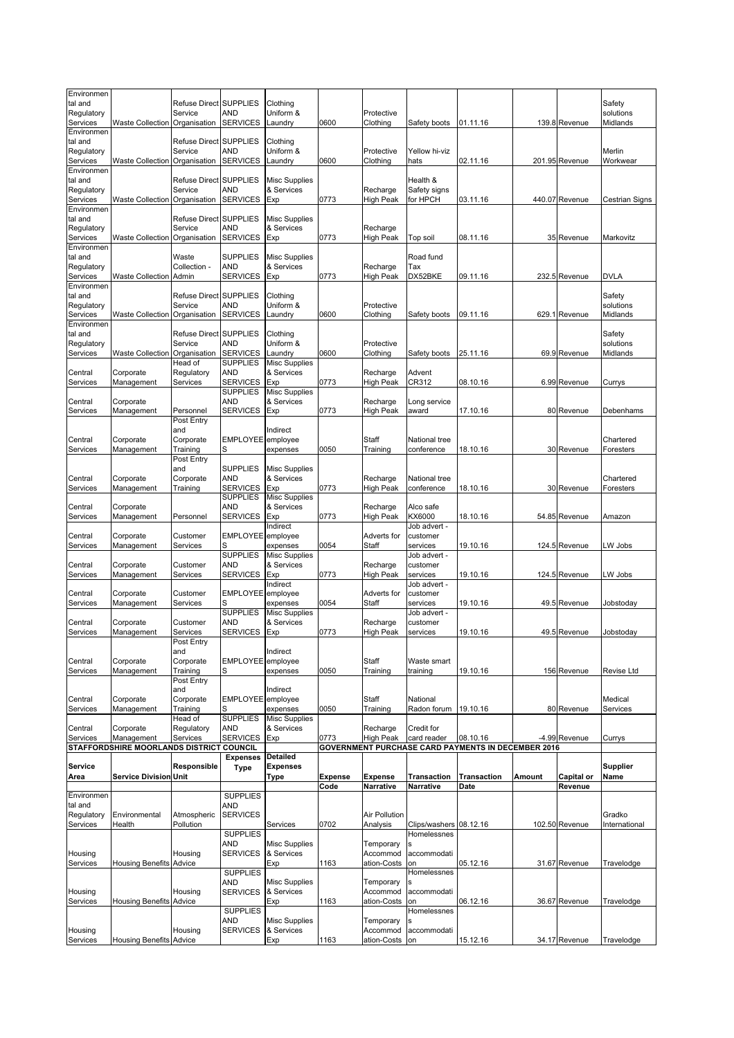| Environmen<br>tal and<br>Regulatory             |                                          | Refuse Direct SUPPLIES<br>Service                 | AND                           | Clothing<br>Uniform &                     |                | Protective                   |                                      |                                                           |        |                | Safety<br>solutions             |
|-------------------------------------------------|------------------------------------------|---------------------------------------------------|-------------------------------|-------------------------------------------|----------------|------------------------------|--------------------------------------|-----------------------------------------------------------|--------|----------------|---------------------------------|
| Services<br>Environmen                          | <b>Waste Collection</b>                  | Organisation                                      | <b>SERVICES</b>               | Laundry                                   | 0600           | Clothing                     | Safety boots                         | 01.11.16                                                  |        | 139.8 Revenue  | Midlands                        |
| tal and<br>Regulatory<br>Services               | <b>Waste Collection</b>                  | Refuse Direct SUPPLIES<br>Service<br>Organisation | AND<br><b>SERVICES</b>        | Clothing<br>Uniform &<br>Laundry          | 0600           | Protective<br>Clothing       | Yellow hi-viz<br>hats                | 02.11.16                                                  |        | 201.95 Revenue | Merlin<br>Workwear              |
| Environmen<br>tal and<br>Regulatory<br>Services | Waste Collection                         | Refuse Direct SUPPLIES<br>Service<br>Organisation | AND<br><b>SERVICES</b>        | <b>Misc Supplies</b><br>& Services<br>Exp | 0773           | Recharge<br><b>High Peak</b> | Health &<br>Safety signs<br>for HPCH | 03.11.16                                                  |        | 440.07 Revenue | Cestrian Signs                  |
| Environmen<br>tal and<br>Regulatory             |                                          | Refuse Direct SUPPLIES<br>Service                 | AND                           | <b>Misc Supplies</b><br>& Services        |                | Recharge                     |                                      |                                                           |        |                |                                 |
| Services<br>Environmen                          | <b>Waste Collection</b>                  | Organisation                                      | <b>SERVICES</b>               | Exp                                       | 0773           | <b>High Peak</b>             | Top soil                             | 08.11.16                                                  |        | 35 Revenue     | Markovitz                       |
| tal and<br>Regulatory                           |                                          | Waste<br>Collection -                             | <b>SUPPLIES</b><br>AND        | <b>Misc Supplies</b><br>& Services        |                | Recharge                     | Road fund<br>Tax                     |                                                           |        |                |                                 |
| Services                                        | <b>Waste Collection</b>                  | Admin                                             | <b>SERVICES</b>               | Exp                                       | 0773           | <b>High Peak</b>             | DX52BKE                              | 09.11.16                                                  |        | 232.5 Revenue  | <b>DVLA</b>                     |
| Environmen<br>tal and<br>Regulatory<br>Services | <b>Waste Collection</b>                  | Refuse Direct SUPPLIES<br>Service<br>Organisation | AND<br><b>SERVICES</b>        | Clothing<br>Uniform &<br>Laundry          | 0600           | Protective<br>Clothing       | Safety boots                         | 09.11.16                                                  |        | 629.1 Revenue  | Safety<br>solutions<br>Midlands |
| Environmen<br>tal and                           |                                          | Refuse Direct SUPPLIES                            |                               | Clothing                                  |                |                              |                                      |                                                           |        |                | Safety                          |
| Regulatory<br>Services                          | <b>Waste Collection</b>                  | Service<br>Organisation                           | AND<br><b>SERVICES</b>        | Uniform &<br>Laundry                      | 0600           | Protective<br>Clothing       | Safety boots                         | 25.11.16                                                  |        | 69.9 Revenue   | solutions<br>Midlands           |
| Central                                         | Corporate                                | Head of                                           | <b>SUPPLIES</b><br><b>AND</b> | <b>Misc Supplies</b><br>& Services        |                | Recharge                     | Advent                               |                                                           |        |                |                                 |
| Services                                        | Management                               | Regulatory<br>Services                            | <b>SERVICES</b>               | Exp                                       | 0773           | <b>High Peak</b>             | CR312                                | 08.10.16                                                  |        | 6.99 Revenue   | Currys                          |
|                                                 |                                          |                                                   | <b>SUPPLIES</b><br><b>AND</b> | <b>Misc Supplies</b><br>& Services        |                | Recharge                     |                                      |                                                           |        |                |                                 |
| Central<br>Services                             | Corporate<br>Management                  | Personnel                                         | <b>SERVICES</b>               | Exp                                       | 0773           | High Peak                    | Long service<br>award                | 17.10.16                                                  |        | 80 Revenue     | Debenhams                       |
|                                                 |                                          | Post Entry                                        |                               |                                           |                |                              |                                      |                                                           |        |                |                                 |
| Central                                         | Corporate                                | and<br>Corporate                                  | EMPLOYEE employee             | Indirect                                  |                | Staff                        | National tree                        |                                                           |        |                | Chartered                       |
| Services                                        | Management                               | Training                                          |                               | expenses                                  | 0050           | Training                     | conference                           | 18.10.16                                                  |        | 30 Revenue     | Foresters                       |
|                                                 |                                          | Post Entry<br>and                                 | <b>SUPPLIES</b>               | <b>Misc Supplies</b>                      |                |                              |                                      |                                                           |        |                |                                 |
| Central                                         | Corporate                                | Corporate                                         | <b>AND</b>                    | & Services                                |                | Recharge                     | National tree                        |                                                           |        |                | Chartered                       |
| Services                                        | Management                               | Training                                          | <b>SERVICES</b>               | Exp                                       | 0773           | High Peak                    | conference                           | 18.10.16                                                  |        | 30 Revenue     | Foresters                       |
| Central                                         | Corporate                                |                                                   | <b>SUPPLIES</b><br><b>AND</b> | <b>Misc Supplies</b><br>& Services        |                | Recharge                     | Alco safe                            |                                                           |        |                |                                 |
| Services                                        | Management                               | Personnel                                         | <b>SERVICES</b>               | Exp                                       | 0773           | <b>High Peak</b>             | KX6000                               | 18.10.16                                                  |        | 54.85 Revenue  | Amazon                          |
| Central                                         | Corporate                                | Customer                                          | <b>EMPLOYEE</b>               | Indirect<br>employee                      |                | Adverts for                  | Job advert -<br>customer             |                                                           |        |                |                                 |
| Services                                        | Management                               | Services                                          | S                             | expenses                                  | 0054           | Staff                        | services                             | 19.10.16                                                  |        | 124.5 Revenue  | LW Jobs                         |
|                                                 |                                          |                                                   | <b>SUPPLIES</b>               | <b>Misc Supplies</b>                      |                |                              | Job advert -                         |                                                           |        |                |                                 |
| Central<br>Services                             | Corporate<br>Management                  | Customer<br>Services                              | AND<br><b>SERVICES</b>        | & Services<br>Exp                         | 0773           | Recharge<br><b>High Peak</b> | customer<br>services                 | 19.10.16                                                  |        | 124.5 Revenue  | LW Jobs                         |
|                                                 |                                          |                                                   |                               | Indirect                                  |                |                              | Job advert -                         |                                                           |        |                |                                 |
| Central<br>Services                             | Corporate<br>Management                  | Customer<br>Services                              | EMPLOYEE employee<br>S        | expenses                                  | 0054           | Adverts for<br>Staff         | customer<br>services                 | 19.10.16                                                  |        | 49.5 Revenue   | Jobstoday                       |
|                                                 |                                          |                                                   | <b>SUPPLIES</b>               | <b>Misc Supplies</b>                      |                |                              | Job advert -                         |                                                           |        |                |                                 |
| Central                                         | Corporate                                | Customer                                          | AND<br><b>SERVICES</b>        | & Services                                | 0773           | Recharge<br><b>High Peak</b> | customer                             | 19.10.16                                                  |        | 49.5 Revenue   |                                 |
| Services                                        | Management                               | Services<br>Post Entry                            |                               | Exp                                       |                |                              | services                             |                                                           |        |                | Jobstoday                       |
|                                                 |                                          | and                                               |                               | Indirect                                  |                |                              |                                      |                                                           |        |                |                                 |
| Central<br>Services                             | Corporate<br>Management                  | Corporate<br>Training                             | <b>EMPLOYEE</b><br>S          | employee<br>expenses                      | 0050           | Staff<br>Training            | Waste smart<br>training              | 19.10.16                                                  |        | 156 Revenue    | <b>Revise Ltd</b>               |
|                                                 |                                          | Post Entry                                        |                               |                                           |                |                              |                                      |                                                           |        |                |                                 |
| Central                                         | Corporate                                | and<br>Corporate                                  | EMPLOYEE employee             | Indirect                                  |                | Staff                        | National                             |                                                           |        |                | Medical                         |
| Services                                        | Management                               | Training                                          |                               | expenses                                  | 0050           | Training                     | Radon forum                          | 19.10.16                                                  |        | 80 Revenue     | Services                        |
| Central                                         | Corporate                                | Head of<br>Regulatory                             | <b>SUPPLIES</b><br><b>AND</b> | <b>Misc Supplies</b><br>& Services        |                | Recharge                     | Credit for                           |                                                           |        |                |                                 |
| Services                                        | Management                               | Services                                          | <b>SERVICES</b>               | Exp                                       | 0773           | <b>High Peak</b>             | card reader                          | 08.10.16                                                  |        | -4.99 Revenue  | Currys                          |
|                                                 | STAFFORDSHIRE MOORLANDS DISTRICT COUNCIL |                                                   | <b>Expenses</b>               | Detailed                                  |                |                              |                                      | <b>GOVERNMENT PURCHASE CARD PAYMENTS IN DECEMBER 2016</b> |        |                |                                 |
| Service                                         |                                          | Responsible                                       | Type                          | <b>Expenses</b>                           |                |                              |                                      |                                                           |        |                | <b>Supplier</b>                 |
| Area                                            | <b>Service Division Unit</b>             |                                                   |                               | Type                                      | <b>Expense</b> | <b>Expense</b>               | <b>Transaction</b>                   | <b>Transaction</b>                                        | Amount | Capital or     | Name                            |
| Environmen                                      |                                          |                                                   | <b>SUPPLIES</b>               |                                           | Code           | Narrative                    | Narrative                            | Date                                                      |        | Revenue        |                                 |
| tal and                                         |                                          |                                                   | AND                           |                                           |                |                              |                                      |                                                           |        |                |                                 |
| Regulatory<br>Services                          | Environmental<br>Health                  | Atmospheric<br>Pollution                          | <b>SERVICES</b>               | Services                                  | 0702           | Air Pollution<br>Analysis    | Clips/washers 08.12.16               |                                                           |        | 102.50 Revenue | Gradko<br>International         |
|                                                 |                                          |                                                   | <b>SUPPLIES</b>               |                                           |                |                              | Homelessnes                          |                                                           |        |                |                                 |
| Housing                                         |                                          | Housing                                           | AND<br><b>SERVICES</b>        | <b>Misc Supplies</b><br>& Services        |                | Temporary<br>Accommod        | accommodati                          |                                                           |        |                |                                 |
| Services                                        | <b>Housing Benefits Advice</b>           |                                                   |                               | Exp                                       | 1163           | ation-Costs                  | on                                   | 05.12.16                                                  |        | 31.67 Revenue  | Travelodge                      |
|                                                 |                                          |                                                   | <b>SUPPLIES</b>               |                                           |                |                              | Homelessnes                          |                                                           |        |                |                                 |
| Housing                                         |                                          | Housing                                           | AND<br><b>SERVICES</b>        | <b>Misc Supplies</b><br>& Services        |                | Temporary<br>Accommod        | Ś<br>accommodati                     |                                                           |        |                |                                 |
| Services                                        | <b>Housing Benefits Advice</b>           |                                                   |                               | Exp                                       | 1163           | ation-Costs                  | on                                   | 06.12.16                                                  |        | 36.67 Revenue  | Travelodge                      |
|                                                 |                                          |                                                   | <b>SUPPLIES</b><br>AND        | <b>Misc Supplies</b>                      |                | Temporary                    | Homelessnes                          |                                                           |        |                |                                 |
| Housing                                         |                                          | Housing                                           | <b>SERVICES</b>               | & Services                                |                | Accommod                     | accommodati                          |                                                           |        |                |                                 |
|                                                 | <b>Housing Benefits Advice</b>           |                                                   |                               | Exp                                       | 1163           | ation-Costs                  | on                                   | 15.12.16                                                  |        | 34.17 Revenue  | Travelodge                      |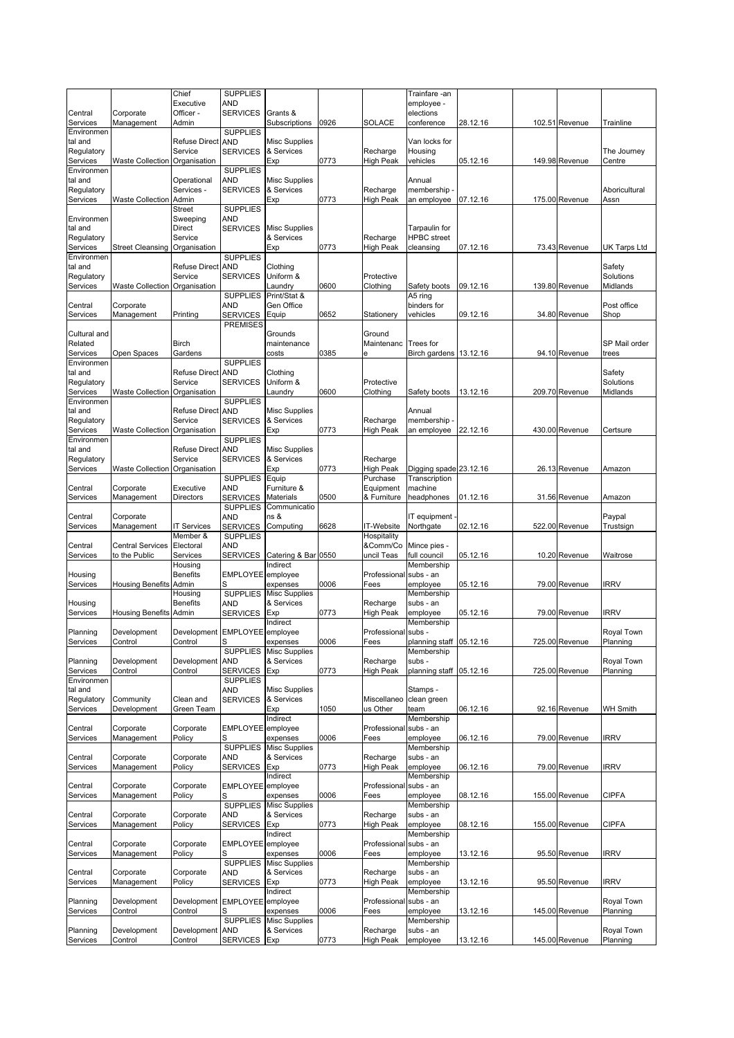|                        |                               | Chief                                    | <b>SUPPLIES</b>                    |                                    |      |                       | Trainfare -an                     |          |                |                        |
|------------------------|-------------------------------|------------------------------------------|------------------------------------|------------------------------------|------|-----------------------|-----------------------------------|----------|----------------|------------------------|
| Central                | Corporate                     | Executive<br>Officer -                   | AND<br><b>SERVICES</b>             | Grants &                           |      |                       | employee -<br>elections           |          |                |                        |
| Services               | Management                    | Admin                                    |                                    | Subscriptions                      | 0926 | <b>SOLACE</b>         | conference                        | 28.12.16 | 102.51 Revenue | Trainline              |
| Environmen<br>tal and  |                               | <b>Refuse Direct</b>                     | <b>SUPPLIES</b><br><b>AND</b>      | <b>Misc Supplies</b>               |      |                       | Van locks for                     |          |                |                        |
| Regulatory             |                               | Service                                  | <b>SERVICES</b>                    | & Services                         |      | Recharge              | Housing                           |          |                | The Journey            |
| Services               | Waste Collection Organisation |                                          |                                    | Exp                                | 0773 | High Peak             | vehicles                          | 05.12.16 | 149.98 Revenue | Centre                 |
| Environmen<br>tal and  |                               | Operational                              | <b>SUPPLIES</b><br><b>AND</b>      | <b>Misc Supplies</b>               |      |                       | Annual                            |          |                |                        |
| Regulatory             |                               | Services -                               | <b>SERVICES</b>                    | & Services                         |      | Recharge              | membership -                      |          |                | Aboricultural          |
| Services               | <b>Waste Collection Admin</b> |                                          |                                    | Exp                                | 0773 | High Peak             | an employee                       | 07.12.16 | 175.00 Revenue | Assn                   |
| Environmen             |                               | Street<br>Sweeping                       | <b>SUPPLIES</b><br>AND             |                                    |      |                       |                                   |          |                |                        |
| tal and                |                               | Direct                                   | <b>SERVICES</b>                    | <b>Misc Supplies</b>               |      |                       | Tarpaulin for                     |          |                |                        |
| Regulatory             |                               | Service                                  |                                    | & Services                         |      | Recharge              | <b>HPBC</b> street                |          |                |                        |
| Services<br>Environmen | Street Cleansing Organisation |                                          | <b>SUPPLIES</b>                    | Exp                                | 0773 | High Peak             | cleansing                         | 07.12.16 | 73.43 Revenue  | <b>UK Tarps Ltd</b>    |
| tal and                |                               | <b>Refuse Direct</b>                     | <b>AND</b>                         | Clothing                           |      |                       |                                   |          |                | Safety                 |
| Regulatory             |                               | Service                                  | <b>SERVICES</b>                    | Uniform &                          |      | Protective            |                                   |          |                | Solutions              |
| Services               | <b>Waste Collection</b>       | Organisation                             | <b>SUPPLIES</b>                    | Laundry<br>Print/Stat &            | 0600 | Clothing              | Safety boots<br>A5 ring           | 09.12.16 | 139.80 Revenue | Midlands               |
| Central                | Corporate                     |                                          | AND                                | Gen Office                         |      |                       | binders for                       |          |                | Post office            |
| Services               | Management                    | Printing                                 | <b>SERVICES</b>                    | Equip                              | 0652 | Stationery            | vehicles                          | 09.12.16 | 34.80 Revenue  | Shop                   |
| Cultural and           |                               |                                          | <b>PREMISES</b>                    | Grounds                            |      | Ground                |                                   |          |                |                        |
| Related                |                               | <b>Birch</b>                             |                                    | maintenance                        |      | Maintenanc            | Trees for                         |          |                | SP Mail order          |
| Services               | Open Spaces                   | Gardens                                  |                                    | costs                              | 0385 | ė                     | Birch gardens 13.12.16            |          | 94.10 Revenue  | trees                  |
| Environmen<br>tal and  |                               | <b>Refuse Direct</b>                     | <b>SUPPLIES</b><br><b>AND</b>      | Clothing                           |      |                       |                                   |          |                | Safety                 |
| Regulatory             |                               | Service                                  | <b>SERVICES</b>                    | Uniform &                          |      | Protective            |                                   |          |                | Solutions              |
| Services               | Waste Collection Organisation |                                          |                                    | _aundry                            | 0600 | Clothing              | Safety boots                      | 13.12.16 | 209.70 Revenue | Midlands               |
| Environmen<br>tal and  |                               | <b>Refuse Direct</b>                     | <b>SUPPLIES</b><br><b>AND</b>      | <b>Misc Supplies</b>               |      |                       | Annual                            |          |                |                        |
| Regulatory             |                               | Service                                  | <b>SERVICES</b>                    | & Services                         |      | Recharge              | membership -                      |          |                |                        |
| Services               | Waste Collection              | Organisation                             |                                    | Exp                                | 0773 | <b>High Peak</b>      | an employee                       | 22.12.16 | 430.00 Revenue | Certsure               |
| Environmen<br>tal and  |                               | <b>Refuse Direct</b>                     | <b>SUPPLIES</b><br><b>AND</b>      | <b>Misc Supplies</b>               |      |                       |                                   |          |                |                        |
| Regulatory             |                               | Service                                  | <b>SERVICES</b>                    | & Services                         |      | Recharge              |                                   |          |                |                        |
| Services               | Waste Collection Organisation |                                          |                                    | Exp                                | 0773 | <b>High Peak</b>      | Digging spade 23.12.16            |          | 26.13 Revenue  | Amazon                 |
|                        | Corporate                     | Executive                                | <b>SUPPLIES</b><br>AND             | Equip<br>Furniture &               |      | Purchase<br>Equipment | Transcription<br>machine          |          |                |                        |
| Central<br>Services    | Management                    | <b>Directors</b>                         | <b>SERVICES</b>                    | <b>Materials</b>                   | 0500 | & Furniture           | headphones                        | 01.12.16 | 31.56 Revenue  | Amazon                 |
|                        |                               |                                          | <b>SUPPLIES</b>                    | Communicatio                       |      |                       |                                   |          |                |                        |
| Central<br>Services    | Corporate<br>Management       | <b>IT Services</b>                       | AND<br><b>SERVICES</b>             | ns &<br>Computing                  | 6628 | IT-Website            | IT equipment<br>Northgate         | 02.12.16 | 522.00 Revenue | Paypal<br>Trustsign    |
|                        |                               | Member &                                 | <b>SUPPLIES</b>                    |                                    |      | Hospitality           |                                   |          |                |                        |
| Central                | <b>Central Services</b>       | Electoral                                | AND                                |                                    |      | &Comm/Co              | Mince pies -                      |          |                |                        |
| Services               | to the Public                 | Services<br>Housing                      | <b>SERVICES</b>                    | Catering & Bar 0550<br>Indirect    |      | uncil Teas            | full council<br>Membership        | 05.12.16 | 10.20 Revenue  | Waitrose               |
| Housing                |                               | <b>Benefits</b>                          | EMPLOYEE employee                  |                                    |      | Professional          | subs - an                         |          |                |                        |
| Services               | Housing Benefits Admin        |                                          |                                    | expenses                           | 0006 | Fees                  | employee                          | 05.12.16 | 79.00 Revenue  | <b>IRRV</b>            |
| Housing                |                               | Housing<br><b>Benefits</b>               | <b>SUPPLIES</b><br>AND             | <b>Misc Supplies</b><br>& Services |      | Recharge              | Membership<br>subs - an           |          |                |                        |
| Services               | <b>Housing Benefits Admin</b> |                                          | <b>SERVICES</b>                    | Exp                                | 0773 | High Peak             | employee                          | 05.12.16 | 79.00 Revenue  | <b>IRRV</b>            |
|                        |                               |                                          |                                    | Indirect                           |      |                       | Membership                        |          |                |                        |
| Planning<br>Services   | Development<br>Control        | Development EMPLOYEE employee<br>Control | S                                  | expenses                           | 0006 | Professional<br>Fees  | subs -<br>planning staff 05.12.16 |          | 725.00 Revenue | Royal Town<br>Planning |
|                        |                               |                                          |                                    | SUPPLIES Misc Supplies             |      |                       | Membership                        |          |                |                        |
| Planning               | Development                   | Development                              | <b>AND</b>                         | & Services                         |      | Recharge              | subs -                            |          |                | Royal Town             |
| Services<br>Environmen | Control                       | Control                                  | <b>SERVICES</b><br><b>SUPPLIES</b> | Exp                                | 0773 | <b>High Peak</b>      | planning staff                    | 05.12.16 | 725.00 Revenue | Planning               |
| tal and                |                               |                                          | AND                                | <b>Misc Supplies</b>               |      |                       | Stamps -                          |          |                |                        |
| Regulatory             | Community                     | Clean and                                | <b>SERVICES</b>                    | & Services                         |      | Miscellaneo           | clean green                       |          |                |                        |
| Services               | Development                   | Green Team                               |                                    | Exp<br>Indirect                    | 1050 | us Other              | team<br>Membership                | 06.12.16 | 92.16 Revenue  | <b>WH Smith</b>        |
| Central                | Corporate                     | Corporate                                | EMPLOYEE                           | employee                           |      | Professional          | subs - an                         |          |                |                        |
| Services               | Management                    | Policy                                   |                                    | expenses                           | 0006 | Fees                  | employee                          | 06.12.16 | 79.00 Revenue  | <b>IRRV</b>            |
| Central                | Corporate                     | Corporate                                | <b>SUPPLIES</b><br>AND             | <b>Misc Supplies</b><br>& Services |      | Recharge              | Membership<br>subs - an           |          |                |                        |
| Services               | Management                    | Policy                                   | <b>SERVICES</b>                    | Exp                                | 0773 | High Peak             | employee                          | 06.12.16 | 79.00 Revenue  | <b>IRRV</b>            |
|                        |                               |                                          |                                    | Indirect                           |      |                       | Membership                        |          |                |                        |
| Central<br>Services    | Corporate<br>Management       | Corporate<br>Policy                      | EMPLOYEE<br>S                      | employee<br>expenses               | 0006 | Professional<br>Fees  | subs - an<br>employee             | 08.12.16 | 155.00 Revenue | <b>CIPFA</b>           |
|                        |                               |                                          | <b>SUPPLIES</b>                    | <b>Misc Supplies</b>               |      |                       | Membership                        |          |                |                        |
| Central                | Corporate                     | Corporate                                | AND                                | & Services                         |      | Recharge              | subs - an                         |          |                |                        |
| Services               | Management                    | Policy                                   | <b>SERVICES</b>                    | Exp<br>Indirect                    | 0773 | High Peak             | employee<br>Membership            | 08.12.16 | 155.00 Revenue | <b>CIPFA</b>           |
| Central                | Corporate                     | Corporate                                | EMPLOYEE                           | employee                           |      | Professional          | subs - an                         |          |                |                        |
| Services               | Management                    | Policy                                   | S                                  | expenses                           | 0006 | Fees                  | employee                          | 13.12.16 | 95.50 Revenue  | <b>IRRV</b>            |
| Central                | Corporate                     | Corporate                                | <b>SUPPLIES</b><br>AND             | <b>Misc Supplies</b><br>& Services |      | Recharge              | Membership<br>subs - an           |          |                |                        |
| Services               | Management                    | Policy                                   | <b>SERVICES</b>                    | Exp                                | 0773 | High Peak             | employee                          | 13.12.16 | 95.50 Revenue  | <b>IRRV</b>            |
|                        |                               |                                          |                                    | Indirect                           |      |                       | Membership                        |          |                |                        |
| Planning<br>Services   | Development<br>Control        | Development<br>Control                   | <b>EMPLOYEE</b><br>S               | employee<br>expenses               | 0006 | Professional<br>Fees  | subs - an<br>employee             | 13.12.16 | 145.00 Revenue | Royal Town<br>Planning |
|                        |                               |                                          | <b>SUPPLIES</b>                    | <b>Misc Supplies</b>               |      |                       | Membership                        |          |                |                        |
| Planning               | Development                   | Development                              | <b>AND</b>                         | & Services                         |      | Recharge              | subs - an                         |          |                | Royal Town             |
| Services               | Control                       | Control                                  | <b>SERVICES</b>                    | Exp                                | 0773 | High Peak             | employee                          | 13.12.16 | 145.00 Revenue | Planning               |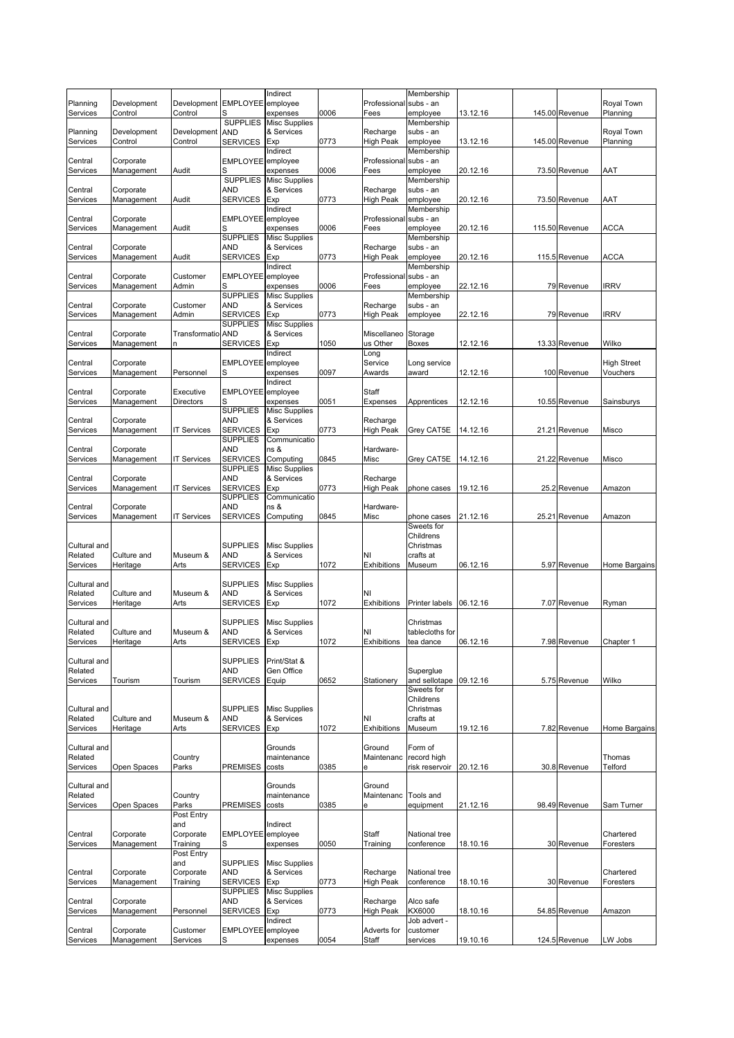|                         |                         |                                          |                               | Indirect                           |      |                         | Membership                  |          |                |                        |
|-------------------------|-------------------------|------------------------------------------|-------------------------------|------------------------------------|------|-------------------------|-----------------------------|----------|----------------|------------------------|
| Planning<br>Services    | Development<br>Control  | Development EMPLOYEE employee<br>Control |                               | expenses                           | 0006 | Professional<br>Fees    | subs - an<br>employee       | 13.12.16 | 145.00 Revenue | Royal Town<br>Planning |
|                         |                         |                                          | <b>SUPPLIES</b>               | <b>Misc Supplies</b>               |      |                         | Membership                  |          |                |                        |
| Planning                | Development             | Development                              | <b>AND</b>                    | & Services                         |      | Recharge                | subs - an                   |          |                | Royal Town             |
| Services                | Control                 | Control                                  | <b>SERVICES</b>               | Exp                                | 0773 | <b>High Peak</b>        | employee                    | 13.12.16 | 145.00 Revenue | Planning               |
| Central                 | Corporate               |                                          | EMPLOYEE employee             | Indirect                           |      | Professional            | Membership<br>subs - an     |          |                |                        |
| Services                | Management              | Audit                                    | S                             | expenses                           | 0006 | Fees                    | employee                    | 20.12.16 | 73.50 Revenue  | AAT                    |
|                         |                         |                                          | <b>SUPPLIES</b>               | <b>Misc Supplies</b>               |      |                         | Membership                  |          |                |                        |
| Central                 | Corporate               |                                          | <b>AND</b><br><b>SERVICES</b> | & Services<br>Exp                  | 0773 | Recharge                | subs - an<br>employee       |          |                | AAT                    |
| Services                | Management              | Audit                                    |                               | Indirect                           |      | High Peak               | Membership                  | 20.12.16 | 73.50 Revenue  |                        |
| Central                 | Corporate               |                                          | EMPLOYEE employee             |                                    |      | Professional            | subs - an                   |          |                |                        |
| Services                | Management              | Audit                                    |                               | expenses                           | 0006 | Fees                    | employee                    | 20.12.16 | 115.50 Revenue | <b>ACCA</b>            |
| Central                 | Corporate               |                                          | <b>SUPPLIES</b><br><b>AND</b> | <b>Misc Supplies</b><br>& Services |      | Recharge                | Membership<br>subs - an     |          |                |                        |
| Services                | Management              | Audit                                    | <b>SERVICES</b>               | Exp                                | 0773 | High Peak               | employee                    | 20.12.16 | 115.5 Revenue  | <b>ACCA</b>            |
|                         |                         |                                          |                               | Indirect                           |      |                         | Membership                  |          |                |                        |
| Central                 | Corporate               | Customer                                 | EMPLOYEE employee             |                                    |      | Professional            | subs - an                   |          |                |                        |
| Services                | Management              | Admin                                    | <b>SUPPLIES</b>               | expenses<br><b>Misc Supplies</b>   | 0006 | Fees                    | employee<br>Membership      | 22.12.16 | 79 Revenue     | <b>IRRV</b>            |
| Central                 | Corporate               | Customer                                 | <b>AND</b>                    | & Services                         |      | Recharge                | subs - an                   |          |                |                        |
| Services                | Management              | Admin                                    | <b>SERVICES</b>               | Exp                                | 0773 | High Peak               | employee                    | 22.12.16 | 79 Revenue     | <b>IRRV</b>            |
|                         |                         | <b>Transformatio AND</b>                 | <b>SUPPLIES</b>               | <b>Misc Supplies</b>               |      |                         |                             |          |                |                        |
| Central<br>Services     | Corporate<br>Management | n                                        | <b>SERVICES</b>               | & Services<br>Exp                  | 1050 | Miscellaneo<br>us Other | Storage<br><b>Boxes</b>     | 12.12.16 | 13.33 Revenue  | Wilko                  |
|                         |                         |                                          |                               | Indirect                           |      | Long                    |                             |          |                |                        |
| Central                 | Corporate               |                                          | EMPLOYEE employee             |                                    |      | Service                 | Long service                |          |                | <b>High Street</b>     |
| Services                | Management              | Personnel                                | S                             | expenses                           | 0097 | Awards                  | award                       | 12.12.16 | 100 Revenue    | Vouchers               |
| Central                 | Corporate               | Executive                                | EMPLOYEE employee             | Indirect                           |      | Staff                   |                             |          |                |                        |
| Services                | Management              | Directors                                | S                             | expenses                           | 0051 | Expenses                | Apprentices                 | 12.12.16 | 10.55 Revenue  | Sainsburys             |
|                         |                         |                                          | <b>SUPPLIES</b>               | <b>Misc Supplies</b>               |      |                         |                             |          |                |                        |
| Central                 | Corporate<br>Management |                                          | <b>AND</b><br><b>SERVICES</b> | & Services<br>Exp                  | 0773 | Recharge<br>High Peak   |                             | 14.12.16 | 21.21 Revenue  |                        |
| Services                |                         | <b>IT Services</b>                       | <b>SUPPLIES</b>               | Communicatio                       |      |                         | Grey CAT5E                  |          |                | Misco                  |
| Central                 | Corporate               |                                          | <b>AND</b>                    | ns &                               |      | Hardware-               |                             |          |                |                        |
| Services                | Management              | <b>IT Services</b>                       | <b>SERVICES</b>               | Computing                          | 0845 | Misc                    | Grey CAT5E                  | 14.12.16 | 21.22 Revenue  | Misco                  |
| Central                 | Corporate               |                                          | <b>SUPPLIES</b><br><b>AND</b> | <b>Misc Supplies</b><br>& Services |      | Recharge                |                             |          |                |                        |
| Services                | Management              | <b>IT Services</b>                       | <b>SERVICES</b>               | Exp                                | 0773 | High Peak               | phone cases                 | 19.12.16 | 25.2 Revenue   | Amazon                 |
|                         |                         |                                          | <b>SUPPLIES</b>               | Communicatio                       |      |                         |                             |          |                |                        |
| Central                 | Corporate               |                                          | <b>AND</b>                    | ns &                               |      | Hardware-               |                             |          |                |                        |
| Services                | Management              | <b>IT Services</b>                       | <b>SERVICES</b>               | Computing                          | 0845 | Misc                    | phone cases<br>Sweets for   | 21.12.16 | 25.21 Revenue  | Amazon                 |
|                         |                         |                                          |                               |                                    |      |                         | Childrens                   |          |                |                        |
| Cultural and            |                         |                                          | <b>SUPPLIES</b>               | <b>Misc Supplies</b>               |      |                         | Christmas                   |          |                |                        |
| Related<br>Services     | Culture and             | Museum &                                 | <b>AND</b><br><b>SERVICES</b> | & Services                         | 1072 | ΝI<br>Exhibitions       | crafts at<br>Museum         | 06.12.16 | 5.97 Revenue   |                        |
|                         | Heritage                | Arts                                     |                               | Exp                                |      |                         |                             |          |                | Home Bargains          |
| Cultural and            |                         |                                          | <b>SUPPLIES</b>               | <b>Misc Supplies</b>               |      |                         |                             |          |                |                        |
| Related                 | Culture and             | Museum &                                 | <b>AND</b>                    | & Services                         |      | NI                      |                             |          |                |                        |
| Services                | Heritage                | Arts                                     | <b>SERVICES</b>               | Exp                                | 1072 | Exhibitions             | Printer labels              | 06.12.16 | 7.07 Revenue   | Ryman                  |
| Cultural and            |                         |                                          | <b>SUPPLIES</b>               | <b>Misc Supplies</b>               |      |                         | Christmas                   |          |                |                        |
| Related                 | Culture and             | Museum &                                 | <b>AND</b>                    | & Services                         |      | NI                      | tablecloths for             |          |                |                        |
| Services                | Heritage                | Arts                                     | SERVICES Exp                  |                                    | 1072 | Exhibitions tea dance   |                             | 06.12.16 | 7.98 Revenue   | ∪napter ⊺              |
| Cultural and            |                         |                                          | <b>SUPPLIES</b>               | Print/Stat &                       |      |                         |                             |          |                |                        |
| Related                 |                         |                                          | AND                           | Gen Office                         |      |                         | Superglue                   |          |                |                        |
| Services                | Tourism                 | Tourism                                  | <b>SERVICES</b>               | Equip                              | 0652 | Stationery              | and sellotape               | 09.12.16 | 5.75 Revenue   | Wilko                  |
|                         |                         |                                          |                               |                                    |      |                         | Sweets for<br>Childrens     |          |                |                        |
| Cultural and            |                         |                                          | <b>SUPPLIES</b>               | <b>Misc Supplies</b>               |      |                         | Christmas                   |          |                |                        |
| Related                 | Culture and             | Museum &                                 | <b>AND</b>                    | & Services                         |      | NI                      | crafts at                   |          |                |                        |
| Services                | Heritage                | Arts                                     | <b>SERVICES</b>               | Exp                                | 1072 | Exhibitions             | Museum                      | 19.12.16 | 7.82 Revenue   | <b>Home Bargains</b>   |
| Cultural and            |                         |                                          |                               | Grounds                            |      | Ground                  | Form of                     |          |                |                        |
| Related                 |                         | Country                                  |                               | maintenance                        |      | Maintenanc              | record high                 |          |                | Thomas                 |
| Services                | Open Spaces             | Parks                                    | <b>PREMISES</b>               | costs                              | 0385 | е                       | risk reservoir              | 20.12.16 | 30.8 Revenue   | Telford                |
|                         |                         |                                          |                               |                                    |      |                         |                             |          |                |                        |
| Cultural and<br>Related |                         | Country                                  |                               | Grounds<br>maintenance             |      | Ground<br>Maintenanc    | Tools and                   |          |                |                        |
| Services                | Open Spaces             | Parks                                    | PREMISES                      | costs                              | 0385 | е                       | equipment                   | 21.12.16 | 98.49 Revenue  | Sam Turner             |
|                         |                         | Post Entry                               |                               |                                    |      |                         |                             |          |                |                        |
| Central                 |                         | and                                      |                               | Indirect                           |      | Staff                   | National tree               |          |                | Chartered              |
| Services                | Corporate<br>Management | Corporate<br>Training                    | EMPLOYEE employee<br>S        | expenses                           | 0050 | Training                | conference                  | 18.10.16 | 30 Revenue     | Foresters              |
|                         |                         | Post Entry                               |                               |                                    |      |                         |                             |          |                |                        |
|                         |                         | and                                      | <b>SUPPLIES</b>               | <b>Misc Supplies</b>               |      |                         |                             |          |                |                        |
| Central<br>Services     | Corporate<br>Management | Corporate<br>Training                    | AND<br><b>SERVICES</b>        | & Services<br>Exp                  | 0773 | Recharge<br>High Peak   | National tree<br>conference | 18.10.16 | 30 Revenue     | Chartered<br>Foresters |
|                         |                         |                                          | <b>SUPPLIES</b>               | <b>Misc Supplies</b>               |      |                         |                             |          |                |                        |
| Central                 | Corporate               |                                          | <b>AND</b>                    | & Services                         |      | Recharge                | Alco safe                   |          |                |                        |
| Services                | Management              | Personnel                                | <b>SERVICES</b>               | Exp                                | 0773 | High Peak               | KX6000                      | 18.10.16 | 54.85 Revenue  | Amazon                 |
| Central                 | Corporate               | Customer                                 | EMPLOYEE employee             | Indirect                           |      | Adverts for             | Job advert -<br>customer    |          |                |                        |
|                         |                         |                                          |                               |                                    | 0054 | Staff                   | services                    | 19.10.16 | 124.5 Revenue  |                        |
| Services                | Management              | Services                                 | S                             | expenses                           |      |                         |                             |          |                | LW Jobs                |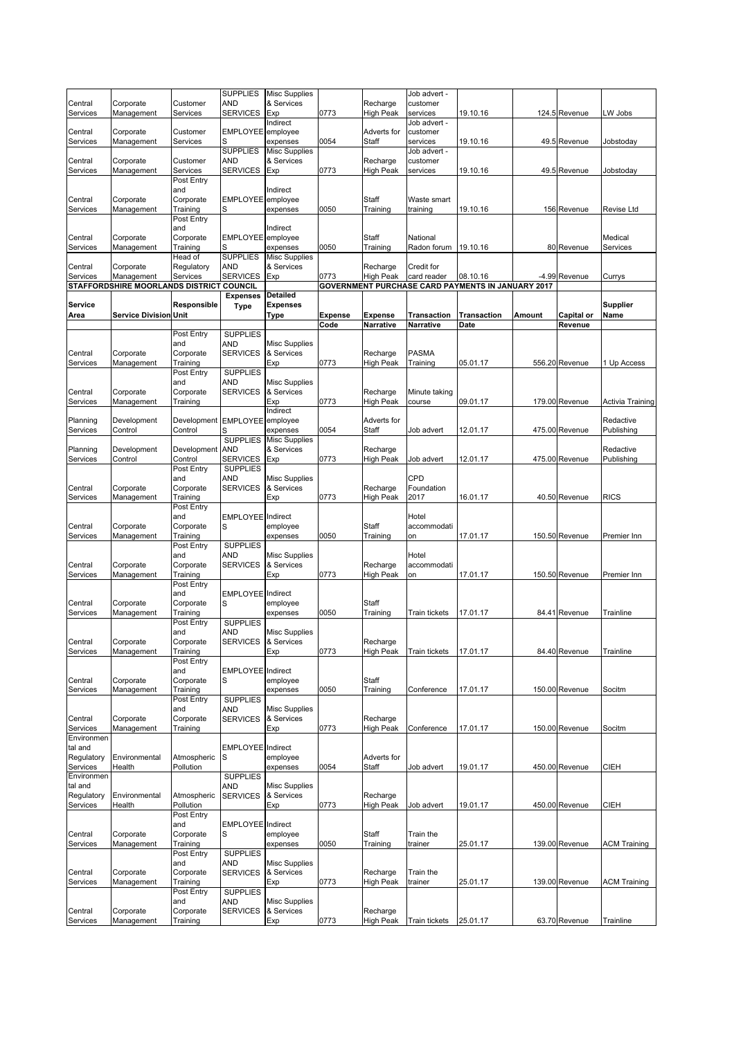|                        |                                          |                        | <b>SUPPLIES</b>               | <b>Misc Supplies</b> |                        |                                    | Job advert -             |                                                          |        |                       |                     |
|------------------------|------------------------------------------|------------------------|-------------------------------|----------------------|------------------------|------------------------------------|--------------------------|----------------------------------------------------------|--------|-----------------------|---------------------|
| Central                | Corporate                                | Customer               | AND                           | & Services           |                        | Recharge                           | customer                 |                                                          |        |                       |                     |
| Services               | Management                               | Services               | <b>SERVICES</b>               | Exp                  | 0773                   | <b>High Peak</b>                   | services                 | 19.10.16                                                 |        | 124.5 Revenue         | LW Jobs             |
|                        |                                          |                        | <b>EMPLOYEE</b>               | Indirect             |                        | Adverts for                        | Job advert -             |                                                          |        |                       |                     |
| Central<br>Services    | Corporate<br>Management                  | Customer<br>Services   | S                             | employee<br>expenses | 0054                   | Staff                              | customer<br>services     | 19.10.16                                                 |        | 49.5 Revenue          | Jobstoday           |
|                        |                                          |                        | <b>SUPPLIES</b>               | <b>Misc Supplies</b> |                        |                                    | Job advert -             |                                                          |        |                       |                     |
| Central                | Corporate                                | Customer               | AND                           | & Services           |                        | Recharge                           | customer                 |                                                          |        |                       |                     |
| Services               | Management                               | Services               | <b>SERVICES</b>               | Exp                  | 0773                   | High Peak                          | services                 | 19.10.16                                                 |        | 49.5 Revenue          | Jobstoday           |
|                        |                                          | Post Entry             |                               |                      |                        |                                    |                          |                                                          |        |                       |                     |
|                        |                                          | and                    |                               | Indirect             |                        |                                    |                          |                                                          |        |                       |                     |
| Central                | Corporate                                | Corporate              | <b>EMPLOYEE</b>               | employee             |                        | Staff                              | Waste smart              |                                                          |        |                       |                     |
| Services               | Management                               | Training               | S                             | expenses             | 0050                   | Training                           | training                 | 19.10.16                                                 |        | 156 Revenue           | Revise Ltd          |
|                        |                                          | Post Entry<br>and      |                               | Indirect             |                        |                                    |                          |                                                          |        |                       |                     |
| Central                | Corporate                                | Corporate              | EMPLOYEE employee             |                      |                        | Staff                              | National                 |                                                          |        |                       | Medical             |
| Services               | Management                               | Training               | S                             | expenses             | 0050                   | Training                           | Radon forum              | 19.10.16                                                 |        | 80 Revenue            | Services            |
|                        |                                          | Head of                | <b>SUPPLIES</b>               | <b>Misc Supplies</b> |                        |                                    |                          |                                                          |        |                       |                     |
| Central                | Corporate                                | Regulatory             | <b>AND</b>                    | & Services           |                        | Recharge                           | Credit for               |                                                          |        |                       |                     |
| Services               | Management                               | Services               | <b>SERVICES</b>               | Exp                  | 0773                   | High Peak                          | card reader              | 08.10.16                                                 |        | -4.99 Revenue         | Currys              |
|                        | STAFFORDSHIRE MOORLANDS DISTRICT COUNCIL |                        |                               |                      |                        |                                    |                          | <b>GOVERNMENT PURCHASE CARD PAYMENTS IN JANUARY 2017</b> |        |                       |                     |
|                        |                                          |                        | <b>Expenses</b>               | <b>Detailed</b>      |                        |                                    |                          |                                                          |        |                       |                     |
| Service                |                                          | Responsible            | <b>Type</b>                   | <b>Expenses</b>      |                        |                                    |                          |                                                          |        |                       | Supplier            |
| Area                   | <b>Service Division Unit</b>             |                        |                               | Type                 | <b>Expense</b><br>Code | <b>Expense</b><br><b>Narrative</b> | Transaction<br>Narrative | <b>Transaction</b><br>Date                               | Amount | Capital or<br>Revenue | Name                |
|                        |                                          | Post Entry             | <b>SUPPLIES</b>               |                      |                        |                                    |                          |                                                          |        |                       |                     |
|                        |                                          | and                    | <b>AND</b>                    | <b>Misc Supplies</b> |                        |                                    |                          |                                                          |        |                       |                     |
| Central                | Corporate                                | Corporate              | <b>SERVICES</b>               | & Services           |                        | Recharge                           | <b>PASMA</b>             |                                                          |        |                       |                     |
| Services               | Management                               | Training               |                               | Exp                  | 0773                   | High Peak                          | Training                 | 05.01.17                                                 |        | 556.20 Revenue        | 1 Up Access         |
|                        |                                          | Post Entry             | <b>SUPPLIES</b>               |                      |                        |                                    |                          |                                                          |        |                       |                     |
|                        |                                          | and                    | AND                           | <b>Misc Supplies</b> |                        |                                    |                          |                                                          |        |                       |                     |
| Central                | Corporate                                | Corporate              | <b>SERVICES</b>               | & Services           |                        | Recharge                           | Minute taking            |                                                          |        |                       |                     |
| Services               | Management                               | Training               |                               | Exp<br>Indirect      | 0773                   | High Peak                          | course                   | 09.01.17                                                 |        | 179.00 Revenue        | Activia Training    |
| Planning               | Development                              | Development EMPLOYEE   |                               | employee             |                        | Adverts for                        |                          |                                                          |        |                       | Redactive           |
| Services               | Control                                  | Control                | S                             | expenses             | 0054                   | Staff                              | Job advert               | 12.01.17                                                 |        | 475.00 Revenue        | Publishing          |
|                        |                                          |                        | <b>SUPPLIES</b>               | <b>Misc Supplies</b> |                        |                                    |                          |                                                          |        |                       |                     |
| Planning               | Development                              | Development            | <b>AND</b>                    | & Services           |                        | Recharge                           |                          |                                                          |        |                       | Redactive           |
| Services               | Control                                  | Control                | <b>SERVICES</b>               | Exp                  | 0773                   | High Peak                          | Job advert               | 12.01.17                                                 |        | 475.00 Revenue        | Publishing          |
|                        |                                          | Post Entry             | <b>SUPPLIES</b>               |                      |                        |                                    |                          |                                                          |        |                       |                     |
|                        |                                          | and                    | AND                           | <b>Misc Supplies</b> |                        |                                    | CPD                      |                                                          |        |                       |                     |
| Central                | Corporate                                | Corporate              | <b>SERVICES</b>               | & Services           |                        | Recharge                           | Foundation               |                                                          |        |                       |                     |
| Services               | Management                               | Training<br>Post Entry |                               | Exp                  | 0773                   | High Peak                          | 2017                     | 16.01.17                                                 |        | 40.50 Revenue         | <b>RICS</b>         |
|                        |                                          | and                    | <b>EMPLOYEE</b> Indirect      |                      |                        |                                    | Hotel                    |                                                          |        |                       |                     |
| Central                | Corporate                                | Corporate              | S                             | employee             |                        | Staff                              | accommodati              |                                                          |        |                       |                     |
| Services               | Management                               | Training               |                               | expenses             | 0050                   | Training                           | on                       | 17.01.17                                                 |        | 150.50 Revenue        | Premier Inn         |
|                        |                                          | Post Entry             | <b>SUPPLIES</b>               |                      |                        |                                    |                          |                                                          |        |                       |                     |
|                        |                                          | and                    | <b>AND</b>                    | <b>Misc Supplies</b> |                        |                                    | Hotel                    |                                                          |        |                       |                     |
| Central                | Corporate                                | Corporate              | <b>SERVICES</b>               | & Services           |                        | Recharge                           | accommodati              |                                                          |        |                       |                     |
| Services               | Management                               | Training               |                               | Exp                  | 0773                   | High Peak                          | on                       | 17.01.17                                                 |        | 150.50 Revenue        | Premier Inn         |
|                        |                                          | Post Entry             |                               |                      |                        |                                    |                          |                                                          |        |                       |                     |
| Central                | Corporate                                | and<br>Corporate       | <b>EMPLOYEE</b><br>S          | Indirect<br>employee |                        | Staff                              |                          |                                                          |        |                       |                     |
| Services               | Management                               | Training               |                               | expenses             | 0050                   | Training                           | Train tickets            | 17.01.17                                                 |        | 84.41 Revenue         | Trainline           |
|                        |                                          | Post Entry             | <b>SUPPLIES</b>               |                      |                        |                                    |                          |                                                          |        |                       |                     |
|                        |                                          | and                    | <b>AND</b>                    | <b>Misc Supplies</b> |                        |                                    |                          |                                                          |        |                       |                     |
| Central                | Corporate                                | ∪orporaτe              | <b>SERVICES</b>               | & Services           |                        | Recharge                           |                          |                                                          |        |                       |                     |
| Services               | Management                               | Training               |                               | Exp                  | 0773                   | <b>High Peak</b>                   | <b>Train tickets</b>     | 17.01.17                                                 |        | 84.40 Revenue         | Trainline           |
|                        |                                          | Post Entry             |                               |                      |                        |                                    |                          |                                                          |        |                       |                     |
|                        |                                          | and                    | <b>EMPLOYEE</b> Indirect      |                      |                        |                                    |                          |                                                          |        |                       |                     |
| Central                | Corporate<br>Management                  | Corporate<br>Training  | S                             | employee             |                        | Staff                              | Conference               |                                                          |        | 150.00 Revenue        |                     |
| Services               |                                          | Post Entry             | <b>SUPPLIES</b>               | expenses             | 0050                   | Training                           |                          | 17.01.17                                                 |        |                       | Socitm              |
|                        |                                          | and                    | AND                           | <b>Misc Supplies</b> |                        |                                    |                          |                                                          |        |                       |                     |
| Central                | Corporate                                | Corporate              | <b>SERVICES</b>               | & Services           |                        | Recharge                           |                          |                                                          |        |                       |                     |
| Services               | Management                               | Training               |                               | Exp                  | 0773                   | <b>High Peak</b>                   | Conference               | 17.01.17                                                 |        | 150.00 Revenue        | Socitm              |
| Environmen             |                                          |                        |                               |                      |                        |                                    |                          |                                                          |        |                       |                     |
| tal and                |                                          |                        | EMPLOYEE Indirect             |                      |                        |                                    |                          |                                                          |        |                       |                     |
| Regulatory             | Environmental                            | Atmospheric            | S                             | employee             |                        | Adverts for                        |                          |                                                          |        |                       |                     |
| Services<br>Environmen | Health                                   | Pollution              |                               | expenses             | 0054                   | Staff                              | Job advert               | 19.01.17                                                 |        | 450.00 Revenue        | CIEH                |
| tal and                |                                          |                        | <b>SUPPLIES</b><br><b>AND</b> | <b>Misc Supplies</b> |                        |                                    |                          |                                                          |        |                       |                     |
| Regulatory             | Environmental                            | Atmospheric            | <b>SERVICES</b>               | & Services           |                        | Recharge                           |                          |                                                          |        |                       |                     |
| Services               | Health                                   | Pollution              |                               | Exp                  | 0773                   | High Peak                          | Job advert               | 19.01.17                                                 |        | 450.00 Revenue        | CIEH                |
|                        |                                          | Post Entry             |                               |                      |                        |                                    |                          |                                                          |        |                       |                     |
|                        |                                          | and                    | <b>EMPLOYEE</b>               | Indirect             |                        |                                    |                          |                                                          |        |                       |                     |
| Central                | Corporate                                | Corporate              | S                             | employee             |                        | Staff                              | Train the                |                                                          |        |                       |                     |
| Services               | Management                               | Training               |                               | expenses             | 0050                   | Training                           | trainer                  | 25.01.17                                                 |        | 139.00 Revenue        | <b>ACM Training</b> |
|                        |                                          | Post Entry             | <b>SUPPLIES</b>               |                      |                        |                                    |                          |                                                          |        |                       |                     |
|                        |                                          | and                    | <b>AND</b>                    | <b>Misc Supplies</b> |                        |                                    |                          |                                                          |        |                       |                     |
| Central                | Corporate                                | Corporate<br>Training  | <b>SERVICES</b>               | & Services           | 0773                   | Recharge<br><b>High Peak</b>       | Train the                |                                                          |        | 139.00 Revenue        |                     |
| Services               | Management                               | Post Entry             | <b>SUPPLIES</b>               | Exp                  |                        |                                    | trainer                  | 25.01.17                                                 |        |                       | <b>ACM Training</b> |
|                        |                                          | and                    | <b>AND</b>                    | <b>Misc Supplies</b> |                        |                                    |                          |                                                          |        |                       |                     |
| Central                | Corporate                                | Corporate              | <b>SERVICES</b>               | & Services           |                        | Recharge                           |                          |                                                          |        |                       |                     |
| Services               | Management                               | Training               |                               | Exp                  | 0773                   | <b>High Peak</b>                   | Train tickets            | 25.01.17                                                 |        | 63.70 Revenue         | Trainline           |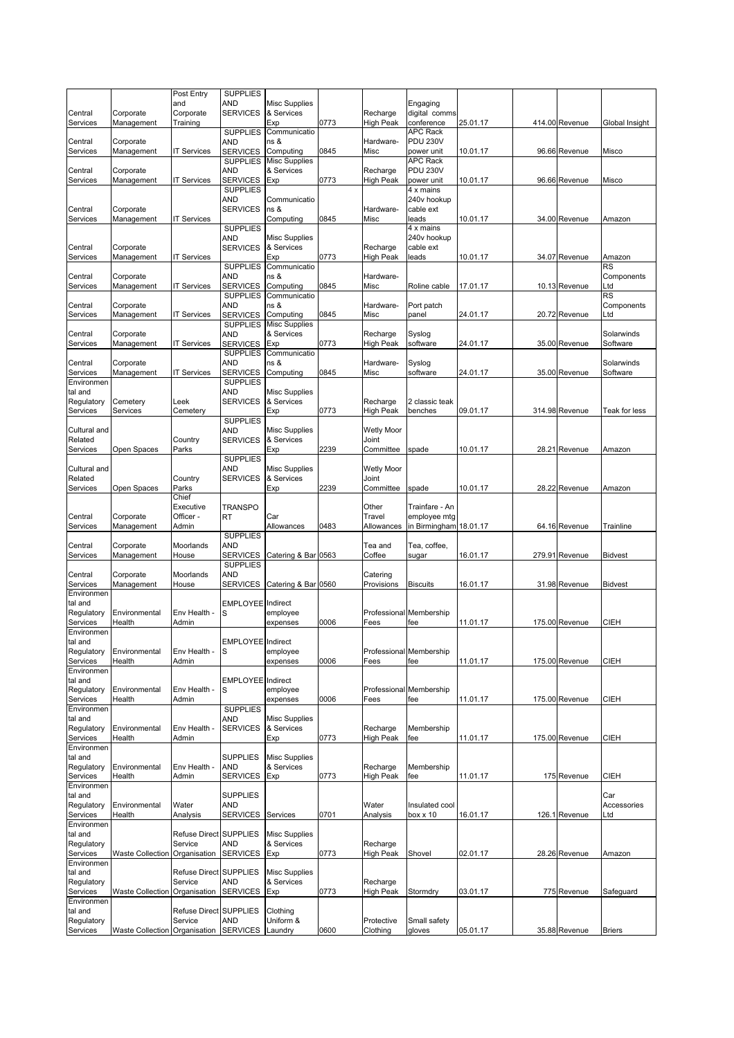|                        |                               | Post Entry                        | <b>SUPPLIES</b>                    |                                    |      |                      |                               |          |                |                        |
|------------------------|-------------------------------|-----------------------------------|------------------------------------|------------------------------------|------|----------------------|-------------------------------|----------|----------------|------------------------|
| Central                | Corporate                     | and<br>Corporate                  | AND<br><b>SERVICES</b>             | <b>Misc Supplies</b><br>& Services |      | Recharge             | Engaging<br>digital comms     |          |                |                        |
| Services               | Management                    | Training                          |                                    | Exp                                | 0773 | <b>High Peak</b>     | conference                    | 25.01.17 | 414.00 Revenue | Global Insight         |
|                        |                               |                                   | <b>SUPPLIES</b>                    | Communicatio                       |      |                      | <b>APC Rack</b>               |          |                |                        |
| Central                | Corporate                     |                                   | <b>AND</b>                         | ns &                               |      | Hardware-            | <b>PDU 230V</b>               |          |                |                        |
| Services               | Management                    | IT Services                       | <b>SERVICES</b><br><b>SUPPLIES</b> | Computing<br><b>Misc Supplies</b>  | 0845 | Misc                 | power unit<br><b>APC Rack</b> | 10.01.17 | 96.66 Revenue  | Misco                  |
| Central                | Corporate                     |                                   | <b>AND</b>                         | & Services                         |      | Recharge             | <b>PDU 230V</b>               |          |                |                        |
| Services               | Management                    | <b>IT Services</b>                | <b>SERVICES</b>                    | Exp                                | 0773 | <b>High Peak</b>     | power unit                    | 10.01.17 | 96.66 Revenue  | Misco                  |
|                        |                               |                                   | <b>SUPPLIES</b>                    |                                    |      |                      | 4 x mains                     |          |                |                        |
|                        |                               |                                   | AND                                | Communicatio                       |      |                      | 240v hookup                   |          |                |                        |
| Central<br>Services    | Corporate<br>Management       | <b>IT Services</b>                | <b>SERVICES</b>                    | ns &<br>Computing                  | 0845 | Hardware-<br>Misc    | cable ext<br>leads            | 10.01.17 | 34.00 Revenue  | Amazon                 |
|                        |                               |                                   | <b>SUPPLIES</b>                    |                                    |      |                      | 4 x mains                     |          |                |                        |
|                        |                               |                                   | <b>AND</b>                         | Misc Supplies                      |      |                      | 240v hookup                   |          |                |                        |
| Central                | Corporate                     |                                   | <b>SERVICES</b>                    | & Services                         |      | Recharge             | cable ext                     |          |                |                        |
| Services               | Management                    | <b>IT Services</b>                | <b>SUPPLIES</b>                    | Exp<br>Communicatio                | 0773 | <b>High Peak</b>     | leads                         | 10.01.17 | 34.07 Revenue  | Amazon<br>RS           |
| Central                | Corporate                     |                                   | <b>AND</b>                         | ns &                               |      | Hardware-            |                               |          |                | Components             |
| Services               | Management                    | <b>IT Services</b>                | <b>SERVICES</b>                    | Computing                          | 0845 | Misc                 | Roline cable                  | 17.01.17 | 10.13 Revenue  | Ltd                    |
|                        |                               |                                   | <b>SUPPLIES</b>                    | Communicatio                       |      |                      |                               |          |                | <b>RS</b>              |
| Central<br>Services    | Corporate                     | IT Services                       | <b>AND</b>                         | ns &                               | 0845 | Hardware-<br>Misc    | Port patch<br>panel           | 24.01.17 | 20.72 Revenue  | Components<br>∟td      |
|                        | Management                    |                                   | <b>SERVICES</b><br><b>SUPPLIES</b> | Computing<br><b>Misc Supplies</b>  |      |                      |                               |          |                |                        |
| Central                | Corporate                     |                                   | <b>AND</b>                         | & Services                         |      | Recharge             | Syslog                        |          |                | Solarwinds             |
| Services               | Management                    | <b>IT Services</b>                | <b>SERVICES</b>                    | Exp                                | 0773 | High Peak            | software                      | 24.01.17 | 35.00 Revenue  | Software               |
|                        |                               |                                   | <b>SUPPLIES</b>                    | Communicatio                       |      |                      |                               |          |                |                        |
| Central<br>Services    | Corporate<br>Management       | <b>IT Services</b>                | <b>AND</b><br><b>SERVICES</b>      | ns &<br>Computing                  | 0845 | Hardware-<br>Misc    | Syslog<br>software            | 24.01.17 | 35.00 Revenue  | Solarwinds<br>Software |
| Environmen             |                               |                                   | <b>SUPPLIES</b>                    |                                    |      |                      |                               |          |                |                        |
| tal and                |                               |                                   | AND                                | <b>Misc Supplies</b>               |      |                      |                               |          |                |                        |
| Regulatory             | Cemetery                      | Leek                              | <b>SERVICES</b>                    | & Services                         |      | Recharge             | 2 classic teak                |          |                |                        |
| Services               | Services                      | Cemetery                          |                                    | Exp                                | 0773 | <b>High Peak</b>     | benches                       | 09.01.17 | 314.98 Revenue | Teak for less          |
| Cultural and           |                               |                                   | <b>SUPPLIES</b><br><b>AND</b>      | <b>Misc Supplies</b>               |      | <b>Wetly Moor</b>    |                               |          |                |                        |
| Related                |                               | Country                           | <b>SERVICES</b>                    | & Services                         |      | Joint                |                               |          |                |                        |
| Services               | Open Spaces                   | Parks                             |                                    | Exp                                | 2239 | Committee            | spade                         | 10.01.17 | 28.21 Revenue  | Amazon                 |
|                        |                               |                                   | <b>SUPPLIES</b>                    |                                    |      |                      |                               |          |                |                        |
| Cultural and           |                               |                                   | <b>AND</b>                         | <b>Misc Supplies</b>               |      | <b>Wetly Moor</b>    |                               |          |                |                        |
| Related<br>Services    | Open Spaces                   | Country<br>Parks                  | <b>SERVICES</b>                    | & Services<br>Exp                  | 2239 | Joint<br>Committee   | spade                         | 10.01.17 | 28.22 Revenue  | Amazon                 |
|                        |                               | Chief                             |                                    |                                    |      |                      |                               |          |                |                        |
|                        |                               | Executive                         | <b>TRANSPO</b>                     |                                    |      | Other                | Trainfare - An                |          |                |                        |
| Central                | Corporate                     | Officer -                         | RT                                 | Car                                |      | Travel               | employee mtg                  |          |                |                        |
| Services               | Management                    | Admin                             | <b>SUPPLIES</b>                    | Allowances                         | 0483 | Allowances           | in Birmingham 18.01.17        |          | 64.16 Revenue  | Trainline              |
| Central                | Corporate                     | Moorlands                         | <b>AND</b>                         |                                    |      | Tea and              | Tea, coffee,                  |          |                |                        |
| Services               | Management                    | House                             | <b>SERVICES</b>                    | Catering & Bar 0563                |      | Coffee               | sugar                         | 16.01.17 | 279.91 Revenue | <b>Bidvest</b>         |
|                        |                               |                                   | <b>SUPPLIES</b>                    |                                    |      |                      |                               |          |                |                        |
| Central                | Corporate                     | Moorlands                         | <b>AND</b>                         |                                    |      | Catering             | <b>Biscuits</b>               |          |                |                        |
| Services<br>Environmen | Management                    | House                             | <b>SERVICES</b>                    | Catering & Bar 0560                |      | Provisions           |                               | 16.01.17 | 31.98 Revenue  | <b>Bidvest</b>         |
| tal and                |                               |                                   | <b>EMPLOYEE</b> Indirect           |                                    |      |                      |                               |          |                |                        |
| Regulatory             | Environmental                 | Env Health -                      | S                                  | employee                           |      |                      | Professional Membership       |          |                |                        |
| Services               | Health                        | Admin                             |                                    | expenses                           | 0006 | Fees                 | fee                           | 11.01.17 | 175.00 Revenue | CIEH                   |
| Environmen<br>tal and  |                               |                                   | EMPLOYEE Indirect                  |                                    |      |                      |                               |          |                |                        |
| Regulatory             | Environmental                 | Env Health -                      | S                                  | employee                           |      |                      | Professional Membership       |          |                |                        |
| Services               | Health                        | Admin                             |                                    | expenses                           | 0006 | Fees                 | fee                           | 11.01.17 | 175.00 Revenue | <b>CIEH</b>            |
| Environmen             |                               |                                   |                                    |                                    |      |                      |                               |          |                |                        |
| tal and                |                               |                                   | <b>EMPLOYEE</b> Indirect           |                                    |      |                      | Membership                    |          |                |                        |
| Regulatory<br>Services | Environmental<br>Health       | Env Health -<br>Admin             | S                                  | employee<br>expenses               | 0006 | Professional<br>Fees | fee                           | 11.01.17 | 175.00 Revenue | <b>CIEH</b>            |
| Environmen             |                               |                                   | <b>SUPPLIES</b>                    |                                    |      |                      |                               |          |                |                        |
| tal and                |                               |                                   | <b>AND</b>                         | <b>Misc Supplies</b>               |      |                      |                               |          |                |                        |
| Regulatory             | Environmental                 | Env Health -                      | <b>SERVICES</b>                    | & Services                         |      | Recharge             | Membership                    |          |                |                        |
| Services<br>Environmen | Health                        | Admin                             |                                    | Exp                                | 0773 | <b>High Peak</b>     | fee                           | 11.01.17 | 175.00 Revenue | <b>CIEH</b>            |
| tal and                |                               |                                   | <b>SUPPLIES</b>                    | <b>Misc Supplies</b>               |      |                      |                               |          |                |                        |
| Regulatory             | Environmental                 | Env Health -                      | <b>AND</b>                         | & Services                         |      | Recharge             | Membership                    |          |                |                        |
| Services               | Health                        | Admin                             | <b>SERVICES</b>                    | <b>Exp</b>                         | 0773 | High Peak            | fee                           | 11.01.17 | 175 Revenue    | CIEH                   |
| Environmen             |                               |                                   |                                    |                                    |      |                      |                               |          |                |                        |
| tal and<br>Regulatory  | Environmental                 | Water                             | <b>SUPPLIES</b><br>AND             |                                    |      | Water                | Insulated cool                |          |                | Car<br>Accessories     |
| Services               | Health                        | Analysis                          | <b>SERVICES</b>                    | Services                           | 0701 | Analysis             | box x 10                      | 16.01.17 | 126.1 Revenue  | ∟td                    |
| Environmen             |                               |                                   |                                    |                                    |      |                      |                               |          |                |                        |
| tal and                |                               | Refuse Direct SUPPLIES            |                                    | <b>Misc Supplies</b>               |      |                      |                               |          |                |                        |
| Regulatory             |                               | Service                           | <b>AND</b>                         | & Services                         |      | Recharge             |                               |          |                |                        |
| Services<br>Environmen | <b>Waste Collection</b>       | Organisation                      | <b>SERVICES</b>                    | Exp                                | 0773 | High Peak            | Shovel                        | 02.01.17 | 28.26 Revenue  | Amazon                 |
| tal and                |                               | Refuse Direct SUPPLIES            |                                    | <b>Misc Supplies</b>               |      |                      |                               |          |                |                        |
| Regulatory             |                               | Service                           | <b>AND</b>                         | & Services                         |      | Recharge             |                               |          |                |                        |
| Services               | <b>Waste Collection</b>       | Organisation                      | <b>SERVICES</b>                    | Exp                                | 0773 | High Peak            | Stormdry                      | 03.01.17 | 775 Revenue    | Safeguard              |
| Environmen             |                               |                                   |                                    |                                    |      |                      |                               |          |                |                        |
| tal and<br>Regulatory  |                               | Refuse Direct SUPPLIES<br>Service | <b>AND</b>                         | Clothing<br>Uniform &              |      | Protective           | Small safety                  |          |                |                        |
| Services               | Waste Collection Organisation |                                   | <b>SERVICES</b>                    | Laundry                            | 0600 | Clothing             | gloves                        | 05.01.17 | 35.88 Revenue  | <b>Briers</b>          |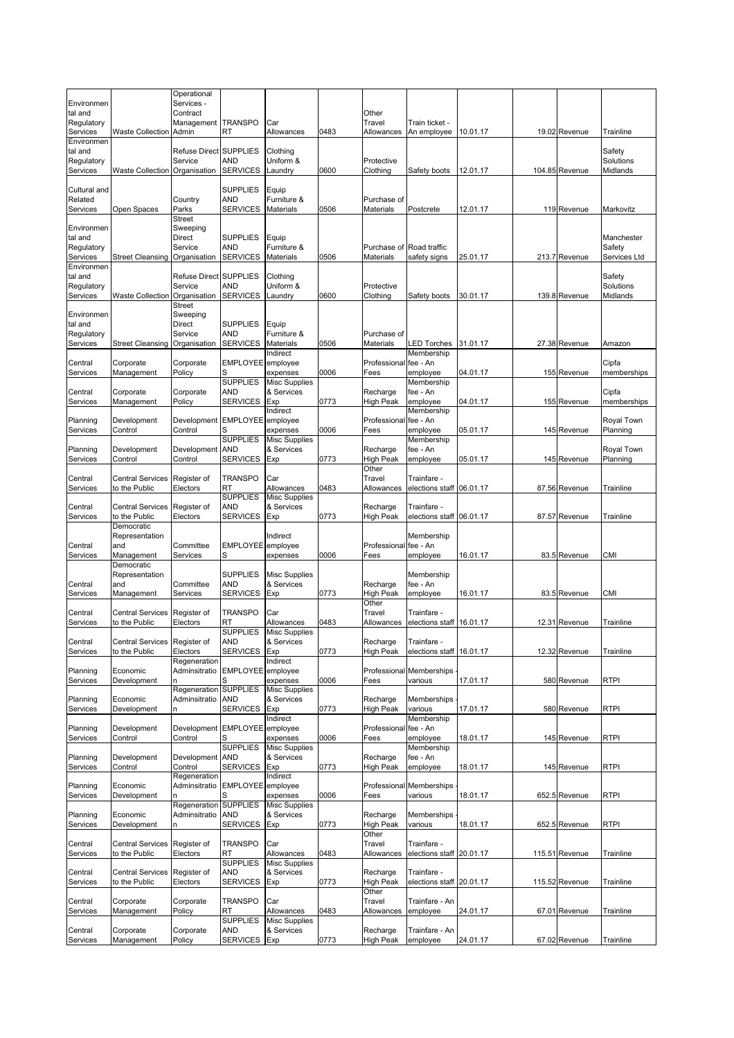|                       |                                          | Operational              |                               |                                    |      |                              |                                         |          |                |                        |
|-----------------------|------------------------------------------|--------------------------|-------------------------------|------------------------------------|------|------------------------------|-----------------------------------------|----------|----------------|------------------------|
| Environmen<br>tal and |                                          | Services -<br>Contract   |                               |                                    |      | Other                        |                                         |          |                |                        |
| Regulatory            |                                          | Management TRANSPO       |                               | Car                                |      | Travel                       | Train ticket -                          |          |                |                        |
| Services              | Waste Collection Admin                   |                          | RT                            | Allowances                         | 0483 | Allowances                   | An employee                             | 10.01.17 | 19.02 Revenue  | Trainline              |
| Environmen<br>tal and |                                          | Refuse Direct SUPPLIES   |                               | Clothing                           |      |                              |                                         |          |                | Safety                 |
| Regulatory            |                                          | Service                  | AND                           | Uniform &                          |      | Protective                   |                                         |          |                | Solutions              |
| Services              | Waste Collection Organisation            |                          | <b>SERVICES</b>               | Laundry                            | 0600 | Clothing                     | Safety boots                            | 12.01.17 | 104.85 Revenue | Midlands               |
| Cultural and          |                                          |                          | <b>SUPPLIES</b>               | Equip                              |      |                              |                                         |          |                |                        |
| Related               |                                          | Country                  | AND                           | Furniture &                        |      | Purchase of                  |                                         |          |                |                        |
| Services              | Open Spaces                              | Parks                    | <b>SERVICES</b>               | Materials                          | 0506 | Materials                    | Postcrete                               | 12.01.17 | 119 Revenue    | Markovitz              |
|                       |                                          | <b>Street</b>            |                               |                                    |      |                              |                                         |          |                |                        |
| Environmen<br>tal and |                                          | Sweeping<br>Direct       | <b>SUPPLIES</b>               | Equip                              |      |                              |                                         |          |                | Manchester             |
| Regulatory            |                                          | Service                  | AND                           | Furniture &                        |      | Purchase of                  | Road traffic                            |          |                | Safety                 |
| Services              | <b>Street Cleansing</b>                  | Organisation             | <b>SERVICES</b>               | Materials                          | 0506 | Materials                    | safety signs                            | 25.01.17 | 213.7 Revenue  | Services Ltd           |
| Environmen<br>tal and |                                          | Refuse Direct SUPPLIES   |                               | Clothing                           |      |                              |                                         |          |                | Safety                 |
| Regulatory            |                                          | Service                  | <b>AND</b>                    | Uniform &                          |      | Protective                   |                                         |          |                | Solutions              |
| Services              | <b>Waste Collection</b>                  | Organisation             | <b>SERVICES</b>               | Laundry                            | 0600 | Clothing                     | Safety boots                            | 30.01.17 | 139.8 Revenue  | Midlands               |
|                       |                                          | Street                   |                               |                                    |      |                              |                                         |          |                |                        |
| Environmen<br>tal and |                                          | Sweeping<br>Direct       | <b>SUPPLIES</b>               | Equip                              |      |                              |                                         |          |                |                        |
| Regulatory            |                                          | Service                  | <b>AND</b>                    | Furniture &                        |      | Purchase of                  |                                         |          |                |                        |
| Services              | <b>Street Cleansing</b>                  | Organisation             | <b>SERVICES</b>               | Materials                          | 0506 | Materials                    | <b>LED Torches</b>                      | 31.01.17 | 27.38 Revenue  | Amazon                 |
| Central               | Corporate                                | Corporate                | EMPLOYEE employee             | Indirect                           |      | Professional fee - An        | Membership                              |          |                | Cipfa                  |
| Services              | Management                               | Policy                   | S                             | expenses                           | 0006 | Fees                         | emplovee                                | 04.01.17 | 155 Revenue    | memberships            |
|                       |                                          |                          | <b>SUPPLIES</b>               | <b>Misc Supplies</b>               |      |                              | Membership                              |          |                |                        |
| Central               | Corporate                                | Corporate                | AND                           | & Services                         |      | Recharge                     | fee - An                                |          |                | Cipfa                  |
| Services              | Management                               | Policy                   | <b>SERVICES</b>               | Exp<br>Indirect                    | 0773 | <b>High Peak</b>             | employee<br>Membership                  | 04.01.17 | 155 Revenue    | memberships            |
| Planning              | Development                              | Development              | <b>EMPLOYEE</b>               | employee                           |      | Professional                 | fee - An                                |          |                | Royal Town             |
| Services              | Control                                  | Control                  | S                             | expenses                           | 0006 | Fees                         | employee                                | 05.01.17 | 145 Revenue    | Planning               |
|                       |                                          |                          | <b>SUPPLIES</b><br><b>AND</b> | <b>Misc Supplies</b><br>& Services |      |                              | Membership<br>fee - An                  |          |                |                        |
| Planning<br>Services  | Development<br>Control                   | Development<br>Control   | <b>SERVICES</b>               | Exp                                | 0773 | Recharge<br>High Peak        | employee                                | 05.01.17 | 145 Revenue    | Royal Town<br>Planning |
|                       |                                          |                          |                               |                                    |      | Other                        |                                         |          |                |                        |
| Central               | <b>Central Services</b>                  | Register of              | <b>TRANSPO</b>                | Car                                |      | Travel                       | Trainfare -                             |          |                |                        |
| Services              | to the Public                            | Electors                 | RT<br><b>SUPPLIES</b>         | Allowances<br><b>Misc Supplies</b> | 0483 | Allowances                   | elections staff 06.01.17                |          | 87.56 Revenue  | Trainline              |
| Central               | <b>Central Services</b>                  | Register of              | <b>AND</b>                    | & Services                         |      | Recharge                     | Trainfare -                             |          |                |                        |
| Services              | to the Public                            | Electors                 | <b>SERVICES</b>               | Exp                                | 0773 | <b>High Peak</b>             | elections staff 06.01.17                |          | 87.57 Revenue  | Trainline              |
|                       | Democratic                               |                          |                               |                                    |      |                              |                                         |          |                |                        |
| Central               | Representation<br>and                    | Committee                | <b>EMPLOYEE</b>               | Indirect<br>employee               |      | Professional                 | Membership<br>fee - An                  |          |                |                        |
| Services              | Management                               | Services                 | S                             | expenses                           | 0006 | Fees                         | employee                                | 16.01.17 | 83.5 Revenue   | CMI                    |
|                       | Democratic                               |                          |                               |                                    |      |                              |                                         |          |                |                        |
| Central               | Representation<br>and                    | Committee                | <b>SUPPLIES</b><br>AND        | <b>Misc Supplies</b><br>& Services |      | Recharge                     | Membership<br>fee - An                  |          |                |                        |
| Services              | Management                               | Services                 | <b>SERVICES</b>               | Exp                                | 0773 | <b>High Peak</b>             | employee                                | 16.01.17 | 83.5 Revenue   | CMI                    |
|                       |                                          |                          |                               |                                    |      | Other                        |                                         |          |                |                        |
| Central<br>Services   | <b>Central Services</b><br>to the Public | Register of<br>Electors  | <b>TRANSPO</b><br>RT          | Car<br>Allowances                  | 0483 | Travel<br>Allowances         | Trainfare -<br>elections staff          | 16.01.17 | 12.31 Revenue  | Trainline              |
|                       |                                          |                          | <b>SUPPLIES</b>               | <b>Misc Supplies</b>               |      |                              |                                         |          |                |                        |
| Central               | Central Services Register of             |                          | <b>AND</b>                    | & Services                         |      | Recharge                     | Trainfare                               |          |                |                        |
| Services              | to the Public                            | Electors<br>Regeneration | <b>SERVICES</b>               | Exp<br>Indirect                    | 0773 | <b>High Peak</b>             | elections staff 16.01.17                |          | 12.32 Revenue  | Trainline              |
| Planning              | Economic                                 | Adminsitratio            | <b>EMPLOYEE</b>               | employee                           |      |                              | Professional Memberships                |          |                |                        |
| Services              | Development                              |                          |                               | expenses                           | 0006 | Fees                         | various                                 | 17.01.17 | 580 Revenue    | <b>RTPI</b>            |
|                       |                                          | Regeneration             | <b>SUPPLIES</b>               | Misc Supplies                      |      |                              |                                         |          |                |                        |
| Planning<br>Services  | Economic<br>Development                  | Adminsitratio            | <b>AND</b><br><b>SERVICES</b> | & Services<br>Exp                  | 0773 | Recharge<br><b>High Peak</b> | Memberships<br>various                  | 17.01.17 | 580 Revenue    | <b>RTPI</b>            |
|                       |                                          |                          |                               | Indirect                           |      |                              | Membership                              |          |                |                        |
| Planning              | Development                              | Development              | <b>EMPLOYEE</b>               | employee                           |      | Professional                 | fee - An                                |          |                |                        |
| Services              | Control                                  | Control                  | S<br><b>SUPPLIES</b>          | expenses<br>Misc Supplies          | 0006 | Fees                         | employee<br>Membership                  | 18.01.17 | 145 Revenue    | <b>RTPI</b>            |
| Planning              | Development                              | Development              | <b>AND</b>                    | & Services                         |      | Recharge                     | fee - An                                |          |                |                        |
| Services              | Control                                  | Control                  | <b>SERVICES</b>               | Exp                                | 0773 | <b>High Peak</b>             | employee                                | 18.01.17 | 145 Revenue    | <b>RTPI</b>            |
|                       |                                          | Regeneration             |                               | Indirect                           |      |                              |                                         |          |                |                        |
| Planning<br>Services  | Economic<br>Development                  | Adminsitratio<br>n       | <b>EMPLOYEE</b><br>S          | employee<br>expenses               | 0006 | Professional<br>Fees         | Memberships<br>various                  | 18.01.17 | 652.5 Revenue  | <b>RTPI</b>            |
|                       |                                          | Regeneration             | <b>SUPPLIES</b>               | <b>Misc Supplies</b>               |      |                              |                                         |          |                |                        |
| Planning              | Economic                                 | Adminsitratio            | AND                           | & Services                         |      | Recharge                     | Memberships                             |          |                |                        |
| Services              | Development                              | n                        | <b>SERVICES</b>               | Exp                                | 0773 | High Peak<br>Other           | various                                 | 18.01.17 | 652.5 Revenue  | RTPI                   |
| Central               | <b>Central Services</b>                  | Register of              | <b>TRANSPO</b>                | Car                                |      | Travel                       | Trainfare -                             |          |                |                        |
| Services              | to the Public                            | Electors                 | RT                            | Allowances                         | 0483 | Allowances                   | elections staff 20.01.17                |          | 115.51 Revenue | Trainline              |
|                       |                                          |                          | <b>SUPPLIES</b>               | Misc Supplies                      |      |                              |                                         |          |                |                        |
| Central<br>Services   | <b>Central Services</b><br>to the Public | Register of<br>Electors  | <b>AND</b><br><b>SERVICES</b> | & Services<br>Exp                  | 0773 | Recharge<br><b>High Peak</b> | Trainfare -<br>elections staff 20.01.17 |          | 115.52 Revenue | Trainline              |
|                       |                                          |                          |                               |                                    |      | Other                        |                                         |          |                |                        |
| Central               | Corporate                                | Corporate                | <b>TRANSPO</b>                | Car                                |      | Travel                       | Trainfare - An                          |          |                |                        |
| Services              | Management                               | Policy                   | RT<br><b>SUPPLIES</b>         | Allowances<br>Misc Supplies        | 0483 | Allowances                   | employee                                | 24.01.17 | 67.01 Revenue  | Trainline              |
| Central               | Corporate                                | Corporate                | <b>AND</b>                    | & Services                         |      | Recharge                     | Trainfare - An                          |          |                |                        |
| Services              | Management                               | Policy                   | <b>SERVICES</b>               | Exp                                | 0773 | <b>High Peak</b>             | employee                                | 24.01.17 | 67.02 Revenue  | Trainline              |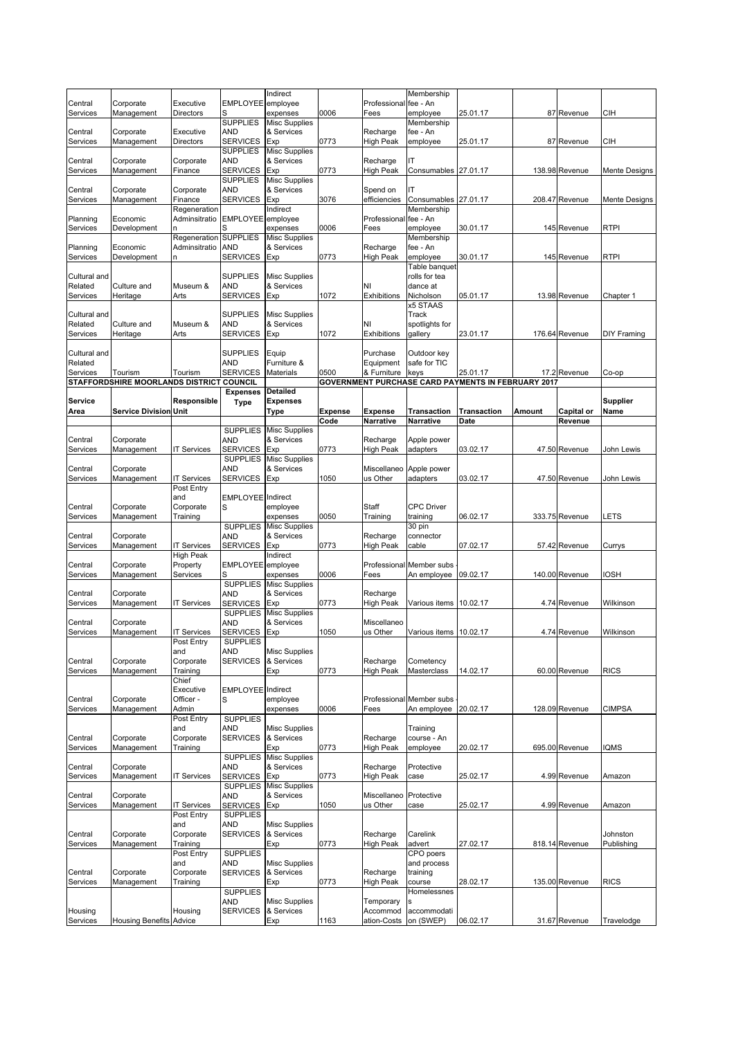|                         |                                          |                               |                               | Indirect                           |                |                         | Membership               |                                                           |        |                   |                 |
|-------------------------|------------------------------------------|-------------------------------|-------------------------------|------------------------------------|----------------|-------------------------|--------------------------|-----------------------------------------------------------|--------|-------------------|-----------------|
| Central                 | Corporate                                | Executive                     | <b>EMPLOYEE</b>               | employee                           |                | Professional            | fee - An                 |                                                           |        |                   |                 |
| Services                | Management                               | Directors                     | S<br><b>SUPPLIES</b>          | expenses                           | 0006           | Fees                    | employee                 | 25.01.17                                                  |        | 87 Revenue        | CІH             |
| Central                 | Corporate                                | Executive                     | AND                           | <b>Misc Supplies</b><br>& Services |                | Recharge                | Membership<br>fee - An   |                                                           |        |                   |                 |
| Services                | Management                               | Directors                     | <b>SERVICES</b>               | Exp                                | 0773           | High Peak               | employee                 | 25.01.17                                                  |        | 87 Revenue        | CІH             |
|                         |                                          |                               | <b>SUPPLIES</b>               | <b>Misc Supplies</b>               |                |                         |                          |                                                           |        |                   |                 |
| Central                 | Corporate                                | Corporate                     | AND                           | & Services                         |                | Recharge                | ıτ                       |                                                           |        |                   |                 |
| Services                | Management                               | Finance                       | <b>SERVICES</b>               | Exp                                | 0773           | High Peak               | Consumables 27.01.17     |                                                           |        | 138.98 Revenue    | Mente Designs   |
|                         |                                          |                               | <b>SUPPLIES</b>               | <b>Misc Supplies</b>               |                |                         |                          |                                                           |        |                   |                 |
| Central                 | Corporate                                | Corporate                     | <b>AND</b>                    | & Services                         |                | Spend on                | ıτ                       |                                                           |        |                   |                 |
| Services                | Management                               | Finance                       | <b>SERVICES</b>               | Exp                                | 3076           | efficiencies            | Consumables 27.01.17     |                                                           |        | 208.47 Revenue    | Mente Designs   |
| Planning                | Economic                                 | Regeneration<br>Adminsitratio | <b>EMPLOYEE</b>               | Indirect<br>employee               |                | Professional fee - An   | Membership               |                                                           |        |                   |                 |
| Services                | Development                              |                               | S                             | expenses                           | 0006           | Fees                    | emplovee                 | 30.01.17                                                  |        | 145 Revenue       | <b>RTPI</b>     |
|                         |                                          | Regeneration                  | <b>SUPPLIES</b>               | <b>Misc Supplies</b>               |                |                         | Membership               |                                                           |        |                   |                 |
| Planning                | Economic                                 | Adminsitratio                 | <b>AND</b>                    | & Services                         |                | Recharge                | fee - An                 |                                                           |        |                   |                 |
| Services                | Development                              | n                             | <b>SERVICES</b>               | Exp                                | 0773           | High Peak               | employee                 | 30.01.17                                                  |        | 145 Revenue       | RTPI            |
|                         |                                          |                               |                               |                                    |                |                         | Table banquet            |                                                           |        |                   |                 |
| Cultural and            |                                          |                               | <b>SUPPLIES</b>               | <b>Misc Supplies</b>               |                |                         | rolls for tea            |                                                           |        |                   |                 |
| Related                 | Culture and                              | Museum &                      | <b>AND</b>                    | & Services                         |                | NI                      | dance at                 |                                                           |        |                   |                 |
| Services                | Heritage                                 | Arts                          | <b>SERVICES</b>               | Exp                                | 1072           | <b>Exhibitions</b>      | Nicholson                | 05.01.17                                                  |        | 13.98 Revenue     | Chapter 1       |
|                         |                                          |                               |                               |                                    |                |                         | x5 STAAS                 |                                                           |        |                   |                 |
| Cultural and<br>Related | Culture and                              | Museum &                      | <b>SUPPLIES</b><br><b>AND</b> | <b>Misc Supplies</b><br>& Services |                | NI                      | Track<br>spotlights for  |                                                           |        |                   |                 |
| Services                | Heritage                                 | Arts                          | <b>SERVICES</b>               | Exp                                | 1072           | Exhibitions             | gallery                  | 23.01.17                                                  |        | 176.64 Revenue    | DIY Framing     |
|                         |                                          |                               |                               |                                    |                |                         |                          |                                                           |        |                   |                 |
| Cultural and            |                                          |                               | <b>SUPPLIES</b>               | Equip                              |                | Purchase                | Outdoor key              |                                                           |        |                   |                 |
| Related                 |                                          |                               | AND                           | Furniture &                        |                | Equipment               | safe for TIC             |                                                           |        |                   |                 |
| Services                | Tourism                                  | Tourism                       | <b>SERVICES</b>               | Materials                          | 0500           | & Furniture             | keys                     | 25.01.17                                                  |        | 17.2 Revenue      | Co-op           |
|                         | STAFFORDSHIRE MOORLANDS DISTRICT COUNCIL |                               |                               |                                    |                |                         |                          | <b>GOVERNMENT PURCHASE CARD PAYMENTS IN FEBRUARY 2017</b> |        |                   |                 |
|                         |                                          |                               | <b>Expenses</b>               | <b>Detailed</b>                    |                |                         |                          |                                                           |        |                   |                 |
| Service                 |                                          | Responsible                   | Type                          | Expenses                           |                |                         |                          |                                                           |        |                   | <b>Supplier</b> |
| Area                    | <b>Service Division Unit</b>             |                               |                               | Type                               | <b>Expense</b> | <b>Expense</b>          | <b>Transaction</b>       | <b>Transaction</b>                                        | Amount | <b>Capital or</b> | Name            |
|                         |                                          |                               |                               |                                    | Code           | <b>Narrative</b>        | Narrative                | Date                                                      |        | Revenue           |                 |
|                         |                                          |                               | <b>SUPPLIES</b>               | <b>Misc Supplies</b>               |                |                         |                          |                                                           |        |                   |                 |
| Central                 | Corporate                                |                               | <b>AND</b><br><b>SERVICES</b> | & Services<br>Exp                  | 0773           | Recharge<br>High Peak   | Apple power              | 03.02.17                                                  |        |                   | John Lewis      |
| Services                | Management                               | <b>T Services</b>             | <b>SUPPLIES</b>               | <b>Misc Supplies</b>               |                |                         | adapters                 |                                                           |        | 47.50 Revenue     |                 |
| Central                 | Corporate                                |                               | <b>AND</b>                    | & Services                         |                | Miscellaneo             | Apple power              |                                                           |        |                   |                 |
| Services                | Management                               | <b>IT Services</b>            | <b>SERVICES</b>               | Exp                                | 1050           | us Other                | adapters                 | 03.02.17                                                  |        | 47.50 Revenue     | John Lewis      |
|                         |                                          | Post Entry                    |                               |                                    |                |                         |                          |                                                           |        |                   |                 |
|                         |                                          | and                           | <b>EMPLOYEE</b>               | Indirect                           |                |                         |                          |                                                           |        |                   |                 |
| Central                 | Corporate                                | Corporate                     | S                             | employee                           |                | Staff                   | <b>CPC Driver</b>        |                                                           |        |                   |                 |
| Services                | Management                               | Training                      |                               | expenses                           | 0050           | Training                | training                 | 06.02.17                                                  |        | 333.75 Revenue    | LETS            |
|                         |                                          |                               | <b>SUPPLIES</b>               | <b>Misc Supplies</b>               |                |                         | 30 pin                   |                                                           |        |                   |                 |
| Central                 | Corporate                                |                               | <b>AND</b>                    | & Services                         |                | Recharge                | connector                |                                                           |        |                   |                 |
| Services                | Management                               | IT Services                   | <b>SERVICES</b>               | Exp                                | 0773           | High Peak               | cable                    | 07.02.17                                                  |        | 57.42 Revenue     | Currys          |
| Central                 | Corporate                                | <b>High Peak</b><br>Property  | <b>EMPLOYEE</b>               | Indirect                           |                |                         | Professional Member subs |                                                           |        |                   |                 |
| Services                | Management                               | Services                      |                               | employee<br>expenses               | 0006           | Fees                    | An employee              | 09.02.17                                                  |        | 140.00 Revenue    | IOSH            |
|                         |                                          |                               | <b>SUPPLIES</b>               | <b>Misc Supplies</b>               |                |                         |                          |                                                           |        |                   |                 |
| Central                 | Corporate                                |                               | <b>AND</b>                    | & Services                         |                | Recharge                |                          |                                                           |        |                   |                 |
| Services                | Management                               | <b>IT Services</b>            | <b>SERVICES</b>               | Exp                                | 0773           | High Peak               | Various items            | 10.02.17                                                  |        | 4.74 Revenue      | Wilkinson       |
|                         |                                          |                               | <b>SUPPLIES</b>               | <b>Misc Supplies</b>               |                |                         |                          |                                                           |        |                   |                 |
| Central                 | Corporate                                |                               | <b>AND</b>                    | & Services                         |                | Miscellaneo             |                          |                                                           |        |                   |                 |
| Services                | Management                               | <b>IT Services</b>            | <b>SERVICES</b>               | Exp                                | 1050           | us Other                | Various items 10.02.17   |                                                           |        | 4.74 Revenue      | Wilkinson       |
|                         |                                          | Post Entry                    | <b>SUPPLIES</b>               |                                    |                |                         |                          |                                                           |        |                   |                 |
|                         |                                          | and                           | <b>AND</b>                    | <b>Misc Supplies</b>               |                |                         |                          |                                                           |        |                   |                 |
| Central                 | Corporate                                | Corporate                     | <b>SERVICES</b>               | & Services                         |                | Recharge                | Cometency                |                                                           |        |                   |                 |
| Services                | Management                               | Training<br>Chief             |                               | Exp                                | 0773           | <b>High Peak</b>        | Masterclass              | 14.02.17                                                  |        | 60.00 Revenue     | <b>RICS</b>     |
|                         |                                          | Executive                     | EMPLOYEE Indirect             |                                    |                |                         |                          |                                                           |        |                   |                 |
| Central                 | Corporate                                | Officer -                     | S                             | employee                           |                |                         | Professional Member subs |                                                           |        |                   |                 |
| Services                | Management                               | Admin                         |                               | expenses                           | 0006           | Fees                    | An employee              | 20.02.17                                                  |        | 128.09 Revenue    | <b>CIMPSA</b>   |
|                         |                                          | Post Entry                    | <b>SUPPLIES</b>               |                                    |                |                         |                          |                                                           |        |                   |                 |
|                         |                                          | and                           | AND                           | <b>Misc Supplies</b>               |                |                         | Training                 |                                                           |        |                   |                 |
| Central                 | Corporate                                | Corporate                     | <b>SERVICES</b>               | & Services                         |                | Recharge                | course - An              |                                                           |        |                   |                 |
| Services                | Management                               | Training                      |                               | Exp                                | 0773           | High Peak               | employee                 | 20.02.17                                                  |        | 695.00 Revenue    | <b>IQMS</b>     |
|                         |                                          |                               | <b>SUPPLIES</b>               | <b>Misc Supplies</b>               |                |                         |                          |                                                           |        |                   |                 |
| Central                 | Corporate                                |                               | <b>AND</b>                    | & Services                         |                | Recharge                | Protective               |                                                           |        |                   |                 |
| Services                | Management                               | <b>T Services</b>             | <b>SERVICES</b>               | Exp                                | 0773           | High Peak               | case                     | 25.02.17                                                  |        | 4.99 Revenue      | Amazon          |
| Central                 | Corporate                                |                               | <b>SUPPLIES</b><br><b>AND</b> | <b>Misc Supplies</b><br>& Services |                | Miscellaneo             | Protective               |                                                           |        |                   |                 |
| Services                | Management                               | <b>T</b> Services             | <b>SERVICES</b>               | Exp                                | 1050           | us Other                | case                     | 25.02.17                                                  |        | 4.99 Revenue      | Amazon          |
|                         |                                          | Post Entry                    | <b>SUPPLIES</b>               |                                    |                |                         |                          |                                                           |        |                   |                 |
|                         |                                          | and                           | <b>AND</b>                    | <b>Misc Supplies</b>               |                |                         |                          |                                                           |        |                   |                 |
| Central                 | Corporate                                | Corporate                     | <b>SERVICES</b>               | & Services                         |                | Recharge                | Carelink                 |                                                           |        |                   | Johnston        |
| Services                | Management                               | Training                      |                               | Exp                                | 0773           | High Peak               | advert                   | 27.02.17                                                  |        | 818.14 Revenue    | Publishing      |
|                         |                                          | Post Entry                    | <b>SUPPLIES</b>               |                                    |                |                         | CPO poers                |                                                           |        |                   |                 |
|                         |                                          | and                           | AND                           | <b>Misc Supplies</b>               |                |                         | and process              |                                                           |        |                   |                 |
| Central                 | Corporate                                | Corporate                     | <b>SERVICES</b>               | & Services                         |                | Recharge                | training                 |                                                           |        |                   |                 |
| Services                | Management                               | Training                      |                               | Exp                                | 0773           | High Peak               | course                   | 28.02.17                                                  |        | 135.00 Revenue    | <b>RICS</b>     |
|                         |                                          |                               | <b>SUPPLIES</b>               |                                    |                |                         | Homelessnes              |                                                           |        |                   |                 |
|                         |                                          |                               | AND                           | <b>Misc Supplies</b>               |                | Temporary               |                          |                                                           |        |                   |                 |
| Housing<br>Services     | <b>Housing Benefits Advice</b>           | Housing                       | <b>SERVICES</b>               | & Services<br>Exp                  | 1163           | Accommod<br>ation-Costs | accommodati<br>on (SWEP) | 06.02.17                                                  |        | 31.67 Revenue     | Travelodge      |
|                         |                                          |                               |                               |                                    |                |                         |                          |                                                           |        |                   |                 |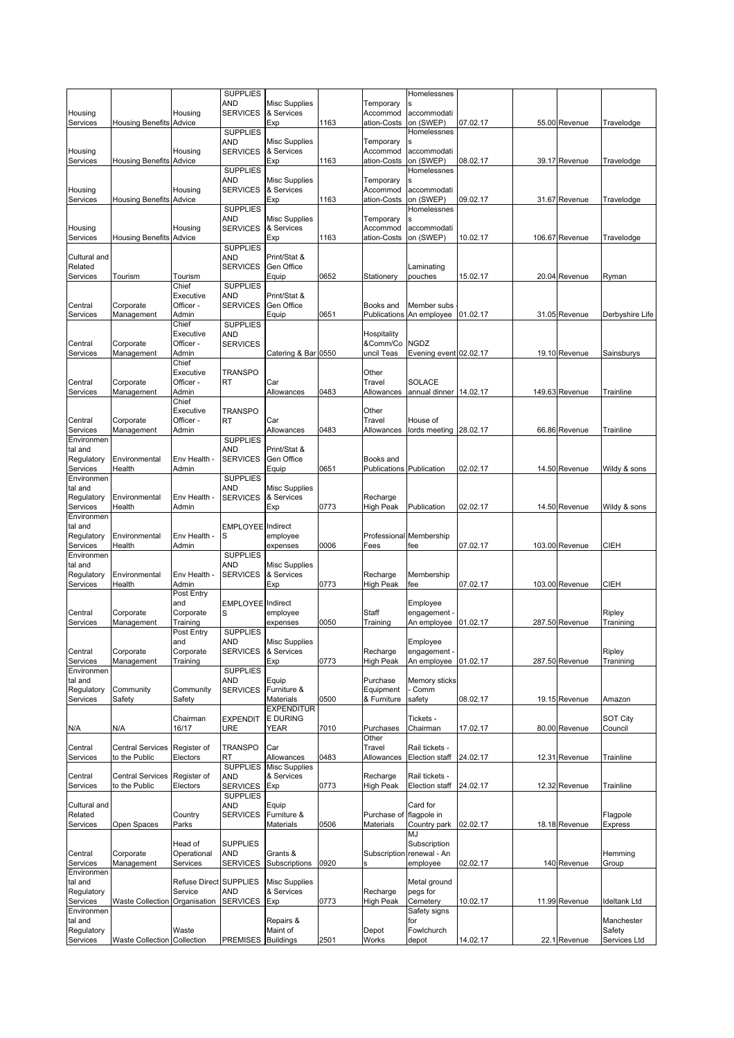|                        |                                    |                         | <b>SUPPLIES</b>               |                                    |      |                                 | Homelessnes                             |          |                |                     |
|------------------------|------------------------------------|-------------------------|-------------------------------|------------------------------------|------|---------------------------------|-----------------------------------------|----------|----------------|---------------------|
| Housing                |                                    | Housing                 | AND<br><b>SERVICES</b>        | <b>Misc Supplies</b><br>& Services |      | Temporary<br>Accommod           | accommodati                             |          |                |                     |
| Services               | <b>Housing Benefits Advice</b>     |                         |                               | Exp                                | 1163 | ation-Costs                     | on (SWEP)                               | 07.02.17 | 55.00 Revenue  | Travelodge          |
|                        |                                    |                         | <b>SUPPLIES</b><br>AND        | <b>Misc Supplies</b>               |      | Temporary                       | Homelessnes                             |          |                |                     |
| Housing                |                                    | Housing                 | <b>SERVICES</b>               | & Services                         |      | Accommod                        | accommodati                             |          |                |                     |
| Services               | <b>Housing Benefits Advice</b>     |                         |                               | Exp                                | 1163 | ation-Costs                     | on (SWEP)                               | 08.02.17 | 39.17 Revenue  | Travelodge          |
|                        |                                    |                         | <b>SUPPLIES</b><br><b>AND</b> | <b>Misc Supplies</b>               |      | Temporary                       | Homelessnes                             |          |                |                     |
| Housing                |                                    | Housing                 | <b>SERVICES</b>               | & Services                         |      | Accommod                        | accommodati                             |          |                |                     |
| Services               | <b>Housing Benefits Advice</b>     |                         |                               | Exp                                | 1163 | ation-Costs                     | on (SWEP)                               | 09.02.17 | 31.67 Revenue  | Travelodge          |
|                        |                                    |                         | <b>SUPPLIES</b><br><b>AND</b> | <b>Misc Supplies</b>               |      | Temporary                       | Homelessnes                             |          |                |                     |
| Housing                |                                    | Housing                 | <b>SERVICES</b>               | & Services                         |      | Accommod                        | accommodati                             |          |                |                     |
| Services               | <b>Housing Benefits Advice</b>     |                         | <b>SUPPLIES</b>               | Exp                                | 1163 | ation-Costs                     | on (SWEP)                               | 10.02.17 | 106.67 Revenue | Travelodge          |
| Cultural and           |                                    |                         | <b>AND</b>                    | Print/Stat &                       |      |                                 |                                         |          |                |                     |
| Related                |                                    |                         | <b>SERVICES</b>               | Gen Office                         |      |                                 | Laminating                              |          |                |                     |
| Services               | Tourism                            | Tourism<br>Chief        | <b>SUPPLIES</b>               | Equip                              | 0652 | Stationery                      | pouches                                 | 15.02.17 | 20.04 Revenue  | Ryman               |
|                        |                                    | Executive               | AND                           | Print/Stat &                       |      |                                 |                                         |          |                |                     |
| Central                | Corporate                          | Officer -               | <b>SERVICES</b>               | Gen Office                         |      | Books and                       | Member subs                             |          |                |                     |
| Services               | Management                         | Admin                   |                               | Equip                              | 0651 | Publications                    | An employee                             | 01.02.17 | 31.05 Revenue  | Derbyshire Life     |
|                        |                                    | Chief<br>Executive      | <b>SUPPLIES</b><br>AND        |                                    |      | Hospitality                     |                                         |          |                |                     |
| Central                | Corporate                          | Officer -               | <b>SERVICES</b>               |                                    |      | &Comm/Co                        | NGDZ                                    |          |                |                     |
| Services               | Management                         | Admin                   |                               | Catering & Bar 0550                |      | uncil Teas                      | Evening event 02.02.17                  |          | 19.10 Revenue  | Sainsburys          |
|                        |                                    | Chief<br>Executive      | <b>TRANSPO</b>                |                                    |      | Other                           |                                         |          |                |                     |
| Central                | Corporate                          | Officer -               | <b>RT</b>                     | Car                                |      | Travel                          | SOLACE                                  |          |                |                     |
| Services               | Management                         | Admin                   |                               | Allowances                         | 0483 | Allowances                      | annual dinner                           | 14.02.17 | 149.63 Revenue | Trainline           |
|                        |                                    | Chief<br>Executive      | <b>TRANSPO</b>                |                                    |      | Other                           |                                         |          |                |                     |
| Central                | Corporate                          | Officer -               | <b>RT</b>                     | Car                                |      | Travel                          | House of                                |          |                |                     |
| Services               | Management                         | Admin                   |                               | Allowances                         | 0483 | Allowances                      | lords meeting                           | 28.02.17 | 66.86 Revenue  | Trainline           |
| Environmen<br>tal and  |                                    |                         | <b>SUPPLIES</b><br><b>AND</b> | Print/Stat &                       |      |                                 |                                         |          |                |                     |
| Regulatory             | Environmental                      | Env Health -            | <b>SERVICES</b>               | Gen Office                         |      | Books and                       |                                         |          |                |                     |
| Services               | Health                             | Admin                   |                               | Equip                              | 0651 | <b>Publications Publication</b> |                                         | 02.02.17 | 14.50 Revenue  | Wildy & sons        |
| Environmen<br>tal and  |                                    |                         | <b>SUPPLIES</b><br><b>AND</b> | <b>Misc Supplies</b>               |      |                                 |                                         |          |                |                     |
| Regulatory             | Environmental                      | Env Health -            | <b>SERVICES</b>               | & Services                         |      | Recharge                        |                                         |          |                |                     |
| Services               | Health                             | Admin                   |                               | Exp                                | 0773 | High Peak                       | Publication                             | 02.02.17 | 14.50 Revenue  | Wildy & sons        |
| Environmen<br>tal and  |                                    |                         | <b>EMPLOYEE</b> Indirect      |                                    |      |                                 |                                         |          |                |                     |
| Regulatory             | Environmental                      | Env Health -            | S                             | employee                           |      |                                 | Professional Membership                 |          |                |                     |
| Services               | Health                             | Admin                   |                               | expenses                           | 0006 | Fees                            | fee                                     | 07.02.17 | 103.00 Revenue | CIEH                |
| Environmen<br>tal and  |                                    |                         | <b>SUPPLIES</b><br><b>AND</b> | <b>Misc Supplies</b>               |      |                                 |                                         |          |                |                     |
| Regulatory             | Environmental                      | Env Health -            | <b>SERVICES</b>               | & Services                         |      | Recharge                        | Membership                              |          |                |                     |
| Services               | Health                             | Admin                   |                               | Exp                                | 0773 | High Peak                       | fee                                     | 07.02.17 | 103.00 Revenue | CIEH                |
|                        |                                    | Post Entry<br>and       | <b>EMPLOYEE</b>               | Indirect                           |      |                                 | Employee                                |          |                |                     |
| Central                | Corporate                          | Corporate               | S                             | employee                           |      | Staff                           | engagement -                            |          |                | Ripley              |
| Services               | Management                         | Training<br>Post Entry  | <b>SUPPLIES</b>               | expenses                           | 0050 | Training                        | An employee                             | 01.02.17 | 287.50 Revenue | Tranining           |
|                        |                                    | and                     | AND                           | <b>Misc Supplies</b>               |      |                                 | Employee                                |          |                |                     |
| Central                | Corporate                          | Corporate               | <b>SERVICES</b>               | & Services                         |      | Recharge                        | engagement -                            |          |                | Ripley              |
| Services               | Management                         | Training                | <b>SUPPLIES</b>               | Exp                                | 0773 | <b>High Peak</b>                | An employee                             | 01.02.17 | 287.50 Revenue | Tranining           |
| Environmen<br>tal and  |                                    |                         | AND                           | Equip                              |      | Purchase                        | Memory sticks                           |          |                |                     |
| Regulatory             | Community                          | Community               | <b>SERVICES</b>               | Furniture &                        |      | Equipment                       | Comm                                    |          |                |                     |
| Services               | Safety                             | Safety                  |                               | Materials<br><b>EXPENDITUR</b>     | 0500 | & Furniture                     | safety                                  | 08.02.17 | 19.15 Revenue  | Amazon              |
|                        |                                    | Chairman                | <b>EXPENDIT</b>               | <b>E DURING</b>                    |      |                                 | Tickets -                               |          |                | <b>SOT City</b>     |
| N/A                    | N/A                                | 16/17                   | <b>URE</b>                    | YEAR                               | 7010 | Purchases                       | Chairman                                | 17.02.17 | 80.00 Revenue  | Council             |
| Central                | <b>Central Services</b>            | Register of             | <b>TRANSPO</b>                | Car                                |      | Other<br>Travel                 | Rail tickets -                          |          |                |                     |
| Services               | to the Public                      | Electors                | RT                            | Allowances                         | 0483 | Allowances                      | Election staff                          | 24.02.17 | 12.31 Revenue  | Trainline           |
|                        |                                    |                         | <b>SUPPLIES</b>               | <b>Misc Supplies</b>               |      |                                 |                                         |          |                |                     |
| Central<br>Services    | Central Services<br>to the Public  | Register of<br>Electors | <b>AND</b><br><b>SERVICES</b> | & Services<br>Exp                  | 0773 | Recharge<br><b>High Peak</b>    | Rail tickets -<br><b>Election staff</b> | 24.02.17 | 12.32 Revenue  | Trainline           |
|                        |                                    |                         | <b>SUPPLIES</b>               |                                    |      |                                 |                                         |          |                |                     |
| Cultural and           |                                    |                         | <b>AND</b>                    | Equip                              |      |                                 | Card for                                |          |                |                     |
| Related<br>Services    | Open Spaces                        | Country<br>Parks        | <b>SERVICES</b>               | Furniture &<br>Materials           | 0506 | Purchase of<br>Materials        | flagpole in<br>Country park             | 02.02.17 | 18.18 Revenue  | Flagpole<br>Express |
|                        |                                    |                         |                               |                                    |      |                                 | MJ                                      |          |                |                     |
|                        |                                    | Head of                 | <b>SUPPLIES</b>               |                                    |      |                                 | Subscription                            |          |                |                     |
| Central<br>Services    | Corporate<br>Management            | Operational<br>Services | <b>AND</b><br><b>SERVICES</b> | Grants &<br>Subscriptions          | 0920 | Subscription                    | renewal - An<br>employee                | 02.02.17 | 140 Revenue    | Hemming<br>Group    |
| Environmen             |                                    |                         |                               |                                    |      |                                 |                                         |          |                |                     |
| tal and                |                                    | Refuse Direct SUPPLIES  |                               | <b>Misc Supplies</b>               |      |                                 | Metal ground                            |          |                |                     |
| Regulatory<br>Services | <b>Waste Collection</b>            | Service<br>Organisation | <b>AND</b><br><b>SERVICES</b> | & Services<br>Exp                  | 0773 | Recharge<br><b>High Peak</b>    | pegs for<br>Cemetery                    | 10.02.17 | 11.99 Revenue  | <b>Ideltank Ltd</b> |
| Environmen             |                                    |                         |                               |                                    |      |                                 | Safety signs                            |          |                |                     |
| tal and                |                                    |                         |                               | Repairs &                          |      |                                 | for                                     |          |                | Manchester          |
| Regulatory             |                                    | Waste                   |                               | Maint of                           |      | Depot                           | Fowlchurch                              | 14.02.17 | 22.1 Revenue   | Safety              |
| Services               | <b>Waste Collection Collection</b> |                         | <b>PREMISES</b>               | <b>Buildings</b>                   | 2501 | Works                           | depot                                   |          |                | Services Ltd        |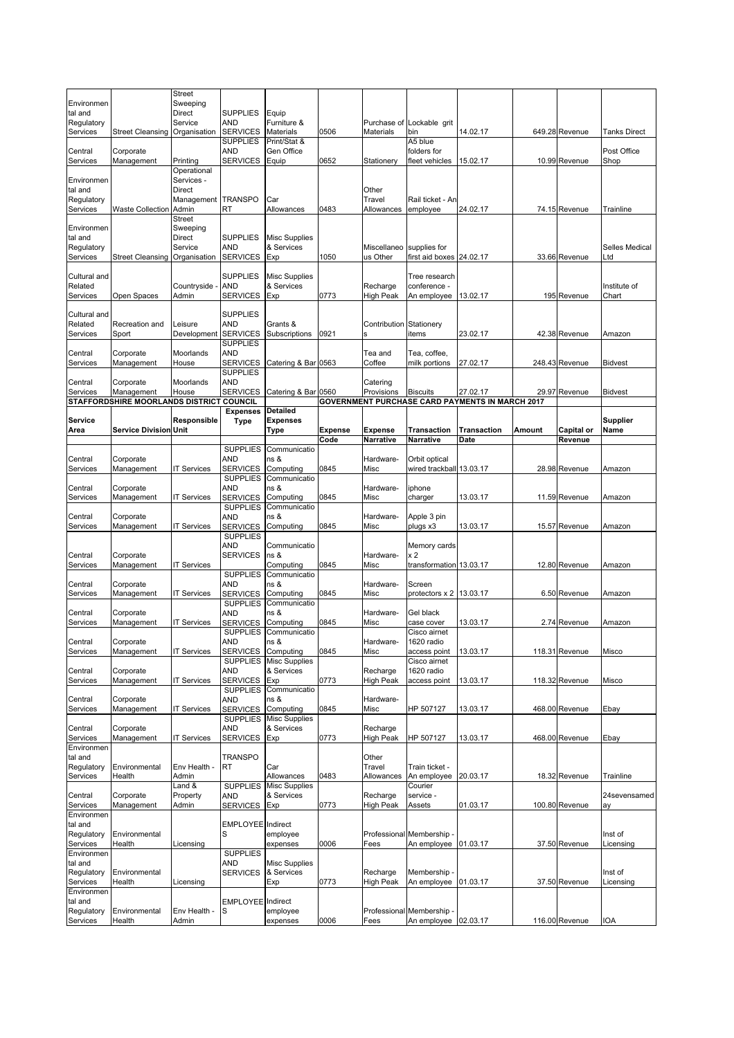|                        |                                          | <b>Street</b>             |                                    |                                    |                |                   |                                  |                                                        |        |                |                     |
|------------------------|------------------------------------------|---------------------------|------------------------------------|------------------------------------|----------------|-------------------|----------------------------------|--------------------------------------------------------|--------|----------------|---------------------|
| Environmen             |                                          | Sweeping                  |                                    |                                    |                |                   |                                  |                                                        |        |                |                     |
| tal and<br>Regulatory  |                                          | <b>Direct</b><br>Service  | <b>SUPPLIES</b><br>AND             | Equip<br>Furniture &               |                |                   | Purchase of Lockable grit        |                                                        |        |                |                     |
| Services               | <b>Street Cleansing</b>                  | Organisation              | <b>SERVICES</b>                    | Materials                          | 0506           | Materials         | bin                              | 14.02.17                                               |        | 649.28 Revenue | <b>Tanks Direct</b> |
|                        |                                          |                           | <b>SUPPLIES</b>                    | Print/Stat &                       |                |                   | A5 blue                          |                                                        |        |                |                     |
| Central                | Corporate                                |                           | AND                                | Gen Office                         |                |                   | folders for                      |                                                        |        |                | Post Office         |
| Services               | Management                               | Printing                  | <b>SERVICES</b>                    | Equip                              | 0652           | Stationery        | fleet vehicles                   | 15.02.17                                               |        | 10.99 Revenue  | Shop                |
| Environmen             |                                          | Operational<br>Services - |                                    |                                    |                |                   |                                  |                                                        |        |                |                     |
| tal and                |                                          | <b>Direct</b>             |                                    |                                    |                | Other             |                                  |                                                        |        |                |                     |
| Regulatory             |                                          | Management                | <b>TRANSPO</b>                     | Car                                |                | Travel            | Rail ticket - An                 |                                                        |        |                |                     |
| Services               | <b>Waste Collection</b>                  | Admin                     | RT                                 | Allowances                         | 0483           | Allowances        | employee                         | 24.02.17                                               |        | 74.15 Revenue  | Trainline           |
|                        |                                          | <b>Street</b>             |                                    |                                    |                |                   |                                  |                                                        |        |                |                     |
| Environmen<br>tal and  |                                          | Sweeping<br><b>Direct</b> | <b>SUPPLIES</b>                    | <b>Misc Supplies</b>               |                |                   |                                  |                                                        |        |                |                     |
| Regulatory             |                                          | Service                   | AND                                | & Services                         |                | Miscellaneo       | supplies for                     |                                                        |        |                | Selles Medical      |
| Services               | <b>Street Cleansing</b>                  | Organisation              | <b>SERVICES</b>                    | Exp                                | 1050           | us Other          | first aid boxes 24.02.17         |                                                        |        | 33.66 Revenue  | Ltd                 |
|                        |                                          |                           |                                    |                                    |                |                   |                                  |                                                        |        |                |                     |
| Cultural and           |                                          |                           | <b>SUPPLIES</b>                    | Misc Supplies                      |                |                   | Tree research                    |                                                        |        |                |                     |
| Related                |                                          | Countryside               | <b>AND</b><br><b>SERVICES</b>      | & Services                         |                | Recharge          | conference -                     |                                                        |        |                | Institute of        |
| Services               | Open Spaces                              | Admin                     |                                    | Exp                                | 0773           | <b>High Peak</b>  | An employee                      | 13.02.17                                               |        | 195 Revenue    | Chart               |
| Cultural and           |                                          |                           | <b>SUPPLIES</b>                    |                                    |                |                   |                                  |                                                        |        |                |                     |
| Related                | Recreation and                           | Leisure                   | <b>AND</b>                         | Grants &                           |                | Contribution      | Stationery                       |                                                        |        |                |                     |
| Services               | Sport                                    | Development               | <b>SERVICES</b>                    | Subscriptions                      | 0921           | s                 | items                            | 23.02.17                                               |        | 42.38 Revenue  | Amazon              |
|                        |                                          |                           | <b>SUPPLIES</b><br><b>AND</b>      |                                    |                |                   |                                  |                                                        |        |                |                     |
| Central<br>Services    | Corporate<br>Management                  | Moorlands<br>House        | <b>SERVICES</b>                    | Catering & Bar 0563                |                | Tea and<br>Coffee | Tea, coffee,<br>milk portions    | 27.02.17                                               |        | 248.43 Revenue | Bidvest             |
|                        |                                          |                           | <b>SUPPLIES</b>                    |                                    |                |                   |                                  |                                                        |        |                |                     |
| Central                | Corporate                                | Moorlands                 | <b>AND</b>                         |                                    |                | Catering          |                                  |                                                        |        |                |                     |
| Services               | Management                               | House                     | <b>SERVICES</b>                    | Catering & Bar 0560                |                | Provisions        | <b>Biscuits</b>                  | 27.02.17                                               |        | 29.97 Revenue  | Bidvest             |
|                        | STAFFORDSHIRE MOORLANDS DISTRICT COUNCIL |                           |                                    | Detailed                           |                |                   |                                  | <b>GOVERNMENT PURCHASE CARD PAYMENTS IN MARCH 2017</b> |        |                |                     |
| Service                |                                          | Responsible               | <b>Expenses</b><br>Type            | <b>Expenses</b>                    |                |                   |                                  |                                                        |        |                | <b>Supplier</b>     |
| Area                   | <b>Service Division Unit</b>             |                           |                                    | Type                               | <b>Expense</b> | <b>Expense</b>    | <b>Transaction</b>               | <b>Transaction</b>                                     | Amount | Capital or     | Name                |
|                        |                                          |                           |                                    |                                    | Code           | Narrative         | Narrative                        | Date                                                   |        | Revenue        |                     |
|                        |                                          |                           | <b>SUPPLIES</b>                    | Communicatio                       |                |                   |                                  |                                                        |        |                |                     |
| Central                | Corporate                                |                           | AND                                | ns &                               |                | Hardware-         | Orbit optical                    |                                                        |        |                |                     |
| Services               | Management                               | <b>IT Services</b>        | <b>SERVICES</b><br><b>SUPPLIES</b> | Computing<br>Communicatio          | 0845           | Misc              | wired trackball 13.03.17         |                                                        |        | 28.98 Revenue  | Amazon              |
| Central                | Corporate                                |                           | AND                                | ns &                               |                | Hardware-         | iphone                           |                                                        |        |                |                     |
| Services               | Management                               | <b>IT Services</b>        | <b>SERVICES</b>                    | Computing                          | 0845           | Misc              | charger                          | 13.03.17                                               |        | 11.59 Revenue  | Amazon              |
|                        |                                          |                           | <b>SUPPLIES</b>                    | Communicatio                       |                |                   |                                  |                                                        |        |                |                     |
| Central                | Corporate                                |                           | <b>AND</b>                         | ns &                               |                | Hardware-         | Apple 3 pin                      |                                                        |        |                |                     |
| Services               | Management                               | <b>IT Services</b>        | <b>SERVICES</b><br><b>SUPPLIES</b> | Computing                          | 0845           | Misc              | plugs x3                         | 13.03.17                                               |        | 15.57 Revenue  | Amazon              |
|                        |                                          |                           | AND                                | Communicatio                       |                |                   | Memory cards                     |                                                        |        |                |                     |
| Central                | Corporate                                |                           | <b>SERVICES</b>                    | ns &                               |                | Hardware-         | x 2                              |                                                        |        |                |                     |
| Services               | Management                               | <b>IT Services</b>        |                                    | Computing                          | 0845           | Misc              | transformation 13.03.17          |                                                        |        | 12.80 Revenue  | Amazon              |
|                        |                                          |                           | <b>SUPPLIES</b>                    | Communicatio                       |                |                   |                                  |                                                        |        |                |                     |
| Central                | Corporate                                |                           | AND                                | ns &                               |                | Hardware-         | Screen                           |                                                        |        |                |                     |
| Services               | Management                               | <b>IT Services</b>        | <b>SERVICES</b><br><b>SUPPLIES</b> | Computing<br>Communicatio          | 0845           | Misc              | protectors $\times$ 2   13.03.17 |                                                        |        | 6.50 Revenue   | Amazon              |
| Central                | Corporate                                |                           | AND                                | ns &                               |                | Hardware-         | Gel black                        |                                                        |        |                |                     |
| Services               | Management                               | <b>IT Services</b>        | <b>SERVICES</b>                    | Computing                          | 0845           | Misc              | case cover                       | 13.03.17                                               |        | 2.74 Revenue   | Amazon              |
|                        |                                          |                           | <b>SUPPLIES</b>                    | Communicatio                       |                |                   | Cisco airnet                     |                                                        |        |                |                     |
| Central                | Corporate                                |                           | AND                                | ns &                               |                | Hardware-         | 1620 radio                       |                                                        |        |                |                     |
| Services               | Management                               | <b>IT Services</b>        | <b>SERVICES</b><br><b>SUPPLIES</b> | Computing<br><b>Misc Supplies</b>  | 0845           | Misc              | access point<br>Cisco airnet     | 13.03.17                                               |        | 118.31 Revenue | Misco               |
| Central                | Corporate                                |                           | <b>AND</b>                         | & Services                         |                | Recharge          | 1620 radio                       |                                                        |        |                |                     |
| Services               | Management                               | <b>IT Services</b>        | <b>SERVICES</b>                    | Exp                                | 0773           | <b>High Peak</b>  | access point                     | 13.03.17                                               |        | 118.32 Revenue | Misco               |
|                        |                                          |                           | <b>SUPPLIES</b>                    | Communicatio                       |                |                   |                                  |                                                        |        |                |                     |
| Central                | Corporate                                |                           | AND                                | ns &<br>Computing                  | 0845           | Hardware-<br>Misc | HP 507127                        | 13.03.17                                               |        | 468.00 Revenue |                     |
| Services               |                                          |                           |                                    |                                    |                |                   |                                  |                                                        |        |                | Ebay                |
| Central                | Management                               | <b>IT Services</b>        | <b>SERVICES</b>                    |                                    |                |                   |                                  |                                                        |        |                |                     |
|                        | Corporate                                |                           | <b>SUPPLIES</b><br><b>AND</b>      | <b>Misc Supplies</b><br>& Services |                | Recharge          |                                  |                                                        |        |                |                     |
| Services               | Management                               | <b>IT Services</b>        | <b>SERVICES</b>                    | Exp                                | 0773           | <b>High Peak</b>  | HP 507127                        | 13.03.17                                               |        | 468.00 Revenue | Ebay                |
| Environmen             |                                          |                           |                                    |                                    |                |                   |                                  |                                                        |        |                |                     |
| tal and                |                                          |                           | <b>TRANSPO</b>                     |                                    |                | Other             |                                  |                                                        |        |                |                     |
| Regulatory             | Environmental                            | Env Health -              | RT                                 | Car                                |                | Travel            | Train ticket -                   |                                                        |        |                |                     |
| Services               | Health                                   | Admin                     |                                    | Allowances                         | 0483           | Allowances        | An employee                      | 20.03.17                                               |        | 18.32 Revenue  | Trainline           |
| Central                | Corporate                                | Land &<br>Property        | <b>SUPPLIES</b><br><b>AND</b>      | <b>Misc Supplies</b><br>& Services |                | Recharge          | Courier<br>service -             |                                                        |        |                | 24sevensamed        |
| Services               | Management                               | Admin                     | <b>SERVICES</b>                    | Exp                                | 0773           | <b>High Peak</b>  | Assets                           | 01.03.17                                               |        | 100.80 Revenue | ay                  |
| Environmen             |                                          |                           |                                    |                                    |                |                   |                                  |                                                        |        |                |                     |
| tal and                |                                          |                           | <b>EMPLOYEE</b>                    | Indirect                           |                |                   |                                  |                                                        |        |                |                     |
| Regulatory             | Environmental                            |                           | S                                  | employee                           |                | Professional      | Membership                       |                                                        |        |                | Inst of             |
| Services<br>Environmen | Health                                   | Licensing                 |                                    | expenses                           | 0006           | Fees              | An employee                      | 01.03.17                                               |        | 37.50 Revenue  | Licensing           |
| tal and                |                                          |                           | <b>SUPPLIES</b><br><b>AND</b>      | <b>Misc Supplies</b>               |                |                   |                                  |                                                        |        |                |                     |
| Regulatory             | Environmental                            |                           | <b>SERVICES</b>                    | & Services                         |                | Recharge          | Membership                       |                                                        |        |                | Inst of             |
| Services               | Health                                   | Licensing                 |                                    | Exp                                | 0773           | <b>High Peak</b>  | An employee                      | 01.03.17                                               |        | 37.50 Revenue  | Licensing           |
| Environmen             |                                          |                           |                                    |                                    |                |                   |                                  |                                                        |        |                |                     |
| tal and<br>Regulatory  | Environmental                            | Env Health -              | <b>EMPLOYEE</b> Indirect<br>S      | employee                           |                |                   | Professional Membership          |                                                        |        |                |                     |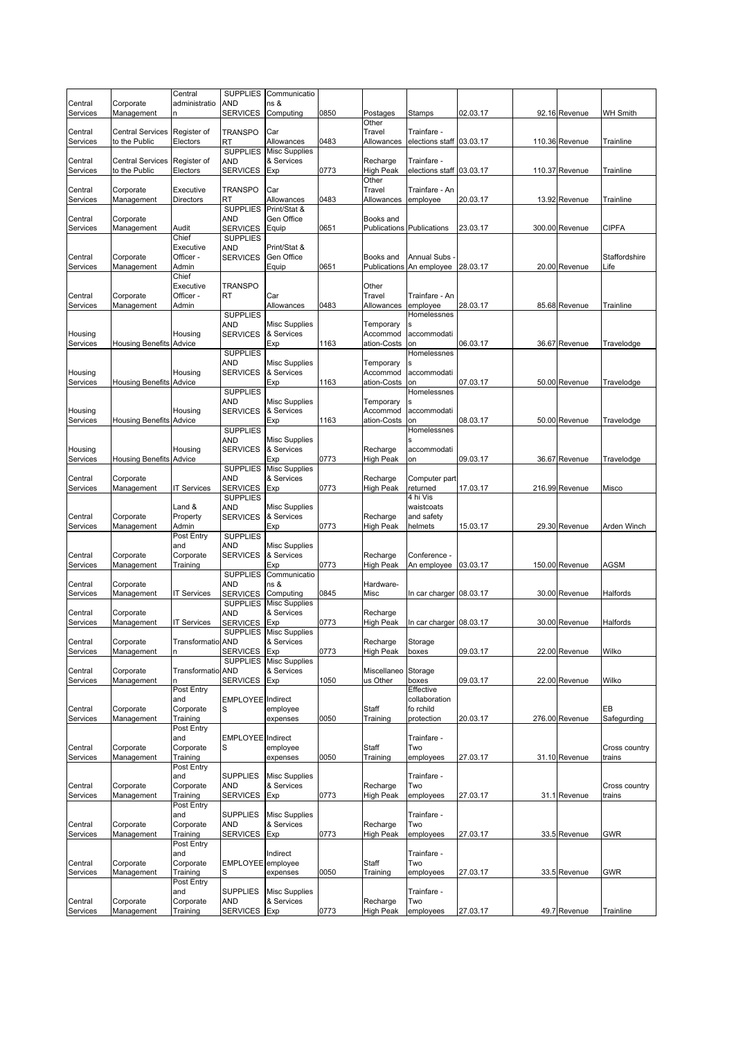|                     |                                | Central                | <b>SUPPLIES</b>                    | Communicatio                       |      |                              |                                  |          |                |                 |
|---------------------|--------------------------------|------------------------|------------------------------------|------------------------------------|------|------------------------------|----------------------------------|----------|----------------|-----------------|
| Central             | Corporate                      | administratio          | <b>AND</b>                         | ns &                               |      |                              |                                  |          |                |                 |
| Services            | Management                     | n                      | <b>SERVICES</b>                    | Computing                          | 0850 | Postages                     | Stamps                           | 02.03.17 | 92.16 Revenue  | <b>WH Smith</b> |
| Central             | Central Services               | Register of            | <b>TRANSPO</b>                     | Car                                |      | Other<br>Travel              | Trainfare -                      |          |                |                 |
| Services            | to the Public                  | Electors               | RT                                 | Allowances                         | 0483 | Allowances                   | elections staff 03.03.17         |          | 110.36 Revenue | Trainline       |
|                     |                                |                        | <b>SUPPLIES</b>                    | <b>Misc Supplies</b>               |      |                              |                                  |          |                |                 |
| Central             | Central Services               | Register of            | AND                                | & Services                         |      | Recharge                     | Trainfare -                      |          |                |                 |
| Services            | to the Public                  | Electors               | <b>SERVICES</b>                    | Exp                                | 0773 | <b>High Peak</b>             | elections staff 03.03.17         |          | 110.37 Revenue | Trainline       |
|                     |                                |                        |                                    |                                    |      | Other                        |                                  |          |                |                 |
| Central             | Corporate                      | Executive              | <b>TRANSPO</b><br>RT               | Car<br>Allowances                  |      | Travel                       | Trainfare - An                   |          |                |                 |
| Services            | Management                     | Directors              | <b>SUPPLIES</b>                    | Print/Stat &                       | 0483 | Allowances                   | employee                         | 20.03.17 | 13.92 Revenue  | Trainline       |
| Central             | Corporate                      |                        | AND                                | Gen Office                         |      | Books and                    |                                  |          |                |                 |
| Services            | Management                     | Audit                  | <b>SERVICES</b>                    | Equip                              | 0651 |                              | <b>Publications Publications</b> | 23.03.17 | 300.00 Revenue | <b>CIPFA</b>    |
|                     |                                | Chief                  | <b>SUPPLIES</b>                    |                                    |      |                              |                                  |          |                |                 |
|                     |                                | Executive              | <b>AND</b>                         | Print/Stat &                       |      |                              |                                  |          |                |                 |
| Central             | Corporate                      | Officer -              | <b>SERVICES</b>                    | Gen Office                         |      | Books and                    | <b>Annual Subs</b>               |          |                | Staffordshire   |
| Services            | Management                     | Admin<br>Chief         |                                    | Equip                              | 0651 | Publications                 | An employee                      | 28.03.17 | 20.00 Revenue  | Life            |
|                     |                                | Executive              | <b>TRANSPO</b>                     |                                    |      | Other                        |                                  |          |                |                 |
| Central             | Corporate                      | Officer -              | RT                                 | Car                                |      | Travel                       | Trainfare - An                   |          |                |                 |
| Services            | Management                     | Admin                  |                                    | Allowances                         | 0483 | Allowances                   | employee                         | 28.03.17 | 85.68 Revenue  | Trainline       |
|                     |                                |                        | <b>SUPPLIES</b>                    |                                    |      |                              | Homelessnes                      |          |                |                 |
|                     |                                |                        | AND                                | <b>Misc Supplies</b>               |      | Temporary                    |                                  |          |                |                 |
| Housing             |                                | Housing                | <b>SERVICES</b>                    | & Services                         | 1163 | Accommod<br>ation-Costs      | accommodati<br>on                | 06.03.17 |                |                 |
| Services            | <b>Housing Benefits Advice</b> |                        | <b>SUPPLIES</b>                    | Exp                                |      |                              | Homelessnes                      |          | 36.67 Revenue  | Travelodge      |
|                     |                                |                        | AND                                | <b>Misc Supplies</b>               |      | Temporary                    |                                  |          |                |                 |
| Housing             |                                | Housing                | <b>SERVICES</b>                    | & Services                         |      | Accommod                     | accommodati                      |          |                |                 |
| Services            | <b>Housing Benefits Advice</b> |                        |                                    | Exp                                | 1163 | ation-Costs                  | on                               | 07.03.17 | 50.00 Revenue  | Travelodge      |
|                     |                                |                        | <b>SUPPLIES</b>                    |                                    |      |                              | Homelessnes                      |          |                |                 |
|                     |                                |                        | <b>AND</b>                         | <b>Misc Supplies</b><br>& Services |      | Temporary                    |                                  |          |                |                 |
| Housing<br>Services | <b>Housing Benefits Advice</b> | Housing                | <b>SERVICES</b>                    | Exp                                | 1163 | Accommod<br>ation-Costs      | accommodati<br>on                | 08.03.17 | 50.00 Revenue  | Travelodge      |
|                     |                                |                        | <b>SUPPLIES</b>                    |                                    |      |                              | Homelessnes                      |          |                |                 |
|                     |                                |                        | <b>AND</b>                         | <b>Misc Supplies</b>               |      |                              |                                  |          |                |                 |
| Housing             |                                | Housing                | <b>SERVICES</b>                    | & Services                         |      | Recharge                     | accommodati                      |          |                |                 |
| Services            | <b>Housing Benefits Advice</b> |                        |                                    | Exp                                | 0773 | <b>High Peak</b>             | on                               | 09.03.17 | 36.67 Revenue  | Travelodge      |
|                     |                                |                        | <b>SUPPLIES</b>                    | <b>Misc Supplies</b>               |      |                              |                                  |          |                |                 |
| Central             | Corporate                      |                        | <b>AND</b>                         | & Services                         |      | Recharge                     | Computer part                    |          |                |                 |
| Services            | Management                     | <b>T Services</b>      | <b>SERVICES</b><br><b>SUPPLIES</b> | Exp                                | 0773 | High Peak                    | returned<br>4 hi Vis             | 17.03.17 | 216.99 Revenue | Misco           |
|                     |                                | Land &                 | <b>AND</b>                         | <b>Misc Supplies</b>               |      |                              | waistcoats                       |          |                |                 |
| Central             | Corporate                      | Property               | <b>SERVICES</b>                    | & Services                         |      | Recharge                     | and safety                       |          |                |                 |
| Services            | Management                     | Admin                  |                                    | Exp                                | 0773 | High Peak                    | helmets                          | 15.03.17 | 29.30 Revenue  | Arden Winch     |
|                     |                                | Post Entry             | <b>SUPPLIES</b>                    |                                    |      |                              |                                  |          |                |                 |
|                     |                                | and                    | AND                                | <b>Misc Supplies</b>               |      |                              |                                  |          |                |                 |
| Central             | Corporate<br>Management        | Corporate              | <b>SERVICES</b>                    | & Services<br>Exp                  | 0773 | Recharge<br>High Peak        | Conference -                     | 03.03.17 | 150.00 Revenue | <b>AGSM</b>     |
| Services            |                                | Training               | <b>SUPPLIES</b>                    | Communicatio                       |      |                              | An employee                      |          |                |                 |
| Central             | Corporate                      |                        | <b>AND</b>                         | ns &                               |      | Hardware-                    |                                  |          |                |                 |
| Services            | Management                     | <b>IT Services</b>     | <b>SERVICES</b>                    | Computing                          | 0845 | Misc                         | In car charger 08.03.17          |          | 30.00 Revenue  | Halfords        |
|                     |                                |                        | <b>SUPPLIES</b>                    | <b>Misc Supplies</b>               |      |                              |                                  |          |                |                 |
| Central             | Corporate                      |                        | <b>AND</b>                         | & Services                         |      | Recharge                     |                                  |          |                |                 |
| Services            | Management                     | <b>T Services</b>      | <b>SERVICES</b><br><b>SUPPLIES</b> | Exp<br><b>Misc Supplies</b>        | 0773 | High Peak                    | In car charger 08.03.17          |          | 30.00 Revenue  | Halfords        |
| Central             | ⊖orporate                      | I ransformatio AND     |                                    | & Services                         |      | Recnarge                     | Storage                          |          |                |                 |
| Services            | Management                     | n                      | <b>SERVICES</b>                    | Exp                                | 0773 | <b>High Peak</b>             | boxes                            | 09.03.17 | 22.00 Revenue  | Wilko           |
|                     |                                |                        | <b>SUPPLIES</b>                    | <b>Misc Supplies</b>               |      |                              |                                  |          |                |                 |
| Central             | Corporate                      | Transformatio AND      |                                    | & Services                         |      | Miscellaneo                  | Storage                          |          |                |                 |
| Services            | Management                     |                        | <b>SERVICES</b>                    | Exp                                | 1050 | us Other                     | boxes                            | 09.03.17 | 22.00 Revenue  | Wilko           |
|                     |                                | Post Entry<br>and      | EMPLOYEE Indirect                  |                                    |      |                              | Effective<br>collaboration       |          |                |                 |
| Central             | Corporate                      | Corporate              | S                                  | employee                           |      | Staff                        | fo rchild                        |          |                | EВ              |
| Services            | Management                     | Training               |                                    | expenses                           | 0050 | Training                     | protection                       | 20.03.17 | 276.00 Revenue | Safegurding     |
|                     |                                | Post Entry             |                                    |                                    |      |                              |                                  |          |                |                 |
|                     |                                | and                    | <b>EMPLOYEE</b> Indirect           |                                    |      |                              | Trainfare -                      |          |                |                 |
| Central             | Corporate                      | Corporate<br>Training  | S                                  | employee                           |      | Staff                        | Two                              | 27.03.17 | 31.10 Revenue  | Cross country   |
| Services            | Management                     | Post Entry             |                                    | expenses                           | 0050 | Training                     | employees                        |          |                | trains          |
|                     |                                | and                    | <b>SUPPLIES</b>                    | <b>Misc Supplies</b>               |      |                              | Trainfare -                      |          |                |                 |
| Central             | Corporate                      | Corporate              | <b>AND</b>                         | & Services                         |      | Recharge                     | Two                              |          |                | Cross country   |
| Services            | Management                     | Training               | <b>SERVICES</b>                    | Exp                                | 0773 | <b>High Peak</b>             | employees                        | 27.03.17 | 31.1 Revenue   | trains          |
|                     |                                | Post Entry             |                                    |                                    |      |                              |                                  |          |                |                 |
|                     |                                | and                    | <b>SUPPLIES</b>                    | <b>Misc Supplies</b>               |      |                              | Trainfare -                      |          |                |                 |
| Central             | Corporate                      | Corporate              | <b>AND</b>                         | & Services                         |      | Recharge                     | Two                              |          |                |                 |
| Services            | Management                     | Training<br>Post Entry | <b>SERVICES</b>                    | Exp                                | 0773 | <b>High Peak</b>             | employees                        | 27.03.17 | 33.5 Revenue   | GWR             |
|                     |                                | and                    |                                    | Indirect                           |      |                              | Trainfare -                      |          |                |                 |
| Central             | Corporate                      | Corporate              | <b>EMPLOYEE</b>                    | employee                           |      | Staff                        | Two                              |          |                |                 |
| Services            | Management                     | Training               | S                                  | expenses                           | 0050 | Training                     | employees                        | 27.03.17 | 33.5 Revenue   | <b>GWR</b>      |
|                     |                                | Post Entry             |                                    |                                    |      |                              |                                  |          |                |                 |
|                     |                                | and                    | <b>SUPPLIES</b>                    | <b>Misc Supplies</b>               |      |                              | Trainfare -<br>Two               |          |                |                 |
| Central<br>Services | Corporate<br>Management        | Corporate<br>Training  | AND<br><b>SERVICES</b>             | & Services<br>Exp                  | 0773 | Recharge<br><b>High Peak</b> | employees                        | 27.03.17 | 49.7 Revenue   | Trainline       |
|                     |                                |                        |                                    |                                    |      |                              |                                  |          |                |                 |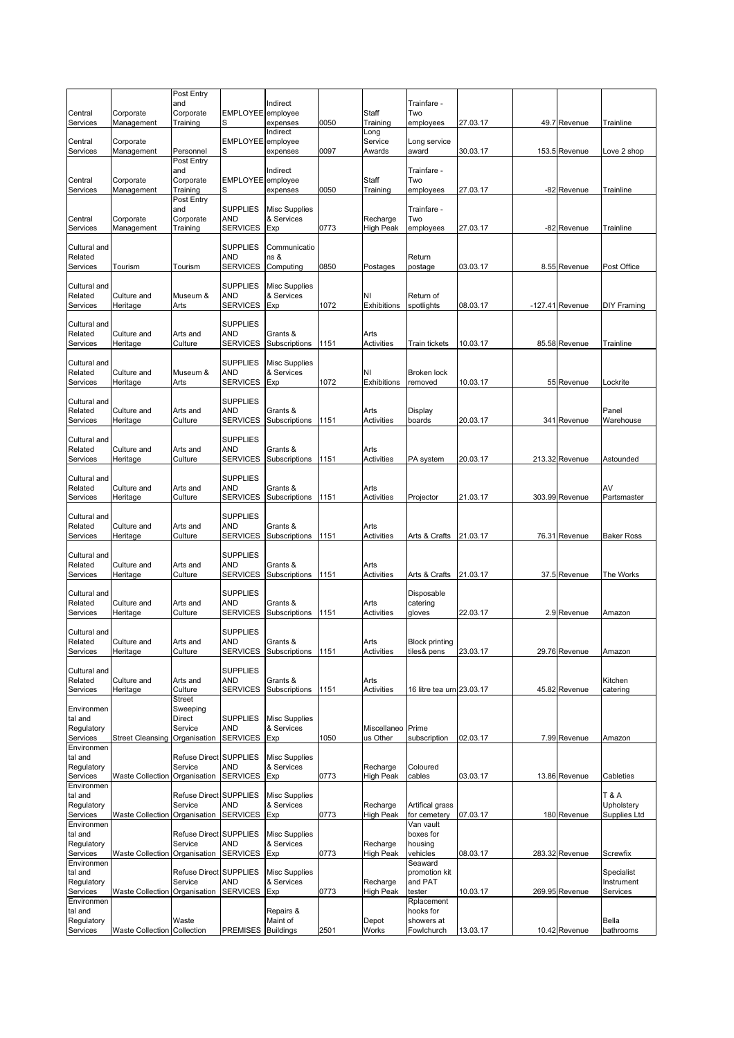|                         |                               | Post Entry<br>and                 |                               | Indirect                           |      |                           | Trainfare -               |          |                   |                              |
|-------------------------|-------------------------------|-----------------------------------|-------------------------------|------------------------------------|------|---------------------------|---------------------------|----------|-------------------|------------------------------|
| Central<br>Services     | Corporate<br>Management       | Corporate<br>Training             | <b>EMPLOYEE</b><br>S          | employee<br>expenses               | 0050 | Staff                     | Two                       | 27.03.17 | 49.7 Revenue      | Trainline                    |
|                         |                               |                                   |                               | Indirect                           |      | Training<br>Long          | employees                 |          |                   |                              |
| Central<br>Services     | Corporate<br>Management       | Personnel                         | <b>EMPLOYEE</b><br>S          | employee<br>expenses               | 0097 | Service<br>Awards         | Long service<br>award     | 30.03.17 | 153.5 Revenue     | Love 2 shop                  |
|                         |                               | Post Entry                        |                               |                                    |      |                           |                           |          |                   |                              |
| Central                 | Corporate                     | and<br>Corporate                  | <b>EMPLOYEE</b>               | Indirect<br>employee               |      | Staff                     | Trainfare -<br>Two        |          |                   |                              |
| Services                | Management                    | Training                          | S                             | expenses                           | 0050 | Training                  | employees                 | 27.03.17 | -82 Revenue       | Trainline                    |
|                         |                               | Post Entry<br>and                 | <b>SUPPLIES</b>               | <b>Misc Supplies</b>               |      |                           | Trainfare -               |          |                   |                              |
| Central<br>Services     | Corporate<br>Management       | Corporate<br>Training             | AND<br><b>SERVICES</b>        | & Services<br>Exp                  | 0773 | Recharge<br>High Peak     | Two                       | 27.03.17 | -82 Revenue       | Trainline                    |
|                         |                               |                                   |                               |                                    |      |                           | employees                 |          |                   |                              |
| Cultural and<br>Related |                               |                                   | <b>SUPPLIES</b><br><b>AND</b> | Communicatio<br>ns &               |      |                           | Return                    |          |                   |                              |
| Services                | Tourism                       | Tourism                           | <b>SERVICES</b>               | Computing                          | 0850 | Postages                  | postage                   | 03.03.17 | 8.55 Revenue      | Post Office                  |
| Cultural and            |                               |                                   | <b>SUPPLIES</b>               | <b>Misc Supplies</b>               |      |                           |                           |          |                   |                              |
| Related                 | Culture and                   | Museum &                          | <b>AND</b>                    | & Services                         |      | NI                        | Return of                 |          |                   |                              |
| Services                | Heritage                      | Arts                              | <b>SERVICES</b>               | Exp                                | 1072 | Exhibitions               | spotlights                | 08.03.17 | $-127.41$ Revenue | <b>DIY Framing</b>           |
| Cultural and            |                               |                                   | <b>SUPPLIES</b>               |                                    |      |                           |                           |          |                   |                              |
| Related<br>Services     | Culture and<br>Heritage       | Arts and<br>Culture               | AND<br><b>SERVICES</b>        | Grants &<br>Subscriptions          | 1151 | Arts<br><b>Activities</b> | Train tickets             | 10.03.17 | 85.58 Revenue     | Trainline                    |
|                         |                               |                                   | <b>SUPPLIES</b>               |                                    |      |                           |                           |          |                   |                              |
| Cultural and<br>Related | Culture and                   | Museum &                          | <b>AND</b>                    | <b>Misc Supplies</b><br>& Services |      | NI                        | <b>Broken lock</b>        |          |                   |                              |
| Services                | Heritage                      | Arts                              | <b>SERVICES</b>               | Exp                                | 1072 | Exhibitions               | removed                   | 10.03.17 | 55 Revenue        | Lockrite                     |
| Cultural and            |                               |                                   | <b>SUPPLIES</b>               |                                    |      |                           |                           |          |                   |                              |
| Related<br>Services     | Culture and<br>Heritage       | Arts and<br>Culture               | AND<br><b>SERVICES</b>        | Grants &<br>Subscriptions          | 1151 | Arts<br><b>Activities</b> | Display<br>boards         | 20.03.17 | 341 Revenue       | Panel<br>Warehouse           |
|                         |                               |                                   |                               |                                    |      |                           |                           |          |                   |                              |
| Cultural and<br>Related | Culture and                   | Arts and                          | <b>SUPPLIES</b><br><b>AND</b> | Grants &                           |      | Arts                      |                           |          |                   |                              |
| Services                | Heritage                      | Culture                           | <b>SERVICES</b>               | Subscriptions                      | 1151 | Activities                | PA system                 | 20.03.17 | 213.32 Revenue    | Astounded                    |
| Cultural and            |                               |                                   | <b>SUPPLIES</b>               |                                    |      |                           |                           |          |                   |                              |
| Related                 | Culture and                   | Arts and                          | <b>AND</b>                    | Grants &                           |      | Arts                      |                           |          |                   | AV                           |
| Services                | Heritage                      | Culture                           | <b>SERVICES</b>               | Subscriptions                      | 1151 | <b>Activities</b>         | Projector                 | 21.03.17 | 303.99 Revenue    | Partsmaster                  |
| Cultural and<br>Related |                               |                                   | <b>SUPPLIES</b><br><b>AND</b> |                                    |      |                           |                           |          |                   |                              |
| Services                | Culture and<br>Heritage       | Arts and<br>Culture               | <b>SERVICES</b>               | Grants &<br>Subscriptions          | 1151 | Arts<br>Activities        | Arts & Crafts             | 21.03.17 | 76.31 Revenue     | <b>Baker Ross</b>            |
| Cultural and            |                               |                                   | <b>SUPPLIES</b>               |                                    |      |                           |                           |          |                   |                              |
| Related                 | Culture and                   | Arts and                          | <b>AND</b>                    | Grants &                           |      | Arts                      |                           |          |                   |                              |
| Services                | Heritage                      | Culture                           | <b>SERVICES</b>               | Subscriptions                      | 1151 | Activities                | Arts & Crafts             | 21.03.17 | 37.5 Revenue      | The Works                    |
| Cultural and            |                               |                                   | <b>SUPPLIES</b>               |                                    |      |                           | Disposable                |          |                   |                              |
| Related<br>Services     | Culture and<br>Heritage       | Arts and<br>Culture               | AND<br><b>SERVICES</b>        | Grants &<br>Subscriptions          | 1151 | Arts<br><b>Activities</b> | catering<br>gloves        | 22.03.17 | 2.9 Revenue       | Amazon                       |
|                         |                               |                                   |                               |                                    |      |                           |                           |          |                   |                              |
| Cultural and<br>Related | Culture and                   | Arts and                          | <b>SUPPLIES</b><br>and        | Grants &                           |      | Arts                      | <b>Block printing</b>     |          |                   |                              |
| Services                | Heritage                      | Culture                           | <b>SERVICES</b>               | Subscriptions                      | 1151 | Activities                | tiles& pens               | 23.03.17 | 29.76 Revenue     | Amazon                       |
| Cultural and            |                               |                                   | <b>SUPPLIES</b>               |                                    |      |                           |                           |          |                   |                              |
| Related<br>Services     | Culture and<br>Heritage       | Arts and<br>Culture               | AND<br><b>SERVICES</b>        | Grants &<br>Subscriptions          | 1151 | Arts<br><b>Activities</b> | 16 litre tea urn 23.03.17 |          | 45.82 Revenue     | Kitchen<br>catering          |
|                         |                               | Street                            |                               |                                    |      |                           |                           |          |                   |                              |
| Environmen<br>tal and   |                               | Sweeping<br>Direct                | <b>SUPPLIES</b>               | <b>Misc Supplies</b>               |      |                           |                           |          |                   |                              |
| Regulatory              |                               | Service                           | <b>AND</b>                    | & Services                         |      | Miscellaneo Prime         |                           |          |                   |                              |
| Services<br>Environmen  | <b>Street Cleansing</b>       | Organisation                      | <b>SERVICES</b>               | Exp                                | 1050 | us Other                  | subscription              | 02.03.17 | 7.99 Revenue      | Amazon                       |
| tal and                 |                               | <b>Refuse Direct</b>              | <b>SUPPLIES</b>               | <b>Misc Supplies</b>               |      |                           |                           |          |                   |                              |
| Regulatory<br>Services  | <b>Waste Collection</b>       | Service<br>Organisation           | <b>AND</b><br><b>SERVICES</b> | & Services<br>Exp                  | 0773 | Recharge<br>High Peak     | Coloured<br>cables        | 03.03.17 | 13.86 Revenue     | Cableties                    |
| Environmen              |                               |                                   |                               |                                    |      |                           |                           |          |                   |                              |
| tal and<br>Regulatory   |                               | Refuse Direct SUPPLIES<br>Service | <b>AND</b>                    | <b>Misc Supplies</b><br>& Services |      | Recharge                  | Artifical grass           |          |                   | <b>T&amp;A</b><br>Upholstery |
| Services                | <b>Waste Collection</b>       | Organisation                      | <b>SERVICES</b>               | Exp                                | 0773 | High Peak                 | for cemetery              | 07.03.17 | 180 Revenue       | Supplies Ltd                 |
| Environmen<br>tal and   |                               | Refuse Direct SUPPLIES            |                               | <b>Misc Supplies</b>               |      |                           | Van vault<br>boxes for    |          |                   |                              |
| Regulatory              |                               | Service                           | AND                           | & Services                         |      | Recharge                  | housing                   |          |                   |                              |
| Services<br>Environmen  | Waste Collection Organisation |                                   | <b>SERVICES</b>               | Exp                                | 0773 | <b>High Peak</b>          | vehicles<br>Seaward       | 08.03.17 | 283.32 Revenue    | Screwfix                     |
| tal and                 |                               | Refuse Direct SUPPLIES            |                               | <b>Misc Supplies</b>               |      |                           | promotion kit             |          |                   | Specialist                   |
| Regulatory<br>Services  | Waste Collection Organisation | Service                           | <b>AND</b><br><b>SERVICES</b> | & Services<br>Exp                  | 0773 | Recharge<br>High Peak     | and PAT<br>tester         | 10.03.17 | 269.95 Revenue    | Instrument<br>Services       |
| Environmen<br>tal and   |                               |                                   |                               | Repairs &                          |      |                           | Rplacement<br>hooks for   |          |                   |                              |
| Regulatory              |                               | Waste                             |                               | Maint of                           |      | Depot                     | showers at                |          |                   | Bella                        |
| Services                | Waste Collection Collection   |                                   | <b>PREMISES</b>               | <b>Buildings</b>                   | 2501 | Works                     | Fowlchurch                | 13.03.17 | 10.42 Revenue     | bathrooms                    |